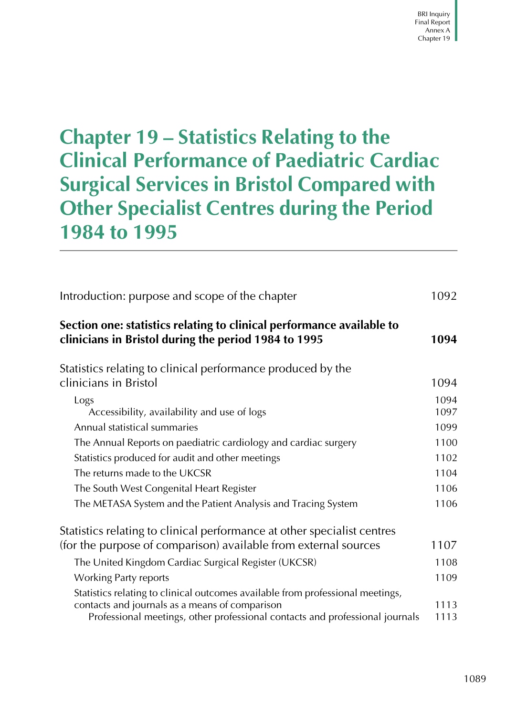# **Chapter 19 – Statistics Relating to the Clinical Performance of Paediatric Cardiac Surgical Services in Bristol Compared with Other Specialist Centres during the Period 1984 to 1995**

| Introduction: purpose and scope of the chapter                                                                                | 1092 |
|-------------------------------------------------------------------------------------------------------------------------------|------|
| Section one: statistics relating to clinical performance available to<br>clinicians in Bristol during the period 1984 to 1995 | 1094 |
| Statistics relating to clinical performance produced by the                                                                   |      |
| clinicians in Bristol                                                                                                         | 1094 |
| Logs                                                                                                                          | 1094 |
| Accessibility, availability and use of logs                                                                                   | 1097 |
| Annual statistical summaries                                                                                                  | 1099 |
| The Annual Reports on paediatric cardiology and cardiac surgery                                                               | 1100 |
| Statistics produced for audit and other meetings                                                                              | 1102 |
| The returns made to the UKCSR                                                                                                 | 1104 |
| The South West Congenital Heart Register                                                                                      | 1106 |
| The METASA System and the Patient Analysis and Tracing System                                                                 | 1106 |
| Statistics relating to clinical performance at other specialist centres                                                       |      |
| (for the purpose of comparison) available from external sources                                                               | 1107 |
| The United Kingdom Cardiac Surgical Register (UKCSR)                                                                          | 1108 |
| <b>Working Party reports</b>                                                                                                  | 1109 |
| Statistics relating to clinical outcomes available from professional meetings,                                                |      |
| contacts and journals as a means of comparison                                                                                | 1113 |
| Professional meetings, other professional contacts and professional journals                                                  | 1113 |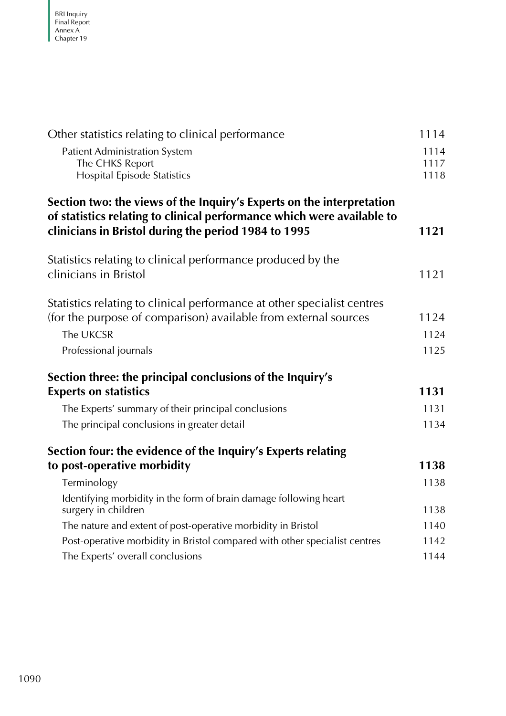| Other statistics relating to clinical performance                                                                                                                                                       | 1114 |
|---------------------------------------------------------------------------------------------------------------------------------------------------------------------------------------------------------|------|
| <b>Patient Administration System</b>                                                                                                                                                                    | 1114 |
| The CHKS Report                                                                                                                                                                                         | 1117 |
| <b>Hospital Episode Statistics</b>                                                                                                                                                                      | 1118 |
| Section two: the views of the Inquiry's Experts on the interpretation<br>of statistics relating to clinical performance which were available to<br>clinicians in Bristol during the period 1984 to 1995 | 1121 |
| Statistics relating to clinical performance produced by the                                                                                                                                             |      |
| clinicians in Bristol                                                                                                                                                                                   | 1121 |
|                                                                                                                                                                                                         |      |
| Statistics relating to clinical performance at other specialist centres                                                                                                                                 |      |
| (for the purpose of comparison) available from external sources                                                                                                                                         | 1124 |
| The UKCSR                                                                                                                                                                                               | 1124 |
| Professional journals                                                                                                                                                                                   | 1125 |
| Section three: the principal conclusions of the Inquiry's                                                                                                                                               |      |
| <b>Experts on statistics</b>                                                                                                                                                                            | 1131 |
| The Experts' summary of their principal conclusions                                                                                                                                                     | 1131 |
| The principal conclusions in greater detail                                                                                                                                                             | 1134 |
| Section four: the evidence of the Inquiry's Experts relating                                                                                                                                            |      |
| to post-operative morbidity                                                                                                                                                                             | 1138 |
| Terminology                                                                                                                                                                                             | 1138 |
| Identifying morbidity in the form of brain damage following heart                                                                                                                                       |      |
| surgery in children                                                                                                                                                                                     | 1138 |
| The nature and extent of post-operative morbidity in Bristol                                                                                                                                            | 1140 |
| Post-operative morbidity in Bristol compared with other specialist centres                                                                                                                              | 1142 |
| The Experts' overall conclusions                                                                                                                                                                        | 1144 |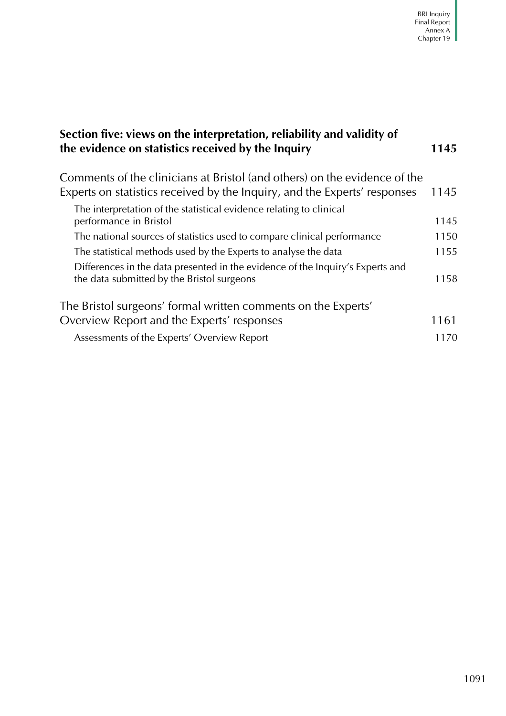| Section five: views on the interpretation, reliability and validity of<br>the evidence on statistics received by the Inquiry                           | 1145 |
|--------------------------------------------------------------------------------------------------------------------------------------------------------|------|
| Comments of the clinicians at Bristol (and others) on the evidence of the<br>Experts on statistics received by the Inquiry, and the Experts' responses | 1145 |
| The interpretation of the statistical evidence relating to clinical<br>performance in Bristol                                                          | 1145 |
| The national sources of statistics used to compare clinical performance                                                                                | 1150 |
| The statistical methods used by the Experts to analyse the data                                                                                        | 1155 |
| Differences in the data presented in the evidence of the Inquiry's Experts and<br>the data submitted by the Bristol surgeons                           | 1158 |
| The Bristol surgeons' formal written comments on the Experts'                                                                                          |      |
| Overview Report and the Experts' responses                                                                                                             | 1161 |
| Assessments of the Experts' Overview Report                                                                                                            | 1170 |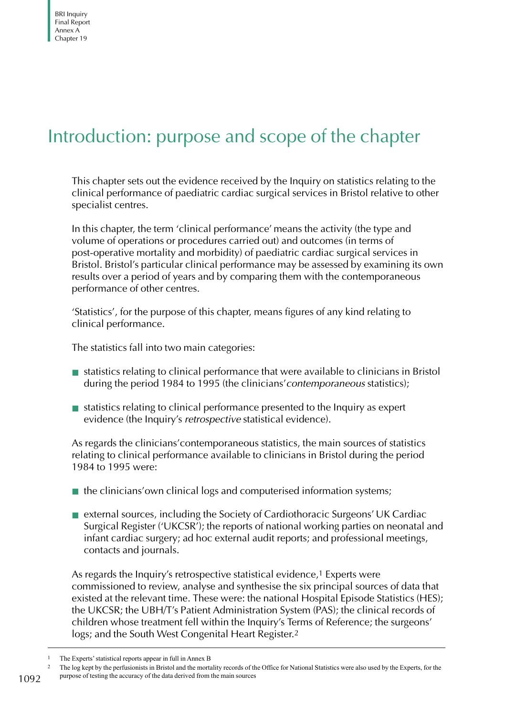# <span id="page-3-0"></span>Introduction: purpose and scope of the chapter

This chapter sets out the evidence received by the Inquiry on statistics relating to the clinical performance of paediatric cardiac surgical services in Bristol relative to other specialist centres.

In this chapter, the term 'clinical performance' means the activity (the type and volume of operations or procedures carried out) and outcomes (in terms of post-operative mortality and morbidity) of paediatric cardiac surgical services in Bristol. Bristol's particular clinical performance may be assessed by examining its own results over a period of years and by comparing them with the contemporaneous performance of other centres.

'Statistics', for the purpose of this chapter, means figures of any kind relating to clinical performance.

The statistics fall into two main categories:

- statistics relating to clinical performance that were available to clinicians in Bristol during the period 1984 to 1995 (the clinicians'contemporaneous statistics);
- statistics relating to clinical performance presented to the Inquiry as expert evidence (the Inquiry's retrospective statistical evidence).

As regards the clinicians'contemporaneous statistics, the main sources of statistics relating to clinical performance available to clinicians in Bristol during the period 1984 to 1995 were:

- the clinicians'own clinical logs and computerised information systems;
- external sources, including the Society of Cardiothoracic Surgeons' UK Cardiac Surgical Register ('UKCSR'); the reports of national working parties on neonatal and infant cardiac surgery; ad hoc external audit reports; and professional meetings, contacts and journals.

As regards the Inquiry's retrospective statistical evidence,1 Experts were commissioned to review, analyse and synthesise the six principal sources of data that existed at the relevant time. These were: the national Hospital Episode Statistics (HES); the UKCSR; the UBH/T's Patient Administration System (PAS); the clinical records of children whose treatment fell within the Inquiry's Terms of Reference; the surgeons' logs; and the South West Congenital Heart Register.2

<sup>1</sup> The Experts' statistical reports appear in full in Annex B

<sup>&</sup>lt;sup>2</sup> The log kept by the perfusionists in Bristol and the mortality records of the Office for National Statistics were also used by the Experts, for the purpose of testing the accuracy of the data derived from the main sources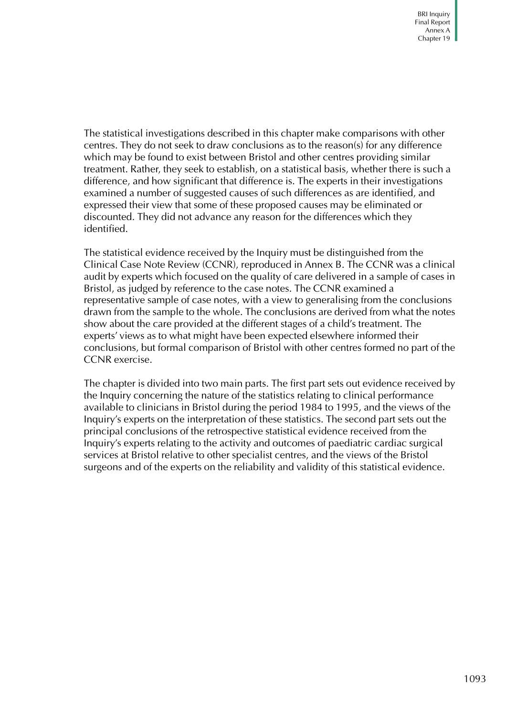The statistical investigations described in this chapter make comparisons with other centres. They do not seek to draw conclusions as to the reason(s) for any difference which may be found to exist between Bristol and other centres providing similar treatment. Rather, they seek to establish, on a statistical basis, whether there is such a difference, and how significant that difference is. The experts in their investigations examined a number of suggested causes of such differences as are identified, and expressed their view that some of these proposed causes may be eliminated or discounted. They did not advance any reason for the differences which they identified.

The statistical evidence received by the Inquiry must be distinguished from the Clinical Case Note Review (CCNR), reproduced in Annex B. The CCNR was a clinical audit by experts which focused on the quality of care delivered in a sample of cases in Bristol, as judged by reference to the case notes. The CCNR examined a representative sample of case notes, with a view to generalising from the conclusions drawn from the sample to the whole. The conclusions are derived from what the notes show about the care provided at the different stages of a child's treatment. The experts' views as to what might have been expected elsewhere informed their conclusions, but formal comparison of Bristol with other centres formed no part of the CCNR exercise.

The chapter is divided into two main parts. The first part sets out evidence received by the Inquiry concerning the nature of the statistics relating to clinical performance available to clinicians in Bristol during the period 1984 to 1995, and the views of the Inquiry's experts on the interpretation of these statistics. The second part sets out the principal conclusions of the retrospective statistical evidence received from the Inquiry's experts relating to the activity and outcomes of paediatric cardiac surgical services at Bristol relative to other specialist centres, and the views of the Bristol surgeons and of the experts on the reliability and validity of this statistical evidence.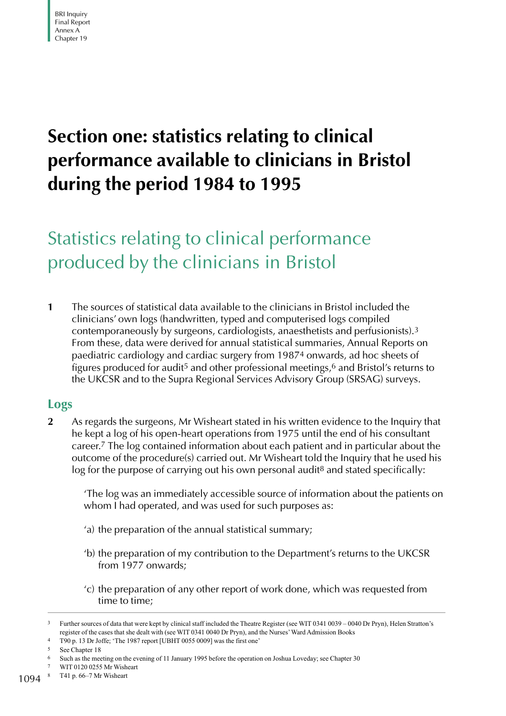

# <span id="page-5-0"></span>**Section one: statistics relating to clinical performance available to clinicians in Bristol during the period 1984 to 1995**

<span id="page-5-1"></span>Statistics relating to clinical performance produced by the clinicians in Bristol

**1** The sources of statistical data available to the clinicians in Bristol included the clinicians' own logs (handwritten, typed and computerised logs compiled contemporaneously by surgeons, cardiologists, anaesthetists and perfusionists).3 From these, data were derived for annual statistical summaries, Annual Reports on paediatric cardiology and cardiac surgery from 19874 onwards, ad hoc sheets of figures produced for audit<sup>5</sup> and other professional meetings,<sup>6</sup> and Bristol's returns to the UKCSR and to the Supra Regional Services Advisory Group (SRSAG) surveys.

### <span id="page-5-2"></span>**Logs**

<span id="page-5-3"></span>**2** As regards the surgeons, Mr Wisheart stated in his written evidence to the Inquiry that he kept a log of his open-heart operations from 1975 until the end of his consultant career.7 The log contained information about each patient and in particular about the outcome of the procedure(s) carried out. Mr Wisheart told the Inquiry that he used his  $\log$  for the purpose of carrying out his own personal audit<sup>8</sup> and stated specifically:

'The log was an immediately accessible source of information about the patients on whom I had operated, and was used for such purposes as:

- 'a) the preparation of the annual statistical summary;
- 'b) the preparation of my contribution to the Department's returns to the UKCSR from 1977 onwards;
- 'c) the preparation of any other report of work done, which was requested from time to time;

<sup>3</sup> Further sources of data that were kept by clinical staff included the Theatre Register (see WIT 0341 0039 – 0040 Dr Pryn), Helen Stratton's register of the cases that she dealt with (see WIT 0341 0040 Dr Pryn), and the Nurses' Ward Admission Books

<sup>4</sup> T90 p. 13 Dr Joffe; 'The 1987 report [UBHT 0055 0009] was the first one'

<sup>5</sup> See Chapter 18

<sup>6</sup> Such as the meeting on the evening of 11 January 1995 before the operation on Joshua Loveday; see Chapter 30

<sup>7</sup> WIT 0120 0255 Mr Wisheart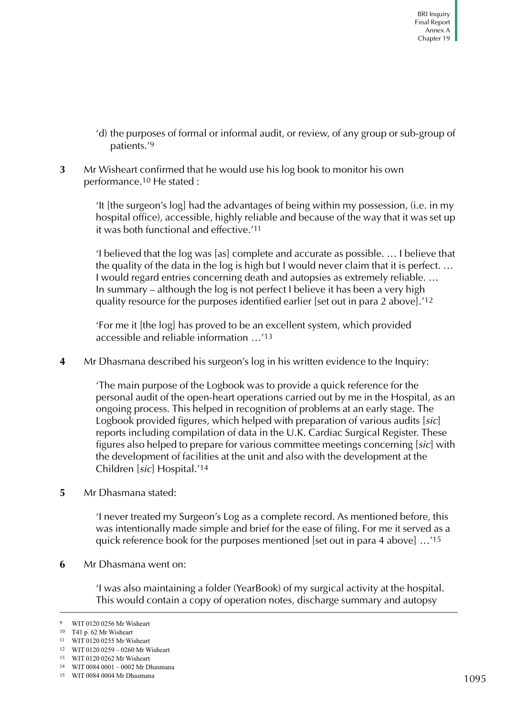- 'd) the purposes of formal or informal audit, or review, of any group or sub-group of patients.'9
- **3** Mr Wisheart confirmed that he would use his log book to monitor his own performance.10 He stated :

'It [the surgeon's log] had the advantages of being within my possession, (i.e. in my hospital office), accessible, highly reliable and because of the way that it was set up it was both functional and effective.'11

'I believed that the log was [as] complete and accurate as possible. … I believe that the quality of the data in the log is high but I would never claim that it is perfect. … I would regard entries concerning death and autopsies as extremely reliable. … In summary – although the log is not perfect I believe it has been a very high quality resource for the purposes identified earlier [set out in [para 2](#page-5-3) above].'12

'For me it [the log] has proved to be an excellent system, which provided accessible and reliable information …'13

<span id="page-6-0"></span>**4** Mr Dhasmana described his surgeon's log in his written evidence to the Inquiry:

'The main purpose of the Logbook was to provide a quick reference for the personal audit of the open-heart operations carried out by me in the Hospital, as an ongoing process. This helped in recognition of problems at an early stage. The Logbook provided figures, which helped with preparation of various audits [sic] reports including compilation of data in the U.K. Cardiac Surgical Register. These figures also helped to prepare for various committee meetings concerning [sic] with the development of facilities at the unit and also with the development at the Children [sic] Hospital.'14

**5** Mr Dhasmana stated:

'I never treated my Surgeon's Log as a complete record. As mentioned before, this was intentionally made simple and brief for the ease of filing. For me it served as a quick reference book for the purposes mentioned [set out in [para 4](#page-6-0) above] …'15

**6** Mr Dhasmana went on:

'I was also maintaining a folder (YearBook) of my surgical activity at the hospital. This would contain a copy of operation notes, discharge summary and autopsy

<sup>9</sup> WIT 0120 0256 Mr Wisheart

<sup>10</sup> T41 p. 62 Mr Wisheart

<sup>11</sup> WIT 0120 0255 Mr Wisheart

<sup>12</sup> WIT 0120 0259 – 0260 Mr Wisheart

<sup>13</sup> WIT 0120 0262 Mr Wisheart

<sup>14</sup> WIT 0084 0001 – 0002 Mr Dhasmana

<sup>15</sup> WIT 0084 0004 Mr Dhasmana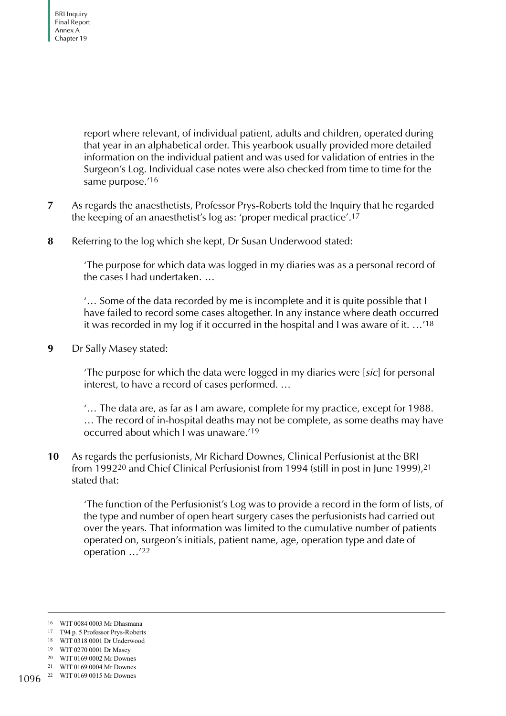report where relevant, of individual patient, adults and children, operated during that year in an alphabetical order. This yearbook usually provided more detailed information on the individual patient and was used for validation of entries in the Surgeon's Log. Individual case notes were also checked from time to time for the same purpose.<sup>'16</sup>

- **7** As regards the anaesthetists, Professor Prys-Roberts told the Inquiry that he regarded the keeping of an anaesthetist's log as: 'proper medical practice'.17
- **8** Referring to the log which she kept, Dr Susan Underwood stated:

'The purpose for which data was logged in my diaries was as a personal record of the cases I had undertaken. …

'… Some of the data recorded by me is incomplete and it is quite possible that I have failed to record some cases altogether. In any instance where death occurred it was recorded in my log if it occurred in the hospital and I was aware of it. …'18

**9** Dr Sally Masey stated:

'The purpose for which the data were logged in my diaries were [sic] for personal interest, to have a record of cases performed. …

'… The data are, as far as I am aware, complete for my practice, except for 1988. … The record of in-hospital deaths may not be complete, as some deaths may have occurred about which I was unaware.'19

**10** As regards the perfusionists, Mr Richard Downes, Clinical Perfusionist at the BRI from 199220 and Chief Clinical Perfusionist from 1994 (still in post in June 1999),21 stated that:

'The function of the Perfusionist's Log was to provide a record in the form of lists, of the type and number of open heart surgery cases the perfusionists had carried out over the years. That information was limited to the cumulative number of patients operated on, surgeon's initials, patient name, age, operation type and date of operation …'22

<sup>16</sup> WIT 0084 0003 Mr Dhasmana

<sup>17</sup> T94 p. 5 Professor Prys-Roberts

<sup>18</sup> WIT 0318 0001 Dr Underwood

<sup>19</sup> WIT 0270 0001 Dr Masey

<sup>20</sup> WIT 0169 0002 Mr Downes

<sup>21</sup> WIT 0169 0004 Mr Downes

<sup>1096 &</sup>lt;sup>22</sup> WIT 0169 0015 Mr Downes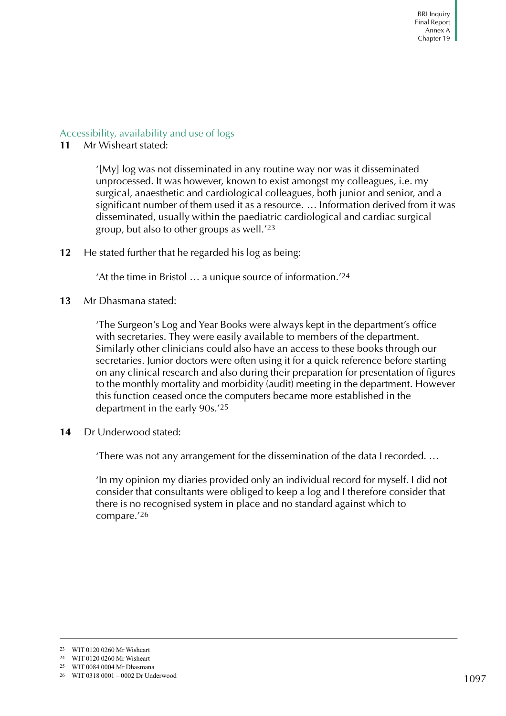#### <span id="page-8-0"></span>Accessibility, availability and use of logs

**11** Mr Wisheart stated:

'[My] log was not disseminated in any routine way nor was it disseminated unprocessed. It was however, known to exist amongst my colleagues, i.e. my surgical, anaesthetic and cardiological colleagues, both junior and senior, and a significant number of them used it as a resource. … Information derived from it was disseminated, usually within the paediatric cardiological and cardiac surgical group, but also to other groups as well.'23

**12** He stated further that he regarded his log as being:

'At the time in Bristol … a unique source of information.'24

**13** Mr Dhasmana stated:

'The Surgeon's Log and Year Books were always kept in the department's office with secretaries. They were easily available to members of the department. Similarly other clinicians could also have an access to these books through our secretaries. Junior doctors were often using it for a quick reference before starting on any clinical research and also during their preparation for presentation of figures to the monthly mortality and morbidity (audit) meeting in the department. However this function ceased once the computers became more established in the department in the early 90s.'25

**14** Dr Underwood stated:

'There was not any arrangement for the dissemination of the data I recorded. …

'In my opinion my diaries provided only an individual record for myself. I did not consider that consultants were obliged to keep a log and I therefore consider that there is no recognised system in place and no standard against which to compare.'26

<sup>23</sup> WIT 0120 0260 Mr Wisheart

<sup>24</sup> WIT 0120 0260 Mr Wisheart

<sup>25</sup> WIT 0084 0004 Mr Dhasmana

<sup>26</sup> WIT 0318 0001 – 0002 Dr Underwood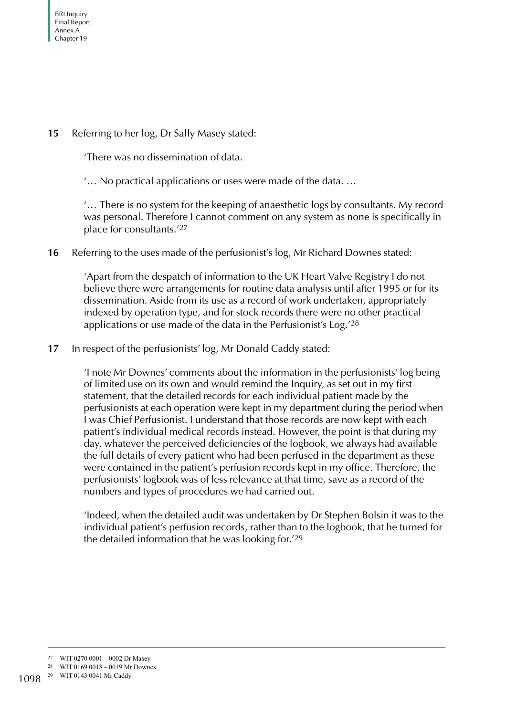**15** Referring to her log, Dr Sally Masey stated:

'There was no dissemination of data.

'… No practical applications or uses were made of the data. …

'… There is no system for the keeping of anaesthetic logs by consultants. My record was personal. Therefore I cannot comment on any system as none is specifically in place for consultants.'27

**16** Referring to the uses made of the perfusionist's log, Mr Richard Downes stated:

'Apart from the despatch of information to the UK Heart Valve Registry I do not believe there were arrangements for routine data analysis until after 1995 or for its dissemination. Aside from its use as a record of work undertaken, appropriately indexed by operation type, and for stock records there were no other practical applications or use made of the data in the Perfusionist's Log.'28

#### **17** In respect of the perfusionists' log, Mr Donald Caddy stated:

'I note Mr Downes' comments about the information in the perfusionists' log being of limited use on its own and would remind the Inquiry, as set out in my first statement, that the detailed records for each individual patient made by the perfusionists at each operation were kept in my department during the period when I was Chief Perfusionist. I understand that those records are now kept with each patient's individual medical records instead. However, the point is that during my day, whatever the perceived deficiencies of the logbook, we always had available the full details of every patient who had been perfused in the department as these were contained in the patient's perfusion records kept in my office. Therefore, the perfusionists' logbook was of less relevance at that time, save as a record of the numbers and types of procedures we had carried out.

'Indeed, when the detailed audit was undertaken by Dr Stephen Bolsin it was to the individual patient's perfusion records, rather than to the logbook, that he turned for the detailed information that he was looking for.'29

1098 <sup>29</sup> WIT 0143 0041 Mr Caddy

<sup>27</sup> WIT 0270 0001 – 0002 Dr Masey

<sup>28</sup> WIT 0169 0018 – 0019 Mr Downes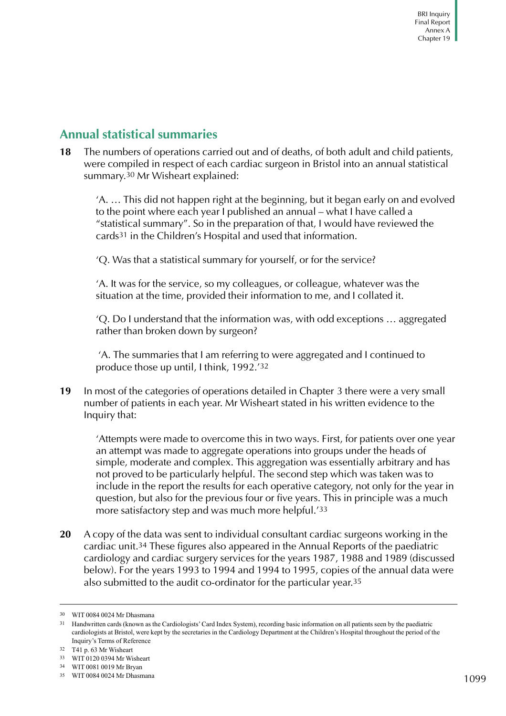## <span id="page-10-0"></span>**Annual statistical summaries**

**18** The numbers of operations carried out and of deaths, of both adult and child patients, were compiled in respect of each cardiac surgeon in Bristol into an annual statistical summary.30 Mr Wisheart explained:

'A. … This did not happen right at the beginning, but it began early on and evolved to the point where each year I published an annual – what I have called a "statistical summary". So in the preparation of that, I would have reviewed the cards31 in the Children's Hospital and used that information.

'Q. Was that a statistical summary for yourself, or for the service?

'A. It was for the service, so my colleagues, or colleague, whatever was the situation at the time, provided their information to me, and I collated it.

'Q. Do I understand that the information was, with odd exceptions … aggregated rather than broken down by surgeon?

 'A. The summaries that I am referring to were aggregated and I continued to produce those up until, I think, 1992.'32

**19** In most of the categories of operations detailed in Chapter 3 there were a very small number of patients in each year. Mr Wisheart stated in his written evidence to the Inquiry that:

'Attempts were made to overcome this in two ways. First, for patients over one year an attempt was made to aggregate operations into groups under the heads of simple, moderate and complex. This aggregation was essentially arbitrary and has not proved to be particularly helpful. The second step which was taken was to include in the report the results for each operative category, not only for the year in question, but also for the previous four or five years. This in principle was a much more satisfactory step and was much more helpful.'33

**20** A copy of the data was sent to individual consultant cardiac surgeons working in the cardiac unit.34 These figures also appeared in the Annual Reports of the paediatric cardiology and cardiac surgery services for the years 1987, 1988 and 1989 (discussed below). For the years 1993 to 1994 and 1994 to 1995, copies of the annual data were also submitted to the audit co-ordinator for the particular year.35

<sup>30</sup> WIT 0084 0024 Mr Dhasmana

<sup>31</sup> Handwritten cards (known as the Cardiologists' Card Index System), recording basic information on all patients seen by the paediatric cardiologists at Bristol, were kept by the secretaries in the Cardiology Department at the Children's Hospital throughout the period of the Inquiry's Terms of Reference

<sup>32</sup> T41 p. 63 Mr Wisheart

<sup>33</sup> WIT 0120 0394 Mr Wisheart

<sup>34</sup> WIT 0081 0019 Mr Bryan

<sup>35</sup> WIT 0084 0024 Mr Dhasmana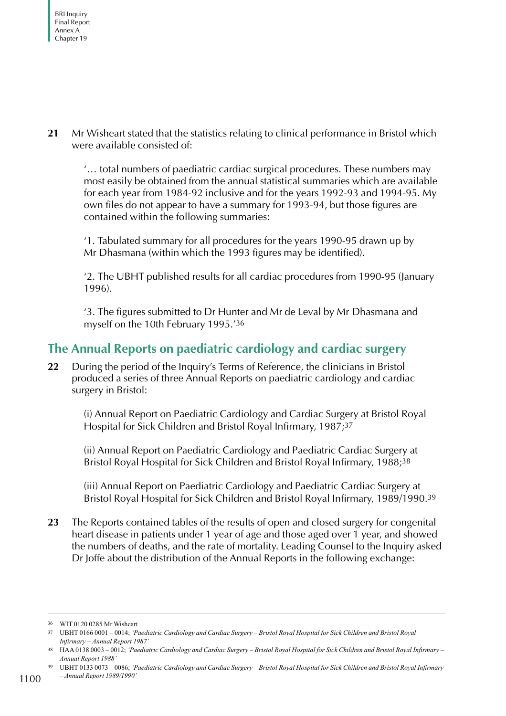**21** Mr Wisheart stated that the statistics relating to clinical performance in Bristol which were available consisted of:

'… total numbers of paediatric cardiac surgical procedures. These numbers may most easily be obtained from the annual statistical summaries which are available for each year from 1984-92 inclusive and for the years 1992-93 and 1994-95. My own files do not appear to have a summary for 1993-94, but those figures are contained within the following summaries:

'1. Tabulated summary for all procedures for the years 1990-95 drawn up by Mr Dhasmana (within which the 1993 figures may be identified).

'2. The UBHT published results for all cardiac procedures from 1990-95 (January 1996).

'3. The figures submitted to Dr Hunter and Mr de Leval by Mr Dhasmana and myself on the 10th February 1995.'36

### <span id="page-11-0"></span>**The Annual Reports on paediatric cardiology and cardiac surgery**

**22** During the period of the Inquiry's Terms of Reference, the clinicians in Bristol produced a series of three Annual Reports on paediatric cardiology and cardiac surgery in Bristol:

(i) Annual Report on Paediatric Cardiology and Cardiac Surgery at Bristol Royal Hospital for Sick Children and Bristol Royal Infirmary, 1987;37

(ii) Annual Report on Paediatric Cardiology and Paediatric Cardiac Surgery at Bristol Royal Hospital for Sick Children and Bristol Royal Infirmary, 1988;38

(iii) Annual Report on Paediatric Cardiology and Paediatric Cardiac Surgery at Bristol Royal Hospital for Sick Children and Bristol Royal Infirmary, 1989/1990.39

**23** The Reports contained tables of the results of open and closed surgery for congenital heart disease in patients under 1 year of age and those aged over 1 year, and showed the numbers of deaths, and the rate of mortality. Leading Counsel to the Inquiry asked Dr Joffe about the distribution of the Annual Reports in the following exchange:

<sup>36</sup> WIT 0120 0285 Mr Wisheart

<sup>37</sup> UBHT 0166 0001 – 0014; *'Paediatric Cardiology and Cardiac Surgery – Bristol Royal Hospital for Sick Children and Bristol Royal Infirmary – Annual Report 1987'*

<sup>38</sup> HAA 0138 0003 – 0012; *'Paediatric Cardiology and Cardiac Surgery – Bristol Royal Hospital for Sick Children and Bristol Royal Infirmary – Annual Report 1988'*

<sup>39</sup> UBHT 0133 0073 – 0086; *'Paediatric Cardiology and Cardiac Surgery – Bristol Royal Hospital for Sick Children and Bristol Royal Infirmary – Annual Report 1989/1990'*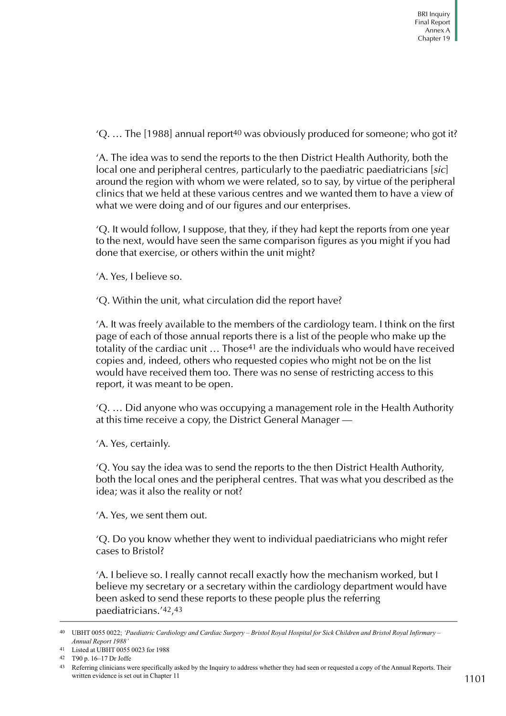'Q. ... The [1988] annual report<sup>40</sup> was obviously produced for someone; who got it?

'A. The idea was to send the reports to the then District Health Authority, both the local one and peripheral centres, particularly to the paediatric paediatricians [sic] around the region with whom we were related, so to say, by virtue of the peripheral clinics that we held at these various centres and we wanted them to have a view of what we were doing and of our figures and our enterprises.

'Q. It would follow, I suppose, that they, if they had kept the reports from one year to the next, would have seen the same comparison figures as you might if you had done that exercise, or others within the unit might?

'A. Yes, I believe so.

'Q. Within the unit, what circulation did the report have?

'A. It was freely available to the members of the cardiology team. I think on the first page of each of those annual reports there is a list of the people who make up the totality of the cardiac unit ... Those<sup>41</sup> are the individuals who would have received copies and, indeed, others who requested copies who might not be on the list would have received them too. There was no sense of restricting access to this report, it was meant to be open.

'Q. … Did anyone who was occupying a management role in the Health Authority at this time receive a copy, the District General Manager —

'A. Yes, certainly.

'Q. You say the idea was to send the reports to the then District Health Authority, both the local ones and the peripheral centres. That was what you described as the idea; was it also the reality or not?

'A. Yes, we sent them out.

'Q. Do you know whether they went to individual paediatricians who might refer cases to Bristol?

'A. I believe so. I really cannot recall exactly how the mechanism worked, but I believe my secretary or a secretary within the cardiology department would have been asked to send these reports to these people plus the referring paediatricians.'42,43

<sup>40</sup> UBHT 0055 0022; *'Paediatric Cardiology and Cardiac Surgery – Bristol Royal Hospital for Sick Children and Bristol Royal Infirmary – Annual Report 1988'*

<sup>41</sup> Listed at UBHT 0055 0023 for 1988

<sup>42</sup> T90 p. 16–17 Dr Joffe

<sup>43</sup> Referring clinicians were specifically asked by the Inquiry to address whether they had seen or requested a copy of the Annual Reports. Their written evidence is set out in Chapter 11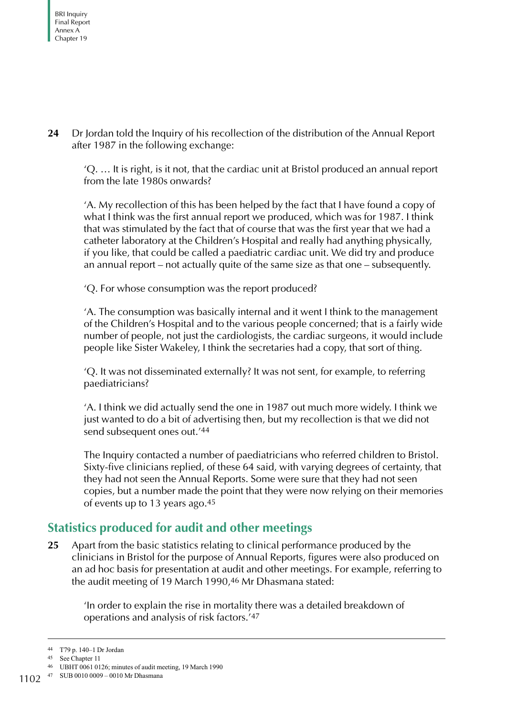**24** Dr Jordan told the Inquiry of his recollection of the distribution of the Annual Report after 1987 in the following exchange:

'Q. … It is right, is it not, that the cardiac unit at Bristol produced an annual report from the late 1980s onwards?

'A. My recollection of this has been helped by the fact that I have found a copy of what I think was the first annual report we produced, which was for 1987. I think that was stimulated by the fact that of course that was the first year that we had a catheter laboratory at the Children's Hospital and really had anything physically, if you like, that could be called a paediatric cardiac unit. We did try and produce an annual report – not actually quite of the same size as that one – subsequently.

'Q. For whose consumption was the report produced?

'A. The consumption was basically internal and it went I think to the management of the Children's Hospital and to the various people concerned; that is a fairly wide number of people, not just the cardiologists, the cardiac surgeons, it would include people like Sister Wakeley, I think the secretaries had a copy, that sort of thing.

'Q. It was not disseminated externally? It was not sent, for example, to referring paediatricians?

'A. I think we did actually send the one in 1987 out much more widely. I think we just wanted to do a bit of advertising then, but my recollection is that we did not send subsequent ones out.'44

The Inquiry contacted a number of paediatricians who referred children to Bristol. Sixty-five clinicians replied, of these 64 said, with varying degrees of certainty, that they had not seen the Annual Reports. Some were sure that they had not seen copies, but a number made the point that they were now relying on their memories of events up to 13 years ago.45

## <span id="page-13-0"></span>**Statistics produced for audit and other meetings**

**25** Apart from the basic statistics relating to clinical performance produced by the clinicians in Bristol for the purpose of Annual Reports, figures were also produced on an ad hoc basis for presentation at audit and other meetings. For example, referring to the audit meeting of 19 March 1990,46 Mr Dhasmana stated:

'In order to explain the rise in mortality there was a detailed breakdown of operations and analysis of risk factors.'47

<sup>44</sup> T79 p. 140–1 Dr Jordan

<sup>45</sup> See Chapter 11

<sup>46</sup> UBHT 0061 0126; minutes of audit meeting, 19 March 1990

<sup>1102</sup> 47 SUB 0010 0009 – 0010 Mr Dhasmana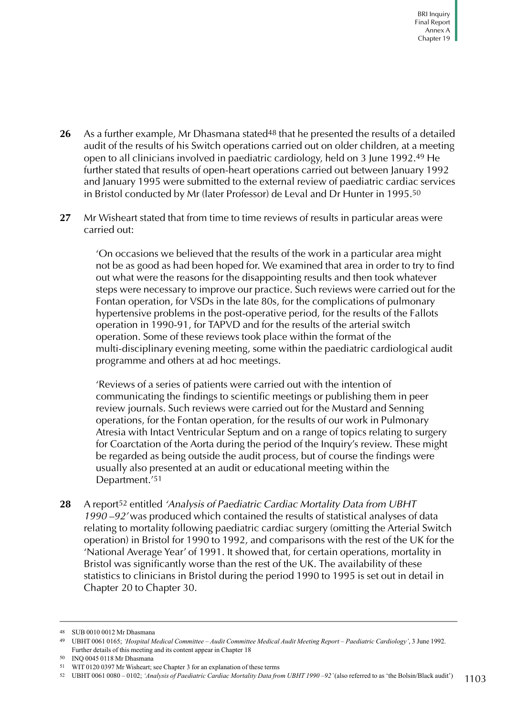- 26 As a further example, Mr Dhasmana stated<sup>48</sup> that he presented the results of a detailed audit of the results of his Switch operations carried out on older children, at a meeting open to all clinicians involved in paediatric cardiology, held on 3 June 1992.49 He further stated that results of open-heart operations carried out between January 1992 and January 1995 were submitted to the external review of paediatric cardiac services in Bristol conducted by Mr (later Professor) de Leval and Dr Hunter in 1995.50
- **27** Mr Wisheart stated that from time to time reviews of results in particular areas were carried out:

'On occasions we believed that the results of the work in a particular area might not be as good as had been hoped for. We examined that area in order to try to find out what were the reasons for the disappointing results and then took whatever steps were necessary to improve our practice. Such reviews were carried out for the Fontan operation, for VSDs in the late 80s, for the complications of pulmonary hypertensive problems in the post-operative period, for the results of the Fallots operation in 1990-91, for TAPVD and for the results of the arterial switch operation. Some of these reviews took place within the format of the multi-disciplinary evening meeting, some within the paediatric cardiological audit programme and others at ad hoc meetings.

'Reviews of a series of patients were carried out with the intention of communicating the findings to scientific meetings or publishing them in peer review journals. Such reviews were carried out for the Mustard and Senning operations, for the Fontan operation, for the results of our work in Pulmonary Atresia with Intact Ventricular Septum and on a range of topics relating to surgery for Coarctation of the Aorta during the period of the Inquiry's review. These might be regarded as being outside the audit process, but of course the findings were usually also presented at an audit or educational meeting within the Department.'51

**28** A report52 entitled 'Analysis of Paediatric Cardiac Mortality Data from UBHT 1990 –92' was produced which contained the results of statistical analyses of data relating to mortality following paediatric cardiac surgery (omitting the Arterial Switch operation) in Bristol for 1990 to 1992, and comparisons with the rest of the UK for the 'National Average Year' of 1991. It showed that, for certain operations, mortality in Bristol was significantly worse than the rest of the UK. The availability of these statistics to clinicians in Bristol during the period 1990 to 1995 is set out in detail in [Chapter 20](#page-84-0) to Chapter 30.

<sup>48</sup> SUB 0010 0012 Mr Dhasmana

<sup>49</sup> UBHT 0061 0165; *'Hospital Medical Committee – Audit Committee Medical Audit Meeting Report – Paediatric Cardiology'*, 3 June 1992. Further details of this meeting and its content appear in Chapter 18

<sup>50</sup> INQ 0045 0118 Mr Dhasmana

<sup>51</sup> WIT 0120 0397 Mr Wisheart; see Chapter 3 for an explanation of these terms

<sup>1103</sup> 52 UBHT 0061 0080 – 0102; *'Analysis of Paediatric Cardiac Mortality Data from UBHT 1990 –92'* (also referred to as 'the Bolsin/Black audit')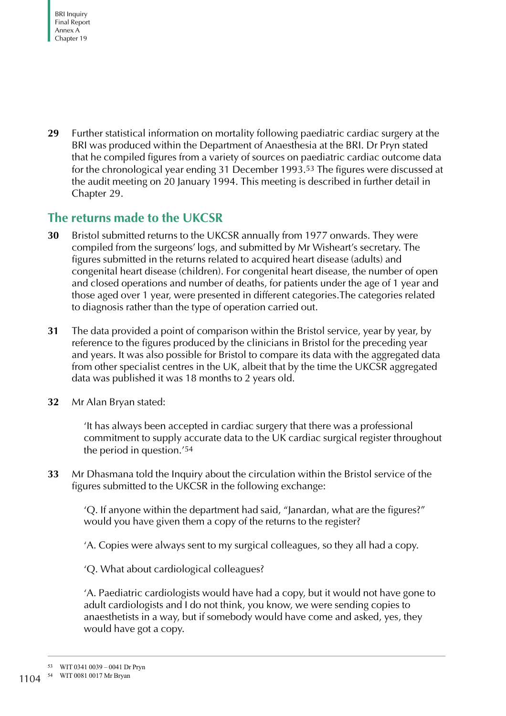**29** Further statistical information on mortality following paediatric cardiac surgery at the BRI was produced within the Department of Anaesthesia at the BRI. Dr Pryn stated that he compiled figures from a variety of sources on paediatric cardiac outcome data for the chronological year ending 31 December 1993.53 The figures were discussed at the audit meeting on 20 January 1994. This meeting is described in further detail in Chapter 29.

### <span id="page-15-0"></span>**The returns made to the UKCSR**

- **30** Bristol submitted returns to the UKCSR annually from 1977 onwards. They were compiled from the surgeons' logs, and submitted by Mr Wisheart's secretary. The figures submitted in the returns related to acquired heart disease (adults) and congenital heart disease (children). For congenital heart disease, the number of open and closed operations and number of deaths, for patients under the age of 1 year and those aged over 1 year, were presented in different categories.The categories related to diagnosis rather than the type of operation carried out.
- **31** The data provided a point of comparison within the Bristol service, year by year, by reference to the figures produced by the clinicians in Bristol for the preceding year and years. It was also possible for Bristol to compare its data with the aggregated data from other specialist centres in the UK, albeit that by the time the UKCSR aggregated data was published it was 18 months to 2 years old.
- **32** Mr Alan Bryan stated:

'It has always been accepted in cardiac surgery that there was a professional commitment to supply accurate data to the UK cardiac surgical register throughout the period in question.'54

**33** Mr Dhasmana told the Inquiry about the circulation within the Bristol service of the figures submitted to the UKCSR in the following exchange:

'Q. If anyone within the department had said, "Janardan, what are the figures?" would you have given them a copy of the returns to the register?

'A. Copies were always sent to my surgical colleagues, so they all had a copy.

'Q. What about cardiological colleagues?

'A. Paediatric cardiologists would have had a copy, but it would not have gone to adult cardiologists and I do not think, you know, we were sending copies to anaesthetists in a way, but if somebody would have come and asked, yes, they would have got a copy.

<sup>53</sup> WIT 0341 0039 – 0041 Dr Pryn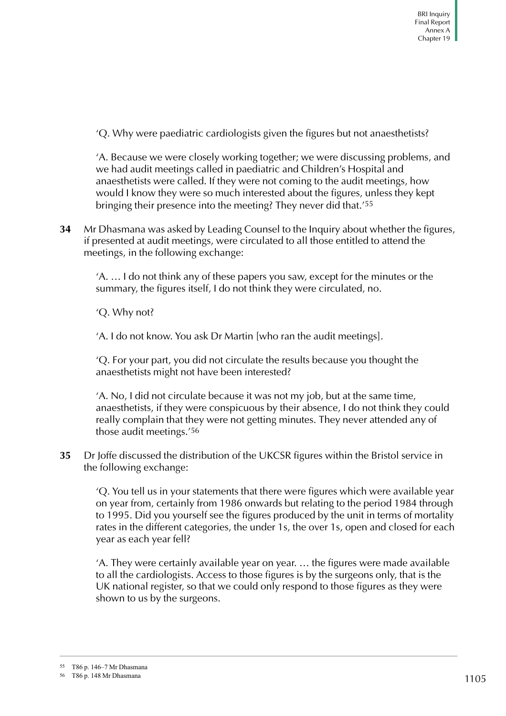'Q. Why were paediatric cardiologists given the figures but not anaesthetists?

'A. Because we were closely working together; we were discussing problems, and we had audit meetings called in paediatric and Children's Hospital and anaesthetists were called. If they were not coming to the audit meetings, how would I know they were so much interested about the figures, unless they kept bringing their presence into the meeting? They never did that.'55

**34** Mr Dhasmana was asked by Leading Counsel to the Inquiry about whether the figures, if presented at audit meetings, were circulated to all those entitled to attend the meetings, in the following exchange:

'A. … I do not think any of these papers you saw, except for the minutes or the summary, the figures itself, I do not think they were circulated, no.

'Q. Why not?

'A. I do not know. You ask Dr Martin [who ran the audit meetings].

'Q. For your part, you did not circulate the results because you thought the anaesthetists might not have been interested?

'A. No, I did not circulate because it was not my job, but at the same time, anaesthetists, if they were conspicuous by their absence, I do not think they could really complain that they were not getting minutes. They never attended any of those audit meetings.'56

**35** Dr Joffe discussed the distribution of the UKCSR figures within the Bristol service in the following exchange:

'Q. You tell us in your statements that there were figures which were available year on year from, certainly from 1986 onwards but relating to the period 1984 through to 1995. Did you yourself see the figures produced by the unit in terms of mortality rates in the different categories, the under 1s, the over 1s, open and closed for each year as each year fell?

'A. They were certainly available year on year. … the figures were made available to all the cardiologists. Access to those figures is by the surgeons only, that is the UK national register, so that we could only respond to those figures as they were shown to us by the surgeons.

<sup>55</sup> T86 p. 146–7 Mr Dhasmana

<sup>56</sup> T86 p. 148 Mr Dhasmana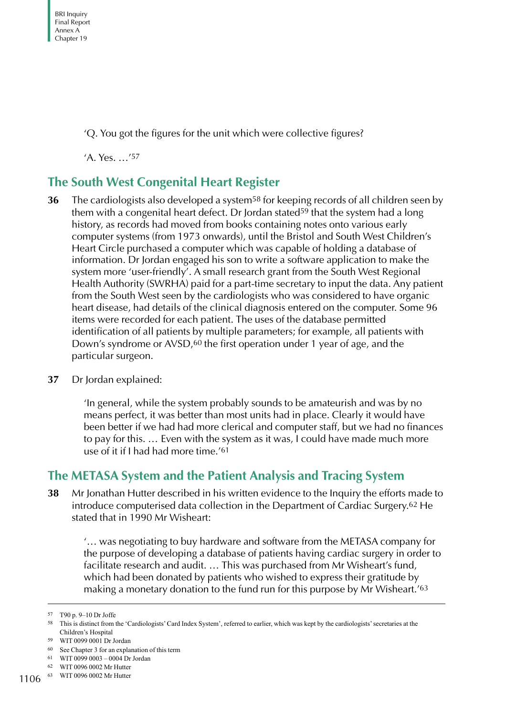'Q. You got the figures for the unit which were collective figures?

'A. Yes. …'57

## <span id="page-17-0"></span>**The South West Congenital Heart Register**

- **36** The cardiologists also developed a system58 for keeping records of all children seen by them with a congenital heart defect. Dr Jordan stated<sup>59</sup> that the system had a long history, as records had moved from books containing notes onto various early computer systems (from 1973 onwards), until the Bristol and South West Children's Heart Circle purchased a computer which was capable of holding a database of information. Dr Jordan engaged his son to write a software application to make the system more 'user-friendly'. A small research grant from the South West Regional Health Authority (SWRHA) paid for a part-time secretary to input the data. Any patient from the South West seen by the cardiologists who was considered to have organic heart disease, had details of the clinical diagnosis entered on the computer. Some 96 items were recorded for each patient. The uses of the database permitted identification of all patients by multiple parameters; for example, all patients with Down's syndrome or AVSD,<sup>60</sup> the first operation under 1 year of age, and the particular surgeon.
- **37** Dr Jordan explained:

'In general, while the system probably sounds to be amateurish and was by no means perfect, it was better than most units had in place. Clearly it would have been better if we had had more clerical and computer staff, but we had no finances to pay for this. … Even with the system as it was, I could have made much more use of it if I had had more time.'61

### <span id="page-17-1"></span>**The METASA System and the Patient Analysis and Tracing System**

**38** Mr Jonathan Hutter described in his written evidence to the Inquiry the efforts made to introduce computerised data collection in the Department of Cardiac Surgery.62 He stated that in 1990 Mr Wisheart:

'… was negotiating to buy hardware and software from the METASA company for the purpose of developing a database of patients having cardiac surgery in order to facilitate research and audit. … This was purchased from Mr Wisheart's fund, which had been donated by patients who wished to express their gratitude by making a monetary donation to the fund run for this purpose by Mr Wisheart.'63

<sup>57</sup> T90 p. 9–10 Dr Joffe

<sup>58</sup> This is distinct from the 'Cardiologists' Card Index System', referred to earlier, which was kept by the cardiologists' secretaries at the Children's Hospital

<sup>59</sup> WIT 0099 0001 Dr Jordan

<sup>60</sup> See Chapter 3 for an explanation of this term

<sup>61</sup> WIT 0099 0003 – 0004 Dr Jordan

<sup>62</sup> WIT 0096 0002 Mr Hutter

<sup>1106 &</sup>lt;sup>63</sup> WIT 0096 0002 Mr Hutter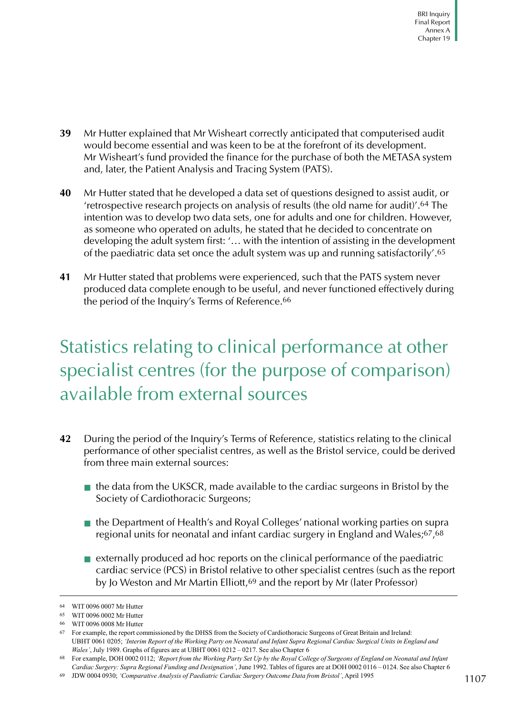- **39** Mr Hutter explained that Mr Wisheart correctly anticipated that computerised audit would become essential and was keen to be at the forefront of its development. Mr Wisheart's fund provided the finance for the purchase of both the METASA system and, later, the Patient Analysis and Tracing System (PATS).
- **40** Mr Hutter stated that he developed a data set of questions designed to assist audit, or 'retrospective research projects on analysis of results (the old name for audit)'.64 The intention was to develop two data sets, one for adults and one for children. However, as someone who operated on adults, he stated that he decided to concentrate on developing the adult system first: '… with the intention of assisting in the development of the paediatric data set once the adult system was up and running satisfactorily'.65
- **41** Mr Hutter stated that problems were experienced, such that the PATS system never produced data complete enough to be useful, and never functioned effectively during the period of the Inquiry's Terms of Reference.66

# <span id="page-18-0"></span>Statistics relating to clinical performance at other specialist centres (for the purpose of comparison) available from external sources

- **42** During the period of the Inquiry's Terms of Reference, statistics relating to the clinical performance of other specialist centres, as well as the Bristol service, could be derived from three main external sources:
	- $\blacksquare$  the data from the UKSCR, made available to the cardiac surgeons in Bristol by the Society of Cardiothoracic Surgeons;
	- the Department of Health's and Royal Colleges' national working parties on supra regional units for neonatal and infant cardiac surgery in England and Wales;67,68
	- externally produced ad hoc reports on the clinical performance of the paediatric cardiac service (PCS) in Bristol relative to other specialist centres (such as the report by Jo Weston and Mr Martin Elliott,<sup>69</sup> and the report by Mr (later Professor)

<sup>64</sup> WIT 0096 0007 Mr Hutter

<sup>65</sup> WIT 0096 0002 Mr Hutter

<sup>66</sup> WIT 0096 0008 Mr Hutter

<sup>67</sup> For example, the report commissioned by the DHSS from the Society of Cardiothoracic Surgeons of Great Britain and Ireland: UBHT 0061 0205; *'Interim Report of the Working Party on Neonatal and Infant Supra Regional Cardiac Surgical Units in England and Wales'*, July 1989. Graphs of figures are at UBHT 0061 0212 – 0217. See also Chapter 6

<sup>68</sup> For example, DOH 0002 0112; *'Report from the Working Party Set Up by the Royal College of Surgeons of England on Neonatal and Infant Cardiac Surgery: Supra Regional Funding and Designation'*, June 1992. Tables of figures are at DOH 0002 0116 – 0124. See also Chapter 6

<sup>69</sup> JDW 0004 0930; *'Comparative Analysis of Paediatric Cardiac Surgery Outcome Data from Bristol'*, April 1995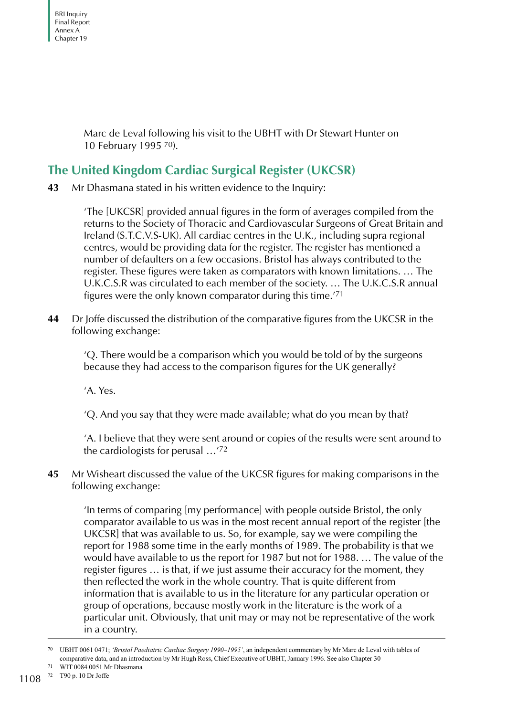Marc de Leval following his visit to the UBHT with Dr Stewart Hunter on 10 February 1995 70).

## <span id="page-19-0"></span>**The United Kingdom Cardiac Surgical Register (UKCSR)**

**43** Mr Dhasmana stated in his written evidence to the Inquiry:

'The [UKCSR] provided annual figures in the form of averages compiled from the returns to the Society of Thoracic and Cardiovascular Surgeons of Great Britain and Ireland (S.T.C.V.S-UK). All cardiac centres in the U.K., including supra regional centres, would be providing data for the register. The register has mentioned a number of defaulters on a few occasions. Bristol has always contributed to the register. These figures were taken as comparators with known limitations. … The U.K.C.S.R was circulated to each member of the society. … The U.K.C.S.R annual figures were the only known comparator during this time.'71

**44** Dr Joffe discussed the distribution of the comparative figures from the UKCSR in the following exchange:

'Q. There would be a comparison which you would be told of by the surgeons because they had access to the comparison figures for the UK generally?

'A. Yes.

'Q. And you say that they were made available; what do you mean by that?

'A. I believe that they were sent around or copies of the results were sent around to the cardiologists for perusal …'72

**45** Mr Wisheart discussed the value of the UKCSR figures for making comparisons in the following exchange:

'In terms of comparing [my performance] with people outside Bristol, the only comparator available to us was in the most recent annual report of the register [the UKCSR] that was available to us. So, for example, say we were compiling the report for 1988 some time in the early months of 1989. The probability is that we would have available to us the report for 1987 but not for 1988. … The value of the register figures … is that, if we just assume their accuracy for the moment, they then reflected the work in the whole country. That is quite different from information that is available to us in the literature for any particular operation or group of operations, because mostly work in the literature is the work of a particular unit. Obviously, that unit may or may not be representative of the work in a country.

<sup>70</sup> UBHT 0061 0471; *'Bristol Paediatric Cardiac Surgery 1990–1995'*, an independent commentary by Mr Marc de Leval with tables of comparative data, and an introduction by Mr Hugh Ross, Chief Executive of UBHT, January 1996. See also Chapter 30

<sup>71</sup> WIT 0084 0051 Mr Dhasmana 72 T90 p. 10 Dr Joffe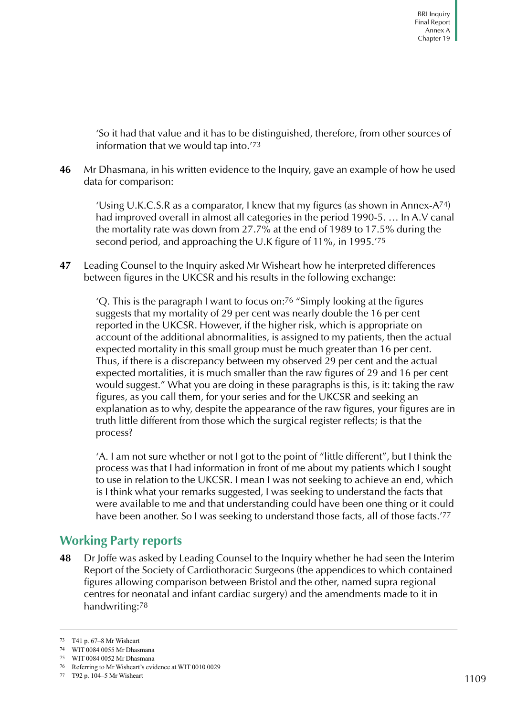'So it had that value and it has to be distinguished, therefore, from other sources of information that we would tap into.'73

**46** Mr Dhasmana, in his written evidence to the Inquiry, gave an example of how he used data for comparison:

'Using U.K.C.S.R as a comparator, I knew that my figures (as shown in Annex-A<sup>74</sup>) had improved overall in almost all categories in the period 1990-5. … In A.V canal the mortality rate was down from 27.7% at the end of 1989 to 17.5% during the second period, and approaching the U.K figure of 11%, in 1995.'75

**47** Leading Counsel to the Inquiry asked Mr Wisheart how he interpreted differences between figures in the UKCSR and his results in the following exchange:

'Q. This is the paragraph I want to focus on:76 "Simply looking at the figures suggests that my mortality of 29 per cent was nearly double the 16 per cent reported in the UKCSR. However, if the higher risk, which is appropriate on account of the additional abnormalities, is assigned to my patients, then the actual expected mortality in this small group must be much greater than 16 per cent. Thus, if there is a discrepancy between my observed 29 per cent and the actual expected mortalities, it is much smaller than the raw figures of 29 and 16 per cent would suggest." What you are doing in these paragraphs is this, is it: taking the raw figures, as you call them, for your series and for the UKCSR and seeking an explanation as to why, despite the appearance of the raw figures, your figures are in truth little different from those which the surgical register reflects; is that the process?

'A. I am not sure whether or not I got to the point of "little different", but I think the process was that I had information in front of me about my patients which I sought to use in relation to the UKCSR. I mean I was not seeking to achieve an end, which is I think what your remarks suggested, I was seeking to understand the facts that were available to me and that understanding could have been one thing or it could have been another. So I was seeking to understand those facts, all of those facts.<sup>'77</sup>

## <span id="page-20-0"></span>**Working Party reports**

**48** Dr Joffe was asked by Leading Counsel to the Inquiry whether he had seen the Interim Report of the Society of Cardiothoracic Surgeons (the appendices to which contained figures allowing comparison between Bristol and the other, named supra regional centres for neonatal and infant cardiac surgery) and the amendments made to it in handwriting:78

<sup>73</sup> T41 p. 67–8 Mr Wisheart

<sup>74</sup> WIT 0084 0055 Mr Dhasmana

<sup>75</sup> WIT 0084 0052 Mr Dhasmana

<sup>76</sup> Referring to Mr Wisheart's evidence at WIT 0010 0029

<sup>77</sup> T92 p. 104–5 Mr Wisheart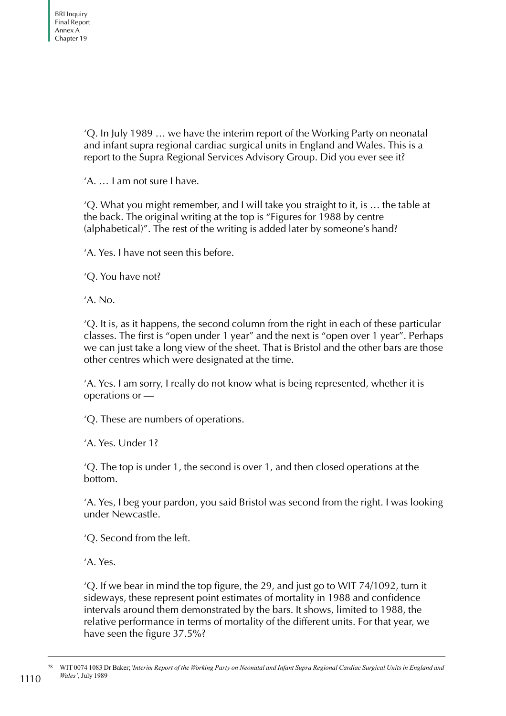'Q. In July 1989 … we have the interim report of the Working Party on neonatal and infant supra regional cardiac surgical units in England and Wales. This is a report to the Supra Regional Services Advisory Group. Did you ever see it?

'A. … I am not sure I have.

'Q. What you might remember, and I will take you straight to it, is … the table at the back. The original writing at the top is "Figures for 1988 by centre (alphabetical)". The rest of the writing is added later by someone's hand?

'A. Yes. I have not seen this before.

'Q. You have not?

'A. No.

'Q. It is, as it happens, the second column from the right in each of these particular classes. The first is "open under 1 year" and the next is "open over 1 year". Perhaps we can just take a long view of the sheet. That is Bristol and the other bars are those other centres which were designated at the time.

'A. Yes. I am sorry, I really do not know what is being represented, whether it is operations or —

'Q. These are numbers of operations.

'A. Yes. Under 1?

'Q. The top is under 1, the second is over 1, and then closed operations at the bottom.

'A. Yes, I beg your pardon, you said Bristol was second from the right. I was looking under Newcastle.

'Q. Second from the left.

'A. Yes.

'Q. If we bear in mind the top figure, the 29, and just go to WIT 74/1092, turn it sideways, these represent point estimates of mortality in 1988 and confidence intervals around them demonstrated by the bars. It shows, limited to 1988, the relative performance in terms of mortality of the different units. For that year, we have seen the figure 37.5%?

<sup>78</sup> WIT 0074 1083 Dr Baker;*'Interim Report of the Working Party on Neonatal and Infant Supra Regional Cardiac Surgical Units in England and Wales'*, July 1989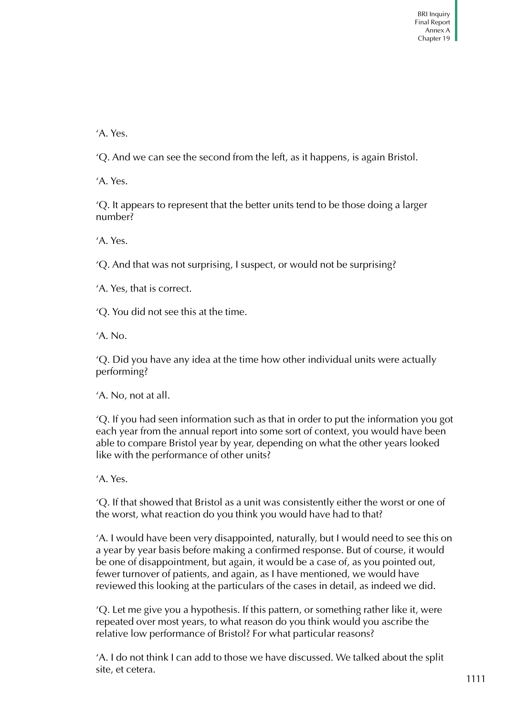'A. Yes.

'Q. And we can see the second from the left, as it happens, is again Bristol.

'A. Yes.

'Q. It appears to represent that the better units tend to be those doing a larger number?

'A. Yes.

'Q. And that was not surprising, I suspect, or would not be surprising?

'A. Yes, that is correct.

'Q. You did not see this at the time.

'A. No.

'Q. Did you have any idea at the time how other individual units were actually performing?

'A. No, not at all.

'Q. If you had seen information such as that in order to put the information you got each year from the annual report into some sort of context, you would have been able to compare Bristol year by year, depending on what the other years looked like with the performance of other units?

'A. Yes.

'Q. If that showed that Bristol as a unit was consistently either the worst or one of the worst, what reaction do you think you would have had to that?

'A. I would have been very disappointed, naturally, but I would need to see this on a year by year basis before making a confirmed response. But of course, it would be one of disappointment, but again, it would be a case of, as you pointed out, fewer turnover of patients, and again, as I have mentioned, we would have reviewed this looking at the particulars of the cases in detail, as indeed we did.

'Q. Let me give you a hypothesis. If this pattern, or something rather like it, were repeated over most years, to what reason do you think would you ascribe the relative low performance of Bristol? For what particular reasons?

'A. I do not think I can add to those we have discussed. We talked about the split site, et cetera.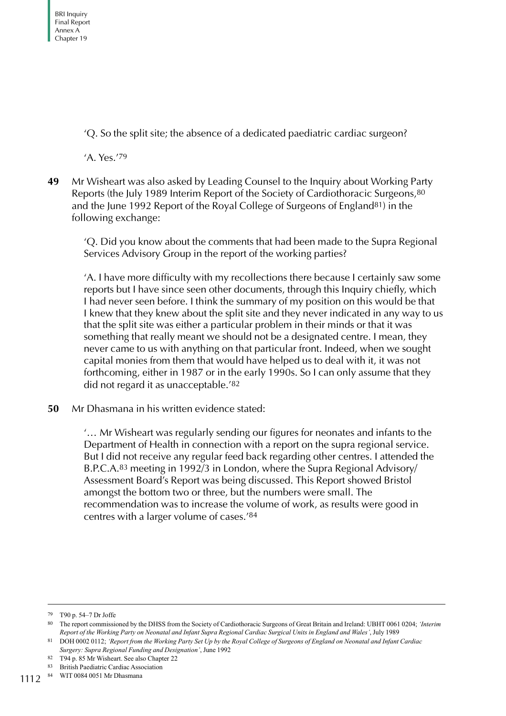'Q. So the split site; the absence of a dedicated paediatric cardiac surgeon?

'A. Yes.'79

**49** Mr Wisheart was also asked by Leading Counsel to the Inquiry about Working Party Reports (the July 1989 Interim Report of the Society of Cardiothoracic Surgeons,80 and the June 1992 Report of the Royal College of Surgeons of England81) in the following exchange:

'Q. Did you know about the comments that had been made to the Supra Regional Services Advisory Group in the report of the working parties?

'A. I have more difficulty with my recollections there because I certainly saw some reports but I have since seen other documents, through this Inquiry chiefly, which I had never seen before. I think the summary of my position on this would be that I knew that they knew about the split site and they never indicated in any way to us that the split site was either a particular problem in their minds or that it was something that really meant we should not be a designated centre. I mean, they never came to us with anything on that particular front. Indeed, when we sought capital monies from them that would have helped us to deal with it, it was not forthcoming, either in 1987 or in the early 1990s. So I can only assume that they did not regard it as unacceptable.'82

**50** Mr Dhasmana in his written evidence stated:

'… Mr Wisheart was regularly sending our figures for neonates and infants to the Department of Health in connection with a report on the supra regional service. But I did not receive any regular feed back regarding other centres. I attended the B.P.C.A.83 meeting in 1992/3 in London, where the Supra Regional Advisory/ Assessment Board's Report was being discussed. This Report showed Bristol amongst the bottom two or three, but the numbers were small. The recommendation was to increase the volume of work, as results were good in centres with a larger volume of cases.'84

<sup>79</sup> T90 p. 54–7 Dr Joffe

<sup>80</sup> The report commissioned by the DHSS from the Society of Cardiothoracic Surgeons of Great Britain and Ireland: UBHT 0061 0204; *'Interim Report of the Working Party on Neonatal and Infant Supra Regional Cardiac Surgical Units in England and Wales'*, July 1989

<sup>81</sup> DOH 0002 0112; *'Report from the Working Party Set Up by the Royal College of Surgeons of England on Neonatal and Infant Cardiac Surgery: Supra Regional Funding and Designation'*, June 1992

<sup>82</sup> T94 p. 85 Mr Wisheart. See also Chapter 22

<sup>83</sup> British Paediatric Cardiac Association

<sup>1112</sup> 84 WIT 0084 0051 Mr Dhasmana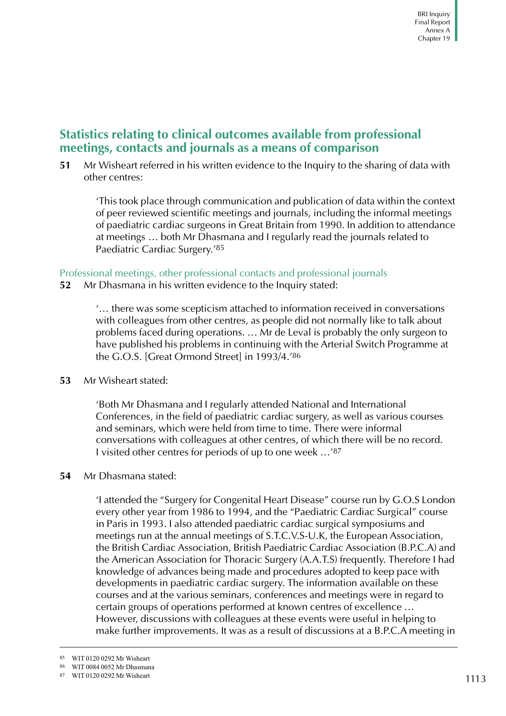### <span id="page-24-0"></span>**Statistics relating to clinical outcomes available from professional meetings, contacts and journals as a means of comparison**

**51** Mr Wisheart referred in his written evidence to the Inquiry to the sharing of data with other centres:

'This took place through communication and publication of data within the context of peer reviewed scientific meetings and journals, including the informal meetings of paediatric cardiac surgeons in Great Britain from 1990. In addition to attendance at meetings … both Mr Dhasmana and I regularly read the journals related to Paediatric Cardiac Surgery.'85

#### <span id="page-24-1"></span>Professional meetings, other professional contacts and professional journals

**52** Mr Dhasmana in his written evidence to the Inquiry stated:

'… there was some scepticism attached to information received in conversations with colleagues from other centres, as people did not normally like to talk about problems faced during operations. … Mr de Leval is probably the only surgeon to have published his problems in continuing with the Arterial Switch Programme at the G.O.S. [Great Ormond Street] in 1993/4.'86

#### **53** Mr Wisheart stated:

'Both Mr Dhasmana and I regularly attended National and International Conferences, in the field of paediatric cardiac surgery, as well as various courses and seminars, which were held from time to time. There were informal conversations with colleagues at other centres, of which there will be no record. I visited other centres for periods of up to one week …'87

#### **54** Mr Dhasmana stated:

'I attended the "Surgery for Congenital Heart Disease" course run by G.O.S London every other year from 1986 to 1994, and the "Paediatric Cardiac Surgical" course in Paris in 1993. I also attended paediatric cardiac surgical symposiums and meetings run at the annual meetings of S.T.C.V.S-U.K, the European Association, the British Cardiac Association, British Paediatric Cardiac Association (B.P.C.A) and the American Association for Thoracic Surgery (A.A.T.S) frequently. Therefore I had knowledge of advances being made and procedures adopted to keep pace with developments in paediatric cardiac surgery. The information available on these courses and at the various seminars, conferences and meetings were in regard to certain groups of operations performed at known centres of excellence … However, discussions with colleagues at these events were useful in helping to make further improvements. It was as a result of discussions at a B.P.C.A meeting in

<sup>85</sup> WIT 0120 0292 Mr Wisheart

<sup>86</sup> WIT 0084 0052 Mr Dhasmana

<sup>87</sup> WIT 0120 0292 Mr Wisheart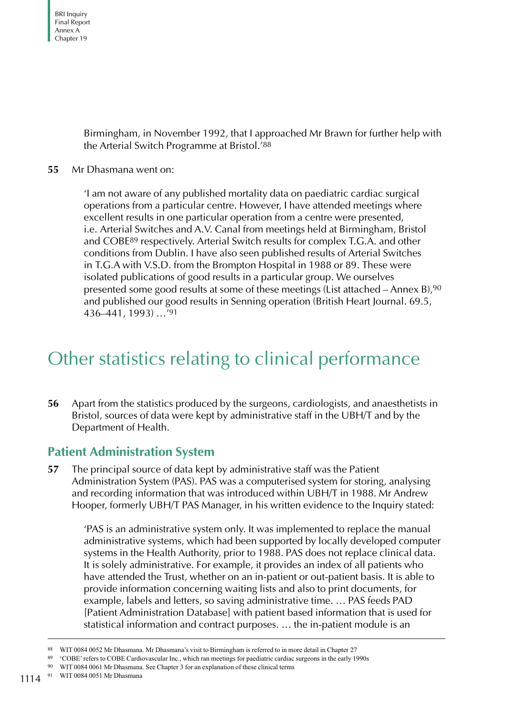Birmingham, in November 1992, that I approached Mr Brawn for further help with the Arterial Switch Programme at Bristol.'88

#### **55** Mr Dhasmana went on:

'I am not aware of any published mortality data on paediatric cardiac surgical operations from a particular centre. However, I have attended meetings where excellent results in one particular operation from a centre were presented, i.e. Arterial Switches and A.V. Canal from meetings held at Birmingham, Bristol and COBE89 respectively. Arterial Switch results for complex T.G.A. and other conditions from Dublin. I have also seen published results of Arterial Switches in T.G.A with V.S.D. from the Brompton Hospital in 1988 or 89. These were isolated publications of good results in a particular group. We ourselves presented some good results at some of these meetings (List attached – Annex B),90 and published our good results in Senning operation (British Heart Journal. 69.5, 436–441, 1993) …'91

## <span id="page-25-0"></span>Other statistics relating to clinical performance

**56** Apart from the statistics produced by the surgeons, cardiologists, and anaesthetists in Bristol, sources of data were kept by administrative staff in the UBH/T and by the Department of Health.

### <span id="page-25-1"></span>**Patient Administration System**

**57** The principal source of data kept by administrative staff was the Patient Administration System (PAS). PAS was a computerised system for storing, analysing and recording information that was introduced within UBH/T in 1988. Mr Andrew Hooper, formerly UBH/T PAS Manager, in his written evidence to the Inquiry stated:

'PAS is an administrative system only. It was implemented to replace the manual administrative systems, which had been supported by locally developed computer systems in the Health Authority, prior to 1988. PAS does not replace clinical data. It is solely administrative. For example, it provides an index of all patients who have attended the Trust, whether on an in-patient or out-patient basis. It is able to provide information concerning waiting lists and also to print documents, for example, labels and letters, so saving administrative time. … PAS feeds PAD [Patient Administration Database] with patient based information that is used for statistical information and contract purposes. … the in-patient module is an

<sup>88</sup> WIT 0084 0052 Mr Dhasmana. Mr Dhasmana's visit to Birmingham is referred to in more detail in Chapter 27

<sup>89</sup> 'COBE' refers to COBE Cardiovascular Inc., which ran meetings for paediatric cardiac surgeons in the early 1990s

<sup>90</sup> WIT 0084 0061 Mr Dhasmana. See Chapter 3 for an explanation of these clinical terms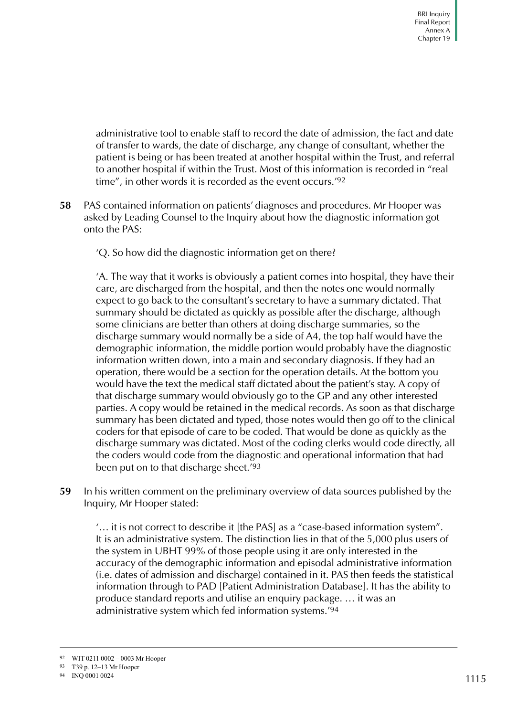administrative tool to enable staff to record the date of admission, the fact and date of transfer to wards, the date of discharge, any change of consultant, whether the patient is being or has been treated at another hospital within the Trust, and referral to another hospital if within the Trust. Most of this information is recorded in "real time", in other words it is recorded as the event occurs.'92

**58** PAS contained information on patients' diagnoses and procedures. Mr Hooper was asked by Leading Counsel to the Inquiry about how the diagnostic information got onto the PAS:

'Q. So how did the diagnostic information get on there?

'A. The way that it works is obviously a patient comes into hospital, they have their care, are discharged from the hospital, and then the notes one would normally expect to go back to the consultant's secretary to have a summary dictated. That summary should be dictated as quickly as possible after the discharge, although some clinicians are better than others at doing discharge summaries, so the discharge summary would normally be a side of A4, the top half would have the demographic information, the middle portion would probably have the diagnostic information written down, into a main and secondary diagnosis. If they had an operation, there would be a section for the operation details. At the bottom you would have the text the medical staff dictated about the patient's stay. A copy of that discharge summary would obviously go to the GP and any other interested parties. A copy would be retained in the medical records. As soon as that discharge summary has been dictated and typed, those notes would then go off to the clinical coders for that episode of care to be coded. That would be done as quickly as the discharge summary was dictated. Most of the coding clerks would code directly, all the coders would code from the diagnostic and operational information that had been put on to that discharge sheet.'93

**59** In his written comment on the preliminary overview of data sources published by the Inquiry, Mr Hooper stated:

'… it is not correct to describe it [the PAS] as a "case-based information system". It is an administrative system. The distinction lies in that of the 5,000 plus users of the system in UBHT 99% of those people using it are only interested in the accuracy of the demographic information and episodal administrative information (i.e. dates of admission and discharge) contained in it. PAS then feeds the statistical information through to PAD [Patient Administration Database]. It has the ability to produce standard reports and utilise an enquiry package. … it was an administrative system which fed information systems.'94

<sup>92</sup> WIT 0211 0002 – 0003 Mr Hooper

<sup>93</sup> T39 p. 12–13 Mr Hooper

<sup>94</sup> INQ 0001 0024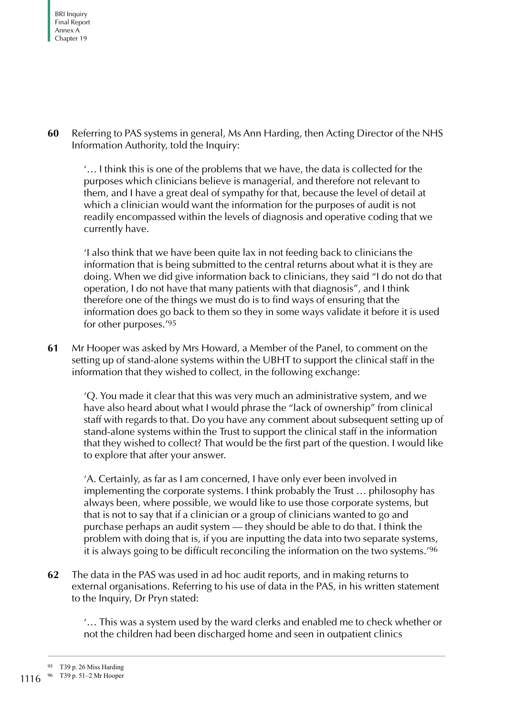**60** Referring to PAS systems in general, Ms Ann Harding, then Acting Director of the NHS Information Authority, told the Inquiry:

'… I think this is one of the problems that we have, the data is collected for the purposes which clinicians believe is managerial, and therefore not relevant to them, and I have a great deal of sympathy for that, because the level of detail at which a clinician would want the information for the purposes of audit is not readily encompassed within the levels of diagnosis and operative coding that we currently have.

'I also think that we have been quite lax in not feeding back to clinicians the information that is being submitted to the central returns about what it is they are doing. When we did give information back to clinicians, they said "I do not do that operation, I do not have that many patients with that diagnosis", and I think therefore one of the things we must do is to find ways of ensuring that the information does go back to them so they in some ways validate it before it is used for other purposes.'95

**61** Mr Hooper was asked by Mrs Howard, a Member of the Panel, to comment on the setting up of stand-alone systems within the UBHT to support the clinical staff in the information that they wished to collect, in the following exchange:

'Q. You made it clear that this was very much an administrative system, and we have also heard about what I would phrase the "lack of ownership" from clinical staff with regards to that. Do you have any comment about subsequent setting up of stand-alone systems within the Trust to support the clinical staff in the information that they wished to collect? That would be the first part of the question. I would like to explore that after your answer.

'A. Certainly, as far as I am concerned, I have only ever been involved in implementing the corporate systems. I think probably the Trust … philosophy has always been, where possible, we would like to use those corporate systems, but that is not to say that if a clinician or a group of clinicians wanted to go and purchase perhaps an audit system — they should be able to do that. I think the problem with doing that is, if you are inputting the data into two separate systems, it is always going to be difficult reconciling the information on the two systems.'96

**62** The data in the PAS was used in ad hoc audit reports, and in making returns to external organisations. Referring to his use of data in the PAS, in his written statement to the Inquiry, Dr Pryn stated:

'… This was a system used by the ward clerks and enabled me to check whether or not the children had been discharged home and seen in outpatient clinics

<sup>95</sup> T39 p. 26 Miss Harding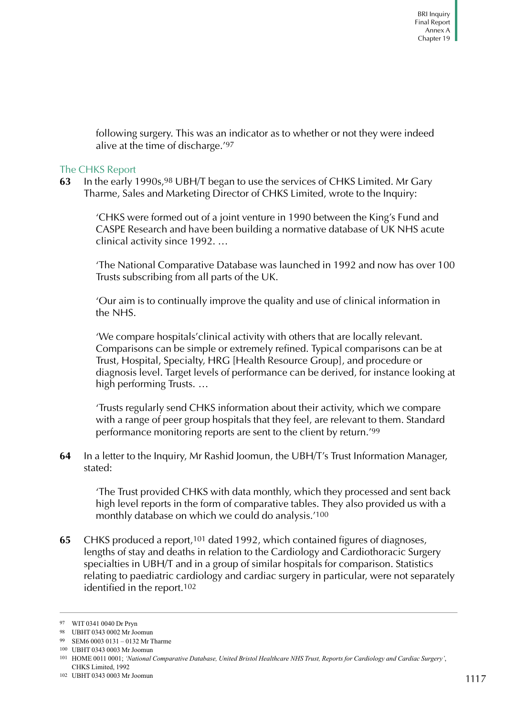following surgery. This was an indicator as to whether or not they were indeed alive at the time of discharge.'97

#### <span id="page-28-0"></span>The CHKS Report

**63** In the early 1990s,98 UBH/T began to use the services of CHKS Limited. Mr Gary Tharme, Sales and Marketing Director of CHKS Limited, wrote to the Inquiry:

'CHKS were formed out of a joint venture in 1990 between the King's Fund and CASPE Research and have been building a normative database of UK NHS acute clinical activity since 1992. …

'The National Comparative Database was launched in 1992 and now has over 100 Trusts subscribing from all parts of the UK.

'Our aim is to continually improve the quality and use of clinical information in the NHS.

'We compare hospitals'clinical activity with others that are locally relevant. Comparisons can be simple or extremely refined. Typical comparisons can be at Trust, Hospital, Specialty, HRG [Health Resource Group], and procedure or diagnosis level. Target levels of performance can be derived, for instance looking at high performing Trusts. …

'Trusts regularly send CHKS information about their activity, which we compare with a range of peer group hospitals that they feel, are relevant to them. Standard performance monitoring reports are sent to the client by return.'99

**64** In a letter to the Inquiry, Mr Rashid Joomun, the UBH/T's Trust Information Manager, stated:

'The Trust provided CHKS with data monthly, which they processed and sent back high level reports in the form of comparative tables. They also provided us with a monthly database on which we could do analysis.'100

**65** CHKS produced a report,101 dated 1992, which contained figures of diagnoses, lengths of stay and deaths in relation to the Cardiology and Cardiothoracic Surgery specialties in UBH/T and in a group of similar hospitals for comparison. Statistics relating to paediatric cardiology and cardiac surgery in particular, were not separately identified in the report.<sup>102</sup>

<sup>97</sup> WIT 0341 0040 Dr Pryn

<sup>98</sup> UBHT 0343 0002 Mr Joomun

<sup>99</sup> SEM6 0003 0131 – 0132 Mr Tharme

<sup>100</sup> UBHT 0343 0003 Mr Joomun

<sup>101</sup> HOME 0011 0001; *'National Comparative Database, United Bristol Healthcare NHS Trust, Reports for Cardiology and Cardiac Surgery'*, CHKS Limited, 1992

<sup>102</sup> UBHT 0343 0003 Mr Joomun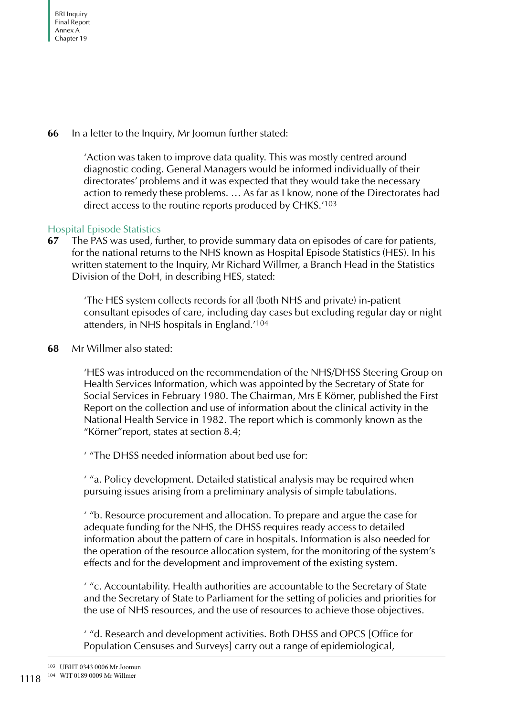**66** In a letter to the Inquiry, Mr Joomun further stated:

'Action was taken to improve data quality. This was mostly centred around diagnostic coding. General Managers would be informed individually of their directorates' problems and it was expected that they would take the necessary action to remedy these problems. … As far as I know, none of the Directorates had direct access to the routine reports produced by CHKS.'103

#### <span id="page-29-0"></span>Hospital Episode Statistics

**67** The PAS was used, further, to provide summary data on episodes of care for patients, for the national returns to the NHS known as Hospital Episode Statistics (HES). In his written statement to the Inquiry, Mr Richard Willmer, a Branch Head in the Statistics Division of the DoH, in describing HES, stated:

'The HES system collects records for all (both NHS and private) in-patient consultant episodes of care, including day cases but excluding regular day or night attenders, in NHS hospitals in England.'104

**68** Mr Willmer also stated:

'HES was introduced on the recommendation of the NHS/DHSS Steering Group on Health Services Information, which was appointed by the Secretary of State for Social Services in February 1980. The Chairman, Mrs E Körner, published the First Report on the collection and use of information about the clinical activity in the National Health Service in 1982. The report which is commonly known as the "Körner"report, states at section 8.4;

' "The DHSS needed information about bed use for:

' "a. Policy development. Detailed statistical analysis may be required when pursuing issues arising from a preliminary analysis of simple tabulations.

' "b. Resource procurement and allocation. To prepare and argue the case for adequate funding for the NHS, the DHSS requires ready access to detailed information about the pattern of care in hospitals. Information is also needed for the operation of the resource allocation system, for the monitoring of the system's effects and for the development and improvement of the existing system.

' "c. Accountability. Health authorities are accountable to the Secretary of State and the Secretary of State to Parliament for the setting of policies and priorities for the use of NHS resources, and the use of resources to achieve those objectives.

' "d. Research and development activities. Both DHSS and OPCS [Office for Population Censuses and Surveys] carry out a range of epidemiological,

103 UBHT 0343 0006 Mr Joomun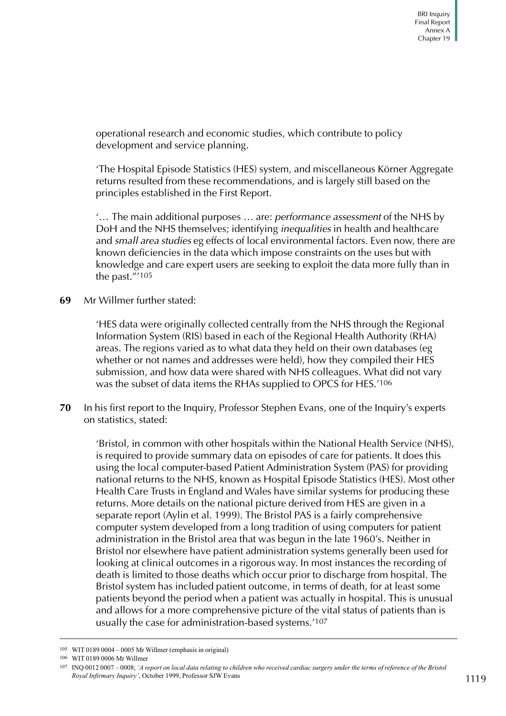operational research and economic studies, which contribute to policy development and service planning.

'The Hospital Episode Statistics (HES) system, and miscellaneous Körner Aggregate returns resulted from these recommendations, and is largely still based on the principles established in the First Report.

'… The main additional purposes … are: performance assessment of the NHS by DoH and the NHS themselves; identifying inequalities in health and healthcare and small area studies eg effects of local environmental factors. Even now, there are known deficiencies in the data which impose constraints on the uses but with knowledge and care expert users are seeking to exploit the data more fully than in the past."'105

#### **69** Mr Willmer further stated:

'HES data were originally collected centrally from the NHS through the Regional Information System (RIS) based in each of the Regional Health Authority (RHA) areas. The regions varied as to what data they held on their own databases (eg whether or not names and addresses were held), how they compiled their HES submission, and how data were shared with NHS colleagues. What did not vary was the subset of data items the RHAs supplied to OPCS for HES.'106

**70** In his first report to the Inquiry, Professor Stephen Evans, one of the Inquiry's experts on statistics, stated:

'Bristol, in common with other hospitals within the National Health Service (NHS), is required to provide summary data on episodes of care for patients. It does this using the local computer-based Patient Administration System (PAS) for providing national returns to the NHS, known as Hospital Episode Statistics (HES). Most other Health Care Trusts in England and Wales have similar systems for producing these returns. More details on the national picture derived from HES are given in a separate report (Aylin et al. 1999). The Bristol PAS is a fairly comprehensive computer system developed from a long tradition of using computers for patient administration in the Bristol area that was begun in the late 1960's. Neither in Bristol nor elsewhere have patient administration systems generally been used for looking at clinical outcomes in a rigorous way. In most instances the recording of death is limited to those deaths which occur prior to discharge from hospital. The Bristol system has included patient outcome, in terms of death, for at least some patients beyond the period when a patient was actually in hospital. This is unusual and allows for a more comprehensive picture of the vital status of patients than is usually the case for administration-based systems.'107

<sup>105</sup> WIT 0189 0004 – 0005 Mr Willmer (emphasis in original)

<sup>106</sup> WIT 0189 0006 Mr Willmer

<sup>107</sup> INQ 0012 0007 – 0008; *'A report on local data relating to children who received cardiac surgery under the terms of reference of the Bristol Royal Infirmary Inquiry'*, October 1999, Professor SJW Evans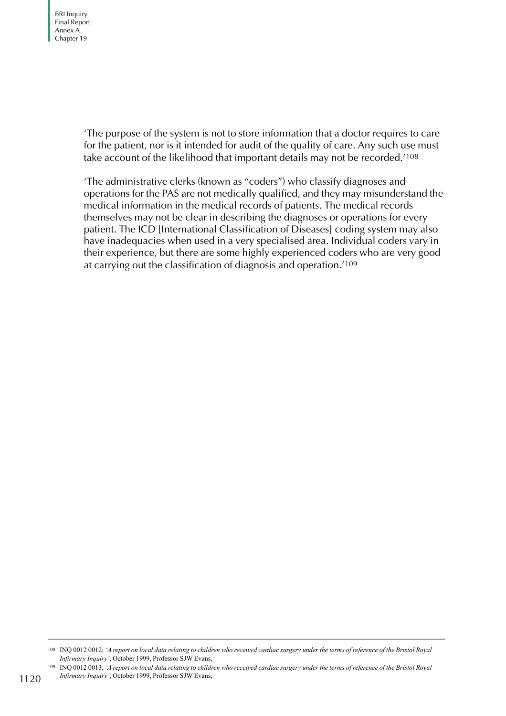'The purpose of the system is not to store information that a doctor requires to care for the patient, nor is it intended for audit of the quality of care. Any such use must take account of the likelihood that important details may not be recorded.'108

'The administrative clerks (known as "coders") who classify diagnoses and operations for the PAS are not medically qualified, and they may misunderstand the medical information in the medical records of patients. The medical records themselves may not be clear in describing the diagnoses or operations for every patient. The ICD [International Classification of Diseases] coding system may also have inadequacies when used in a very specialised area. Individual coders vary in their experience, but there are some highly experienced coders who are very good at carrying out the classification of diagnosis and operation.'109

<sup>108</sup> INQ 0012 0012; *'A report on local data relating to children who received cardiac surgery under the terms of reference of the Bristol Royal Infirmary Inquiry'*, October 1999, Professor SJW Evans,

<sup>109</sup> INQ 0012 0013; *'A report on local data relating to children who received cardiac surgery under the terms of reference of the Bristol Royal Infirmary Inquiry'*, October 1999, Professor SJW Evans,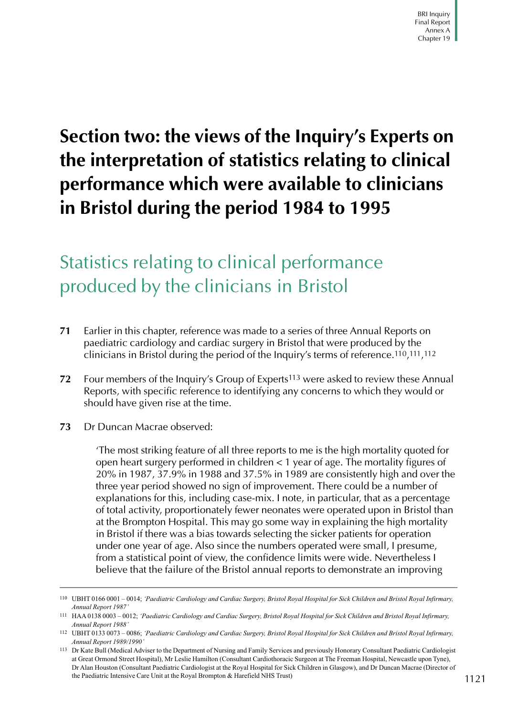# <span id="page-32-0"></span>**Section two: the views of the Inquiry's Experts on the interpretation of statistics relating to clinical performance which were available to clinicians in Bristol during the period 1984 to 1995**

# <span id="page-32-1"></span>Statistics relating to clinical performance produced by the clinicians in Bristol

- **71** Earlier in this chapter, reference was made to a series of three Annual Reports on paediatric cardiology and cardiac surgery in Bristol that were produced by the clinicians in Bristol during the period of the Inquiry's terms of reference.110,111,112
- **72** Four members of the Inquiry's Group of Experts113 were asked to review these Annual Reports, with specific reference to identifying any concerns to which they would or should have given rise at the time.
- **73** Dr Duncan Macrae observed:

'The most striking feature of all three reports to me is the high mortality quoted for open heart surgery performed in children < 1 year of age. The mortality figures of 20% in 1987, 37.9% in 1988 and 37.5% in 1989 are consistently high and over the three year period showed no sign of improvement. There could be a number of explanations for this, including case-mix. I note, in particular, that as a percentage of total activity, proportionately fewer neonates were operated upon in Bristol than at the Brompton Hospital. This may go some way in explaining the high mortality in Bristol if there was a bias towards selecting the sicker patients for operation under one year of age. Also since the numbers operated were small, I presume, from a statistical point of view, the confidence limits were wide. Nevertheless I believe that the failure of the Bristol annual reports to demonstrate an improving

<sup>110</sup> UBHT 0166 0001 – 0014; *'Paediatric Cardiology and Cardiac Surgery, Bristol Royal Hospital for Sick Children and Bristol Royal Infirmary, Annual Report 1987'*

<sup>111</sup> HAA 0138 0003 – 0012; *'Paediatric Cardiology and Cardiac Surgery, Bristol Royal Hospital for Sick Children and Bristol Royal Infirmary, Annual Report 1988'*

<sup>112</sup> UBHT 0133 0073 – 0086; *'Paediatric Cardiology and Cardiac Surgery, Bristol Royal Hospital for Sick Children and Bristol Royal Infirmary, Annual Report 1989/1990'*

<sup>113</sup> Dr Kate Bull (Medical Adviser to the Department of Nursing and Family Services and previously Honorary Consultant Paediatric Cardiologist at Great Ormond Street Hospital), Mr Leslie Hamilton (Consultant Cardiothoracic Surgeon at The Freeman Hospital, Newcastle upon Tyne), Dr Alan Houston (Consultant Paediatric Cardiologist at the Royal Hospital for Sick Children in Glasgow), and Dr Duncan Macrae (Director of the Paediatric Intensive Care Unit at the Royal Brompton & Harefield NHS Trust)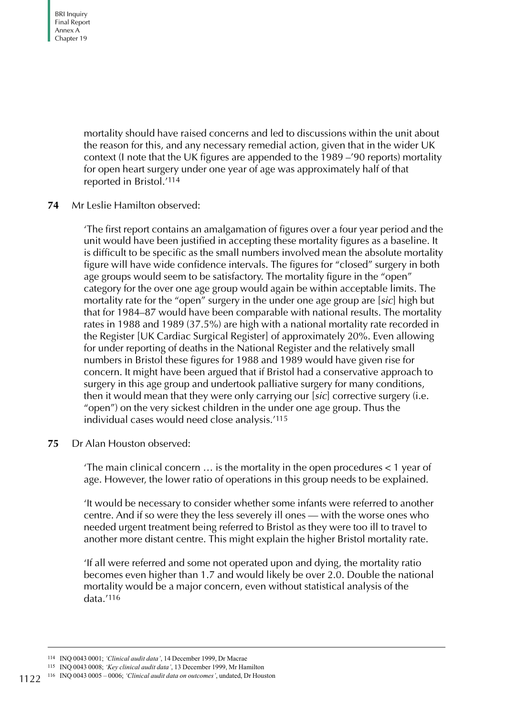mortality should have raised concerns and led to discussions within the unit about the reason for this, and any necessary remedial action, given that in the wider UK context (I note that the UK figures are appended to the 1989 –'90 reports) mortality for open heart surgery under one year of age was approximately half of that reported in Bristol.'114

#### **74** Mr Leslie Hamilton observed:

'The first report contains an amalgamation of figures over a four year period and the unit would have been justified in accepting these mortality figures as a baseline. It is difficult to be specific as the small numbers involved mean the absolute mortality figure will have wide confidence intervals. The figures for "closed" surgery in both age groups would seem to be satisfactory. The mortality figure in the "open" category for the over one age group would again be within acceptable limits. The mortality rate for the "open" surgery in the under one age group are [sic] high but that for 1984–87 would have been comparable with national results. The mortality rates in 1988 and 1989 (37.5%) are high with a national mortality rate recorded in the Register [UK Cardiac Surgical Register] of approximately 20%. Even allowing for under reporting of deaths in the National Register and the relatively small numbers in Bristol these figures for 1988 and 1989 would have given rise for concern. It might have been argued that if Bristol had a conservative approach to surgery in this age group and undertook palliative surgery for many conditions, then it would mean that they were only carrying our [sic] corrective surgery (i.e. "open") on the very sickest children in the under one age group. Thus the individual cases would need close analysis.'115

**75** Dr Alan Houston observed:

'The main clinical concern … is the mortality in the open procedures < 1 year of age. However, the lower ratio of operations in this group needs to be explained.

'It would be necessary to consider whether some infants were referred to another centre. And if so were they the less severely ill ones — with the worse ones who needed urgent treatment being referred to Bristol as they were too ill to travel to another more distant centre. This might explain the higher Bristol mortality rate.

'If all were referred and some not operated upon and dying, the mortality ratio becomes even higher than 1.7 and would likely be over 2.0. Double the national mortality would be a major concern, even without statistical analysis of the data.'116

<sup>114</sup> INQ 0043 0001; *'Clinical audit data'*, 14 December 1999, Dr Macrae

<sup>115</sup> INQ 0043 0008; *'Key clinical audit data'*, 13 December 1999, Mr Hamilton

<sup>116</sup> INQ 0043 0005 – 0006; *'Clinical audit data on outcomes'*, undated, Dr Houston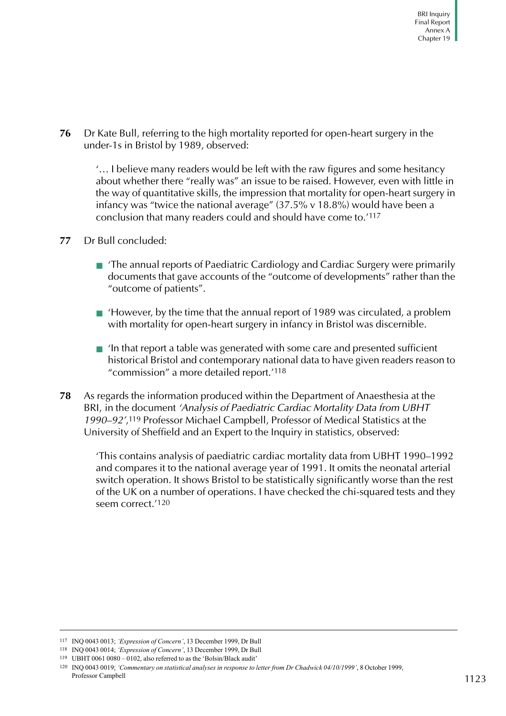**76** Dr Kate Bull, referring to the high mortality reported for open-heart surgery in the under-1s in Bristol by 1989, observed:

'… I believe many readers would be left with the raw figures and some hesitancy about whether there "really was" an issue to be raised. However, even with little in the way of quantitative skills, the impression that mortality for open-heart surgery in infancy was "twice the national average" (37.5% v 18.8%) would have been a conclusion that many readers could and should have come to.'117

#### **77** Dr Bull concluded:

- The annual reports of Paediatric Cardiology and Cardiac Surgery were primarily documents that gave accounts of the "outcome of developments" rather than the "outcome of patients".
- However, by the time that the annual report of 1989 was circulated, a problem with mortality for open-heart surgery in infancy in Bristol was discernible.
- 'In that report a table was generated with some care and presented sufficient historical Bristol and contemporary national data to have given readers reason to "commission" a more detailed report.'118
- **78** As regards the information produced within the Department of Anaesthesia at the BRI, in the document 'Analysis of Paediatric Cardiac Mortality Data from UBHT 1990–92',119 Professor Michael Campbell, Professor of Medical Statistics at the University of Sheffield and an Expert to the Inquiry in statistics, observed:

'This contains analysis of paediatric cardiac mortality data from UBHT 1990–1992 and compares it to the national average year of 1991. It omits the neonatal arterial switch operation. It shows Bristol to be statistically significantly worse than the rest of the UK on a number of operations. I have checked the chi-squared tests and they seem correct.'120

<sup>117</sup> INQ 0043 0013; *'Expression of Concern'*, 13 December 1999, Dr Bull

<sup>118</sup> INQ 0043 0014; *'Expression of Concern'*, 13 December 1999, Dr Bull

<sup>119</sup> UBHT 0061 0080 – 0102, also referred to as the 'Bolsin/Black audit'

<sup>120</sup> INQ 0043 0019; *'Commentary on statistical analyses in response to letter from Dr Chadwick 04/10/1999'*, 8 October 1999, Professor Campbell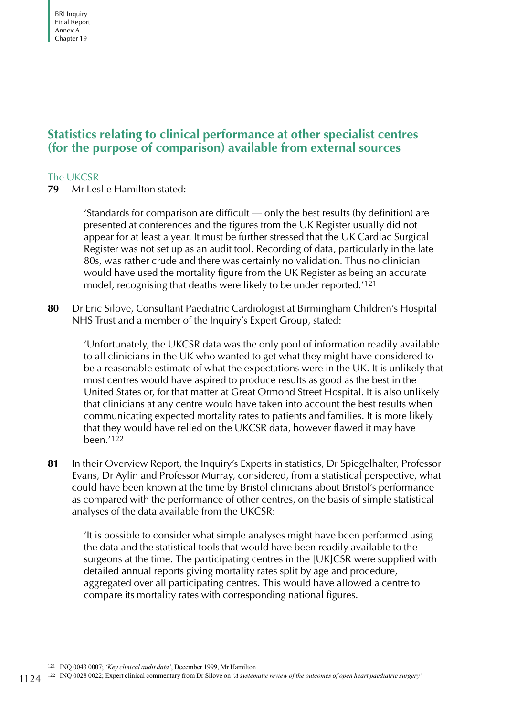### <span id="page-35-0"></span>**Statistics relating to clinical performance at other specialist centres (for the purpose of comparison) available from external sources**

#### <span id="page-35-1"></span>The UKCSR

**79** Mr Leslie Hamilton stated:

'Standards for comparison are difficult — only the best results (by definition) are presented at conferences and the figures from the UK Register usually did not appear for at least a year. It must be further stressed that the UK Cardiac Surgical Register was not set up as an audit tool. Recording of data, particularly in the late 80s, was rather crude and there was certainly no validation. Thus no clinician would have used the mortality figure from the UK Register as being an accurate model, recognising that deaths were likely to be under reported.'121

**80** Dr Eric Silove, Consultant Paediatric Cardiologist at Birmingham Children's Hospital NHS Trust and a member of the Inquiry's Expert Group, stated:

'Unfortunately, the UKCSR data was the only pool of information readily available to all clinicians in the UK who wanted to get what they might have considered to be a reasonable estimate of what the expectations were in the UK. It is unlikely that most centres would have aspired to produce results as good as the best in the United States or, for that matter at Great Ormond Street Hospital. It is also unlikely that clinicians at any centre would have taken into account the best results when communicating expected mortality rates to patients and families. It is more likely that they would have relied on the UKCSR data, however flawed it may have been.'122

**81** In their Overview Report, the Inquiry's Experts in statistics, Dr Spiegelhalter, Professor Evans, Dr Aylin and Professor Murray, considered, from a statistical perspective, what could have been known at the time by Bristol clinicians about Bristol's performance as compared with the performance of other centres, on the basis of simple statistical analyses of the data available from the UKCSR:

'It is possible to consider what simple analyses might have been performed using the data and the statistical tools that would have been readily available to the surgeons at the time. The participating centres in the [UK]CSR were supplied with detailed annual reports giving mortality rates split by age and procedure, aggregated over all participating centres. This would have allowed a centre to compare its mortality rates with corresponding national figures.

121 INQ 0043 0007; *'Key clinical audit data'*, December 1999, Mr Hamilton

1124 122 INQ 0028 0022; Expert clinical commentary from Dr Silove on *'A systematic review of the outcomes of open heart paediatric surgery'*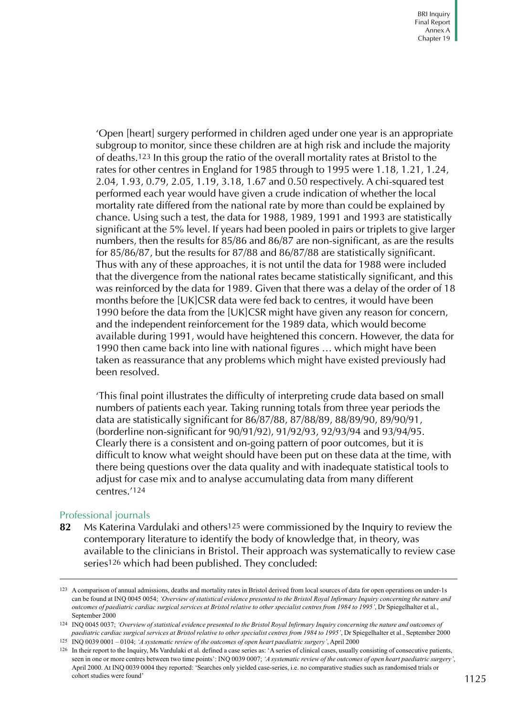'Open [heart] surgery performed in children aged under one year is an appropriate subgroup to monitor, since these children are at high risk and include the majority of deaths.123 In this group the ratio of the overall mortality rates at Bristol to the rates for other centres in England for 1985 through to 1995 were 1.18, 1.21, 1.24, 2.04, 1.93, 0.79, 2.05, 1.19, 3.18, 1.67 and 0.50 respectively. A chi-squared test performed each year would have given a crude indication of whether the local mortality rate differed from the national rate by more than could be explained by chance. Using such a test, the data for 1988, 1989, 1991 and 1993 are statistically significant at the 5% level. If years had been pooled in pairs or triplets to give larger numbers, then the results for 85/86 and 86/87 are non-significant, as are the results for 85/86/87, but the results for 87/88 and 86/87/88 are statistically significant. Thus with any of these approaches, it is not until the data for 1988 were included that the divergence from the national rates became statistically significant, and this was reinforced by the data for 1989. Given that there was a delay of the order of 18 months before the [UK]CSR data were fed back to centres, it would have been 1990 before the data from the [UK]CSR might have given any reason for concern, and the independent reinforcement for the 1989 data, which would become available during 1991, would have heightened this concern. However, the data for 1990 then came back into line with national figures … which might have been taken as reassurance that any problems which might have existed previously had been resolved.

'This final point illustrates the difficulty of interpreting crude data based on small numbers of patients each year. Taking running totals from three year periods the data are statistically significant for 86/87/88, 87/88/89, 88/89/90, 89/90/91, (borderline non-significant for 90/91/92), 91/92/93, 92/93/94 and 93/94/95. Clearly there is a consistent and on-going pattern of poor outcomes, but it is difficult to know what weight should have been put on these data at the time, with there being questions over the data quality and with inadequate statistical tools to adjust for case mix and to analyse accumulating data from many different centres.'124

### Professional journals

**82** Ms Katerina Vardulaki and others125 were commissioned by the Inquiry to review the contemporary literature to identify the body of knowledge that, in theory, was available to the clinicians in Bristol. Their approach was systematically to review case series126 which had been published. They concluded:

<sup>123</sup> A comparison of annual admissions, deaths and mortality rates in Bristol derived from local sources of data for open operations on under-1s can be found at INQ 0045 0054; *'Overview of statistical evidence presented to the Bristol Royal Infirmary Inquiry concerning the nature and outcomes of paediatric cardiac surgical services at Bristol relative to other specialist centres from 1984 to 1995'*, Dr Spiegelhalter et al*.*, September 2000

<sup>124</sup> INQ 0045 0037; *'Overview of statistical evidence presented to the Bristol Royal Infirmary Inquiry concerning the nature and outcomes of paediatric cardiac surgical services at Bristol relative to other specialist centres from 1984 to 1995'*, Dr Spiegelhalter et al., September 2000

<sup>125</sup> INQ 0039 0001 – 0104; *'A systematic review of the outcomes of open heart paediatric surgery'*, April 2000

<sup>126</sup> In their report to the Inquiry, Ms Vardulaki et al. defined a case series as: 'A series of clinical cases, usually consisting of consecutive patients, seen in one or more centres between two time points': INQ 0039 0007; *'A systematic review of the outcomes of open heart paediatric surgery'*, April 2000. At INQ 0039 0004 they reported: 'Searches only yielded case-series, i.e. no comparative studies such as randomised trials or cohort studies were found'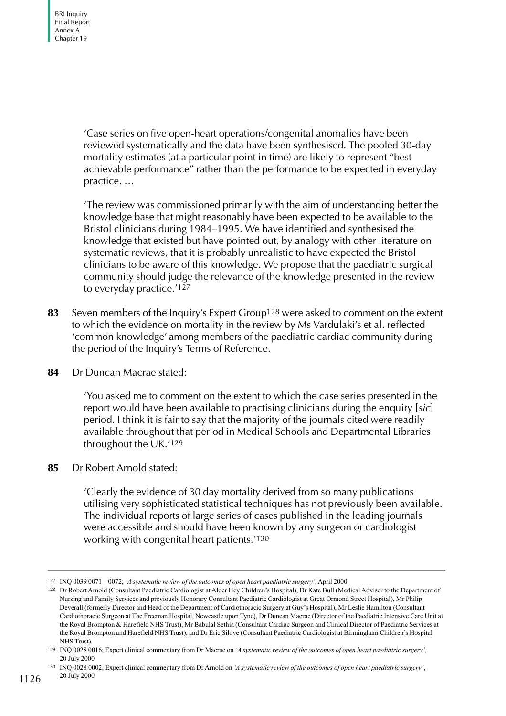'Case series on five open-heart operations/congenital anomalies have been reviewed systematically and the data have been synthesised. The pooled 30-day mortality estimates (at a particular point in time) are likely to represent "best achievable performance" rather than the performance to be expected in everyday practice. …

'The review was commissioned primarily with the aim of understanding better the knowledge base that might reasonably have been expected to be available to the Bristol clinicians during 1984–1995. We have identified and synthesised the knowledge that existed but have pointed out, by analogy with other literature on systematic reviews, that it is probably unrealistic to have expected the Bristol clinicians to be aware of this knowledge. We propose that the paediatric surgical community should judge the relevance of the knowledge presented in the review to everyday practice.'127

- **83** Seven members of the Inquiry's Expert Group128 were asked to comment on the extent to which the evidence on mortality in the review by Ms Vardulaki's et al. reflected 'common knowledge' among members of the paediatric cardiac community during the period of the Inquiry's Terms of Reference.
- **84** Dr Duncan Macrae stated:

'You asked me to comment on the extent to which the case series presented in the report would have been available to practising clinicians during the enquiry [sic] period. I think it is fair to say that the majority of the journals cited were readily available throughout that period in Medical Schools and Departmental Libraries throughout the UK.'129

**85** Dr Robert Arnold stated:

'Clearly the evidence of 30 day mortality derived from so many publications utilising very sophisticated statistical techniques has not previously been available. The individual reports of large series of cases published in the leading journals were accessible and should have been known by any surgeon or cardiologist working with congenital heart patients.'130

<sup>127</sup> INQ 0039 0071 – 0072; *'A systematic review of the outcomes of open heart paediatric surgery'*, April 2000

<sup>128</sup> Dr Robert Arnold (Consultant Paediatric Cardiologist at Alder Hey Children's Hospital), Dr Kate Bull (Medical Adviser to the Department of Nursing and Family Services and previously Honorary Consultant Paediatric Cardiologist at Great Ormond Street Hospital), Mr Philip Deverall (formerly Director and Head of the Department of Cardiothoracic Surgery at Guy's Hospital), Mr Leslie Hamilton (Consultant Cardiothoracic Surgeon at The Freeman Hospital, Newcastle upon Tyne), Dr Duncan Macrae (Director of the Paediatric Intensive Care Unit at the Royal Brompton & Harefield NHS Trust), Mr Babulal Sethia (Consultant Cardiac Surgeon and Clinical Director of Paediatric Services at the Royal Brompton and Harefield NHS Trust), and Dr Eric Silove (Consultant Paediatric Cardiologist at Birmingham Children's Hospital NHS Trust)

<sup>129</sup> INQ 0028 0016; Expert clinical commentary from Dr Macrae on *'A systematic review of the outcomes of open heart paediatric surgery'*, 20 July 2000

<sup>130</sup> INQ 0028 0002; Expert clinical commentary from Dr Arnold on *'A systematic review of the outcomes of open heart paediatric surgery'*, 20 July 2000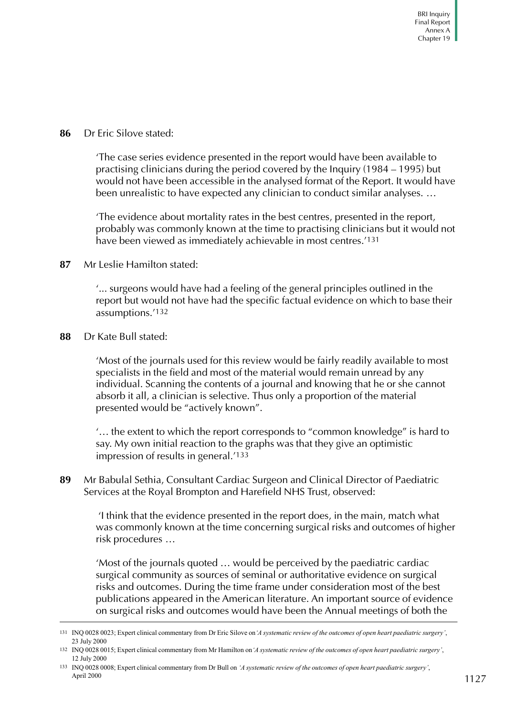### **86** Dr Eric Silove stated:

'The case series evidence presented in the report would have been available to practising clinicians during the period covered by the Inquiry (1984 – 1995) but would not have been accessible in the analysed format of the Report. It would have been unrealistic to have expected any clinician to conduct similar analyses. …

'The evidence about mortality rates in the best centres, presented in the report, probably was commonly known at the time to practising clinicians but it would not have been viewed as immediately achievable in most centres.'131

### **87** Mr Leslie Hamilton stated:

'... surgeons would have had a feeling of the general principles outlined in the report but would not have had the specific factual evidence on which to base their assumptions.'132

### **88** Dr Kate Bull stated:

'Most of the journals used for this review would be fairly readily available to most specialists in the field and most of the material would remain unread by any individual. Scanning the contents of a journal and knowing that he or she cannot absorb it all, a clinician is selective. Thus only a proportion of the material presented would be "actively known".

'… the extent to which the report corresponds to "common knowledge" is hard to say. My own initial reaction to the graphs was that they give an optimistic impression of results in general.'133

**89** Mr Babulal Sethia, Consultant Cardiac Surgeon and Clinical Director of Paediatric Services at the Royal Brompton and Harefield NHS Trust, observed:

 'I think that the evidence presented in the report does, in the main, match what was commonly known at the time concerning surgical risks and outcomes of higher risk procedures …

'Most of the journals quoted … would be perceived by the paediatric cardiac surgical community as sources of seminal or authoritative evidence on surgical risks and outcomes. During the time frame under consideration most of the best publications appeared in the American literature. An important source of evidence on surgical risks and outcomes would have been the Annual meetings of both the

<sup>131</sup> INQ 0028 0023; Expert clinical commentary from Dr Eric Silove on*'A systematic review of the outcomes of open heart paediatric surgery'*, 23 July 2000

<sup>132</sup> INQ 0028 0015; Expert clinical commentary from Mr Hamilton on*'A systematic review of the outcomes of open heart paediatric surgery'*, 12 July 2000

<sup>133</sup> INQ 0028 0008; Expert clinical commentary from Dr Bull on *'A systematic review of the outcomes of open heart paediatric surgery'*, April 2000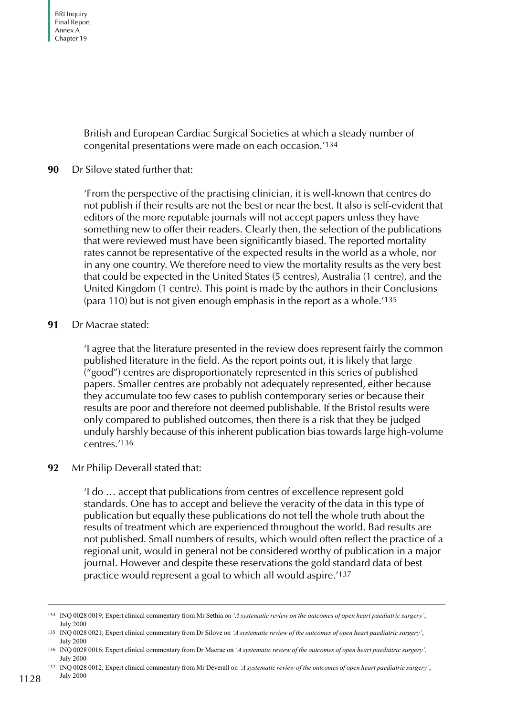British and European Cardiac Surgical Societies at which a steady number of congenital presentations were made on each occasion.'134

### **90** Dr Silove stated further that:

'From the perspective of the practising clinician, it is well-known that centres do not publish if their results are not the best or near the best. It also is self-evident that editors of the more reputable journals will not accept papers unless they have something new to offer their readers. Clearly then, the selection of the publications that were reviewed must have been significantly biased. The reported mortality rates cannot be representative of the expected results in the world as a whole, nor in any one country. We therefore need to view the mortality results as the very best that could be expected in the United States (5 centres), Australia (1 centre), and the United Kingdom (1 centre). This point is made by the authors in their Conclusions (para 110) but is not given enough emphasis in the report as a whole.'135

### **91** Dr Macrae stated:

'I agree that the literature presented in the review does represent fairly the common published literature in the field. As the report points out, it is likely that large ("good") centres are disproportionately represented in this series of published papers. Smaller centres are probably not adequately represented, either because they accumulate too few cases to publish contemporary series or because their results are poor and therefore not deemed publishable. If the Bristol results were only compared to published outcomes, then there is a risk that they be judged unduly harshly because of this inherent publication bias towards large high-volume centres.'136

### **92** Mr Philip Deverall stated that:

'I do … accept that publications from centres of excellence represent gold standards. One has to accept and believe the veracity of the data in this type of publication but equally these publications do not tell the whole truth about the results of treatment which are experienced throughout the world. Bad results are not published. Small numbers of results, which would often reflect the practice of a regional unit, would in general not be considered worthy of publication in a major journal. However and despite these reservations the gold standard data of best practice would represent a goal to which all would aspire.'137

<sup>134</sup> INQ 0028 0019; Expert clinical commentary from Mr Sethia on *'A systematic review on the outcomes of open heart paediatric surgery'*, July 2000

<sup>135</sup> INQ 0028 0021; Expert clinical commentary from Dr Silove on *'A systematic review of the outcomes of open heart paediatric surgery'*, July 2000

<sup>136</sup> INQ 0028 0016; Expert clinical commentary from Dr Macrae on *'A systematic review of the outcomes of open heart paediatric surgery'*, July 2000

<sup>137</sup> INQ 0028 0012; Expert clinical commentary from Mr Deverall on *'A systematic review of the outcomes of open heart paediatric surgery'*, July 2000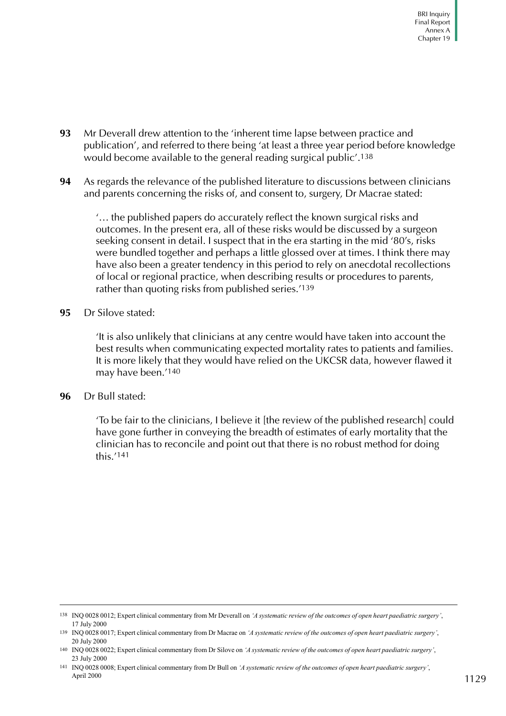- **93** Mr Deverall drew attention to the 'inherent time lapse between practice and publication', and referred to there being 'at least a three year period before knowledge would become available to the general reading surgical public'.138
- **94** As regards the relevance of the published literature to discussions between clinicians and parents concerning the risks of, and consent to, surgery, Dr Macrae stated:

'… the published papers do accurately reflect the known surgical risks and outcomes. In the present era, all of these risks would be discussed by a surgeon seeking consent in detail. I suspect that in the era starting in the mid '80's, risks were bundled together and perhaps a little glossed over at times. I think there may have also been a greater tendency in this period to rely on anecdotal recollections of local or regional practice, when describing results or procedures to parents, rather than quoting risks from published series.'139

**95** Dr Silove stated:

'It is also unlikely that clinicians at any centre would have taken into account the best results when communicating expected mortality rates to patients and families. It is more likely that they would have relied on the UKCSR data, however flawed it may have been.'140

**96** Dr Bull stated:

'To be fair to the clinicians, I believe it [the review of the published research] could have gone further in conveying the breadth of estimates of early mortality that the clinician has to reconcile and point out that there is no robust method for doing this.'141

<sup>138</sup> INQ 0028 0012; Expert clinical commentary from Mr Deverall on *'A systematic review of the outcomes of open heart paediatric surgery'*, 17 July 2000

<sup>139</sup> INQ 0028 0017; Expert clinical commentary from Dr Macrae on *'A systematic review of the outcomes of open heart paediatric surgery'*, 20 July 2000

<sup>140</sup> INQ 0028 0022; Expert clinical commentary from Dr Silove on *'A systematic review of the outcomes of open heart paediatric surgery'*, 23 July 2000

<sup>141</sup> INQ 0028 0008; Expert clinical commentary from Dr Bull on *'A systematic review of the outcomes of open heart paediatric surgery'*, April 2000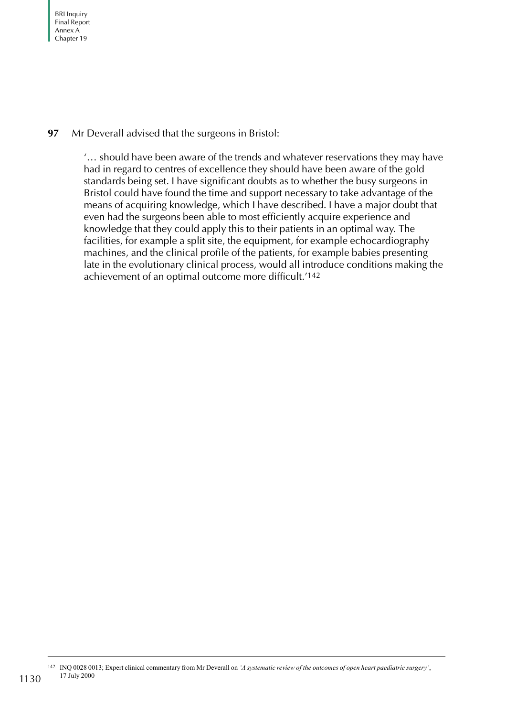BRI Inquiry Final Report Annex A Chapter 19

**97** Mr Deverall advised that the surgeons in Bristol:

'… should have been aware of the trends and whatever reservations they may have had in regard to centres of excellence they should have been aware of the gold standards being set. I have significant doubts as to whether the busy surgeons in Bristol could have found the time and support necessary to take advantage of the means of acquiring knowledge, which I have described. I have a major doubt that even had the surgeons been able to most efficiently acquire experience and knowledge that they could apply this to their patients in an optimal way. The facilities, for example a split site, the equipment, for example echocardiography machines, and the clinical profile of the patients, for example babies presenting late in the evolutionary clinical process, would all introduce conditions making the achievement of an optimal outcome more difficult.'142

142 INQ 0028 0013; Expert clinical commentary from Mr Deverall on *'A systematic review of the outcomes of open heart paediatric surgery'*, 17 July 2000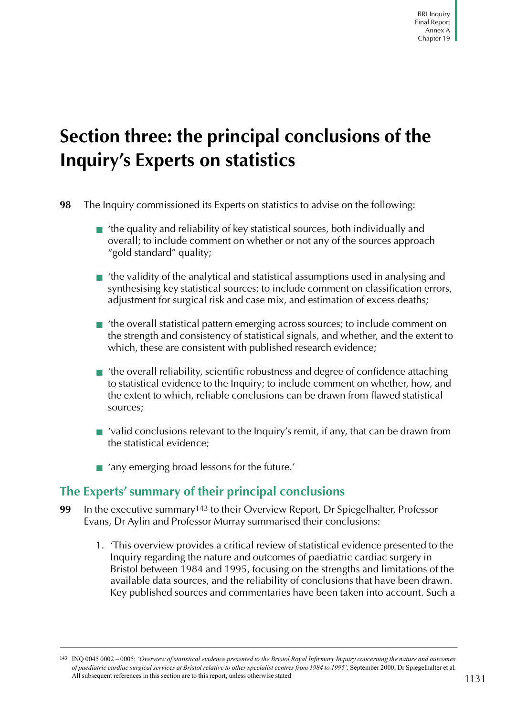# **Section three: the principal conclusions of the Inquiry's Experts on statistics**

**98** The Inquiry commissioned its Experts on statistics to advise on the following:

- 'the quality and reliability of key statistical sources, both individually and overall; to include comment on whether or not any of the sources approach "gold standard" quality;
- $\blacksquare$  'the validity of the analytical and statistical assumptions used in analysing and synthesising key statistical sources; to include comment on classification errors, adjustment for surgical risk and case mix, and estimation of excess deaths;
- 'the overall statistical pattern emerging across sources; to include comment on the strength and consistency of statistical signals, and whether, and the extent to which, these are consistent with published research evidence;
- 'the overall reliability, scientific robustness and degree of confidence attaching to statistical evidence to the Inquiry; to include comment on whether, how, and the extent to which, reliable conclusions can be drawn from flawed statistical sources;
- 'valid conclusions relevant to the Inquiry's remit, if any, that can be drawn from the statistical evidence;
- 'any emerging broad lessons for the future.'

### **The Experts' summary of their principal conclusions**

- **99** In the executive summary143 to their Overview Report, Dr Spiegelhalter, Professor Evans, Dr Aylin and Professor Murray summarised their conclusions:
	- 1. 'This overview provides a critical review of statistical evidence presented to the Inquiry regarding the nature and outcomes of paediatric cardiac surgery in Bristol between 1984 and 1995, focusing on the strengths and limitations of the available data sources, and the reliability of conclusions that have been drawn. Key published sources and commentaries have been taken into account. Such a

<sup>143</sup> INQ 0045 0002 – 0005; *'Overview of statistical evidence presented to the Bristol Royal Infirmary Inquiry concerning the nature and outcomes of paediatric cardiac surgical services at Bristol relative to other specialist centres from 1984 to 1995',* September 2000, Dr Spiegelhalter et al*.*  All subsequent references in this section are to this report, unless otherwise stated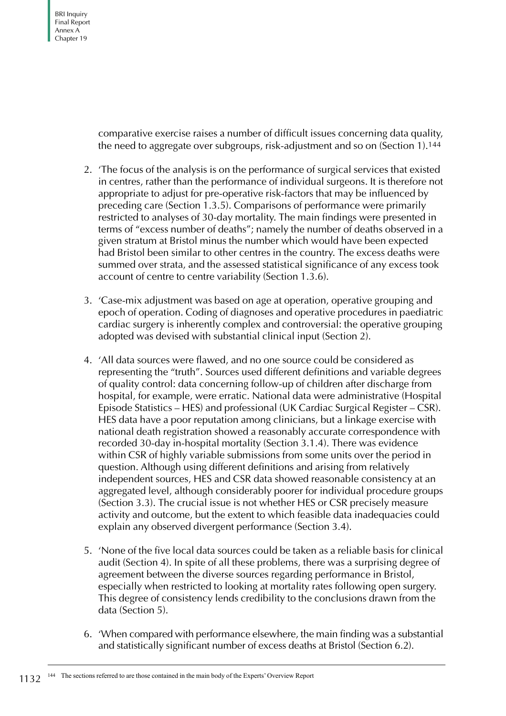comparative exercise raises a number of difficult issues concerning data quality, the need to aggregate over subgroups, risk-adjustment and so on (Section 1).144

- 2. 'The focus of the analysis is on the performance of surgical services that existed in centres, rather than the performance of individual surgeons. It is therefore not appropriate to adjust for pre-operative risk-factors that may be influenced by preceding care (Section 1.3.5). Comparisons of performance were primarily restricted to analyses of 30-day mortality. The main findings were presented in terms of "excess number of deaths"; namely the number of deaths observed in a given stratum at Bristol minus the number which would have been expected had Bristol been similar to other centres in the country. The excess deaths were summed over strata, and the assessed statistical significance of any excess took account of centre to centre variability (Section 1.3.6).
- 3. 'Case-mix adjustment was based on age at operation, operative grouping and epoch of operation. Coding of diagnoses and operative procedures in paediatric cardiac surgery is inherently complex and controversial: the operative grouping adopted was devised with substantial clinical input (Section 2).
- 4. 'All data sources were flawed, and no one source could be considered as representing the "truth". Sources used different definitions and variable degrees of quality control: data concerning follow-up of children after discharge from hospital, for example, were erratic. National data were administrative (Hospital Episode Statistics – HES) and professional (UK Cardiac Surgical Register – CSR). HES data have a poor reputation among clinicians, but a linkage exercise with national death registration showed a reasonably accurate correspondence with recorded 30-day in-hospital mortality (Section 3.1.4). There was evidence within CSR of highly variable submissions from some units over the period in question. Although using different definitions and arising from relatively independent sources, HES and CSR data showed reasonable consistency at an aggregated level, although considerably poorer for individual procedure groups (Section 3.3). The crucial issue is not whether HES or CSR precisely measure activity and outcome, but the extent to which feasible data inadequacies could explain any observed divergent performance (Section 3.4).
- 5. 'None of the five local data sources could be taken as a reliable basis for clinical audit (Section 4). In spite of all these problems, there was a surprising degree of agreement between the diverse sources regarding performance in Bristol, especially when restricted to looking at mortality rates following open surgery. This degree of consistency lends credibility to the conclusions drawn from the data (Section 5).
- 6. 'When compared with performance elsewhere, the main finding was a substantial and statistically significant number of excess deaths at Bristol (Section 6.2).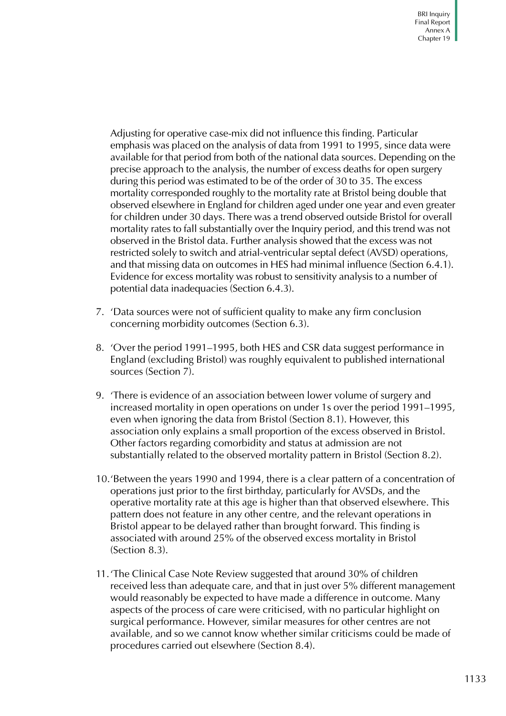Adjusting for operative case-mix did not influence this finding. Particular emphasis was placed on the analysis of data from 1991 to 1995, since data were available for that period from both of the national data sources. Depending on the precise approach to the analysis, the number of excess deaths for open surgery during this period was estimated to be of the order of 30 to 35. The excess mortality corresponded roughly to the mortality rate at Bristol being double that observed elsewhere in England for children aged under one year and even greater for children under 30 days. There was a trend observed outside Bristol for overall mortality rates to fall substantially over the Inquiry period, and this trend was not observed in the Bristol data. Further analysis showed that the excess was not restricted solely to switch and atrial-ventricular septal defect (AVSD) operations, and that missing data on outcomes in HES had minimal influence (Section 6.4.1). Evidence for excess mortality was robust to sensitivity analysis to a number of potential data inadequacies (Section 6.4.3).

- 7. 'Data sources were not of sufficient quality to make any firm conclusion concerning morbidity outcomes (Section 6.3).
- 8. 'Over the period 1991–1995, both HES and CSR data suggest performance in England (excluding Bristol) was roughly equivalent to published international sources (Section 7).
- 9. 'There is evidence of an association between lower volume of surgery and increased mortality in open operations on under 1s over the period 1991–1995, even when ignoring the data from Bristol (Section 8.1). However, this association only explains a small proportion of the excess observed in Bristol. Other factors regarding comorbidity and status at admission are not substantially related to the observed mortality pattern in Bristol (Section 8.2).
- 10.'Between the years 1990 and 1994, there is a clear pattern of a concentration of operations just prior to the first birthday, particularly for AVSDs, and the operative mortality rate at this age is higher than that observed elsewhere. This pattern does not feature in any other centre, and the relevant operations in Bristol appear to be delayed rather than brought forward. This finding is associated with around 25% of the observed excess mortality in Bristol (Section 8.3).
- 11.'The Clinical Case Note Review suggested that around 30% of children received less than adequate care, and that in just over 5% different management would reasonably be expected to have made a difference in outcome. Many aspects of the process of care were criticised, with no particular highlight on surgical performance. However, similar measures for other centres are not available, and so we cannot know whether similar criticisms could be made of procedures carried out elsewhere (Section 8.4).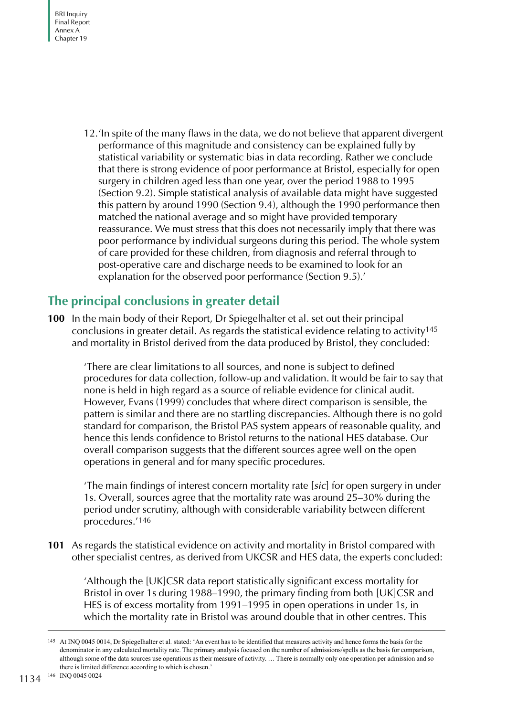12.'In spite of the many flaws in the data, we do not believe that apparent divergent performance of this magnitude and consistency can be explained fully by statistical variability or systematic bias in data recording. Rather we conclude that there is strong evidence of poor performance at Bristol, especially for open surgery in children aged less than one year, over the period 1988 to 1995 (Section 9.2). Simple statistical analysis of available data might have suggested this pattern by around 1990 (Section 9.4), although the 1990 performance then matched the national average and so might have provided temporary reassurance. We must stress that this does not necessarily imply that there was poor performance by individual surgeons during this period. The whole system of care provided for these children, from diagnosis and referral through to post-operative care and discharge needs to be examined to look for an explanation for the observed poor performance (Section 9.5).'

# **The principal conclusions in greater detail**

**100** In the main body of their Report, Dr Spiegelhalter et al. set out their principal conclusions in greater detail. As regards the statistical evidence relating to activity145 and mortality in Bristol derived from the data produced by Bristol, they concluded:

'There are clear limitations to all sources, and none is subject to defined procedures for data collection, follow-up and validation. It would be fair to say that none is held in high regard as a source of reliable evidence for clinical audit. However, Evans (1999) concludes that where direct comparison is sensible, the pattern is similar and there are no startling discrepancies. Although there is no gold standard for comparison, the Bristol PAS system appears of reasonable quality, and hence this lends confidence to Bristol returns to the national HES database. Our overall comparison suggests that the different sources agree well on the open operations in general and for many specific procedures.

'The main findings of interest concern mortality rate [sic] for open surgery in under 1s. Overall, sources agree that the mortality rate was around 25–30% during the period under scrutiny, although with considerable variability between different procedures.'146

**101** As regards the statistical evidence on activity and mortality in Bristol compared with other specialist centres, as derived from UKCSR and HES data, the experts concluded:

'Although the [UK]CSR data report statistically significant excess mortality for Bristol in over 1s during 1988–1990, the primary finding from both [UK]CSR and HES is of excess mortality from 1991–1995 in open operations in under 1s, in which the mortality rate in Bristol was around double that in other centres. This

<sup>145</sup> At INQ 0045 0014, Dr Spiegelhalter et al*.* stated: 'An event has to be identified that measures activity and hence forms the basis for the denominator in any calculated mortality rate. The primary analysis focused on the number of admissions/spells as the basis for comparison, although some of the data sources use operations as their measure of activity. … There is normally only one operation per admission and so there is limited difference according to which is chosen.'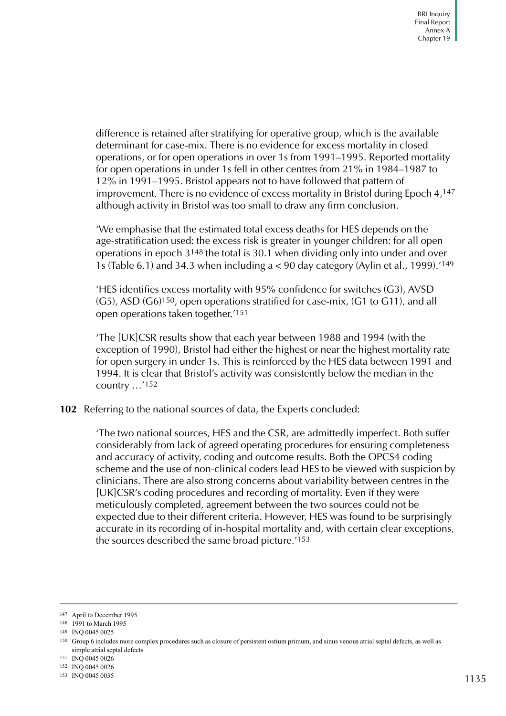difference is retained after stratifying for operative group, which is the available determinant for case-mix. There is no evidence for excess mortality in closed operations, or for open operations in over 1s from 1991–1995. Reported mortality for open operations in under 1s fell in other centres from 21% in 1984–1987 to 12% in 1991–1995. Bristol appears not to have followed that pattern of improvement. There is no evidence of excess mortality in Bristol during Epoch 4,147 although activity in Bristol was too small to draw any firm conclusion.

'We emphasise that the estimated total excess deaths for HES depends on the age-stratification used: the excess risk is greater in younger children: for all open operations in epoch 3148 the total is 30.1 when dividing only into under and over 1s (Table 6.1) and 34.3 when including  $a < 90$  day category (Aylin et al., 1999).<sup>'149</sup>

'HES identifies excess mortality with 95% confidence for switches (G3), AVSD (G5), ASD (G6)150, open operations stratified for case-mix, (G1 to G11), and all open operations taken together.'151

'The [UK]CSR results show that each year between 1988 and 1994 (with the exception of 1990), Bristol had either the highest or near the highest mortality rate for open surgery in under 1s. This is reinforced by the HES data between 1991 and 1994. It is clear that Bristol's activity was consistently below the median in the country …'152

**102** Referring to the national sources of data, the Experts concluded:

'The two national sources, HES and the CSR, are admittedly imperfect. Both suffer considerably from lack of agreed operating procedures for ensuring completeness and accuracy of activity, coding and outcome results. Both the OPCS4 coding scheme and the use of non-clinical coders lead HES to be viewed with suspicion by clinicians. There are also strong concerns about variability between centres in the [UK]CSR's coding procedures and recording of mortality. Even if they were meticulously completed, agreement between the two sources could not be expected due to their different criteria. However, HES was found to be surprisingly accurate in its recording of in-hospital mortality and, with certain clear exceptions, the sources described the same broad picture.'153

<sup>147</sup> April to December 1995

<sup>148</sup> 1991 to March 1995

<sup>149</sup> INQ 0045 0025

<sup>150</sup> Group 6 includes more complex procedures such as closure of persistent ostium primum, and sinus venous atrial septal defects, as well as simple atrial septal defects

<sup>151</sup> INQ 0045 0026

<sup>152</sup> INQ 0045 0026

<sup>153</sup> INQ 0045 0035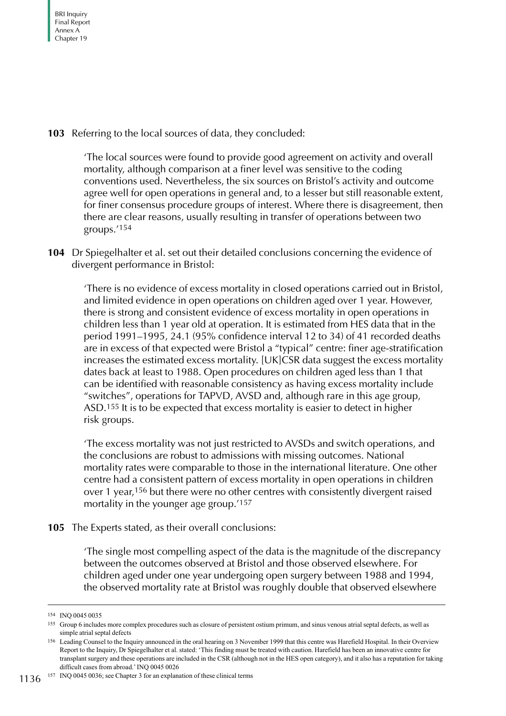**103** Referring to the local sources of data, they concluded:

'The local sources were found to provide good agreement on activity and overall mortality, although comparison at a finer level was sensitive to the coding conventions used. Nevertheless, the six sources on Bristol's activity and outcome agree well for open operations in general and, to a lesser but still reasonable extent, for finer consensus procedure groups of interest. Where there is disagreement, then there are clear reasons, usually resulting in transfer of operations between two groups.'154

**104** Dr Spiegelhalter et al. set out their detailed conclusions concerning the evidence of divergent performance in Bristol:

'There is no evidence of excess mortality in closed operations carried out in Bristol, and limited evidence in open operations on children aged over 1 year. However, there is strong and consistent evidence of excess mortality in open operations in children less than 1 year old at operation. It is estimated from HES data that in the period 1991–1995, 24.1 (95% confidence interval 12 to 34) of 41 recorded deaths are in excess of that expected were Bristol a "typical" centre: finer age-stratification increases the estimated excess mortality. [UK]CSR data suggest the excess mortality dates back at least to 1988. Open procedures on children aged less than 1 that can be identified with reasonable consistency as having excess mortality include "switches", operations for TAPVD, AVSD and, although rare in this age group, ASD.155 It is to be expected that excess mortality is easier to detect in higher risk groups.

'The excess mortality was not just restricted to AVSDs and switch operations, and the conclusions are robust to admissions with missing outcomes. National mortality rates were comparable to those in the international literature. One other centre had a consistent pattern of excess mortality in open operations in children over 1 year,156 but there were no other centres with consistently divergent raised mortality in the younger age group.'157

**105** The Experts stated, as their overall conclusions:

'The single most compelling aspect of the data is the magnitude of the discrepancy between the outcomes observed at Bristol and those observed elsewhere. For children aged under one year undergoing open surgery between 1988 and 1994, the observed mortality rate at Bristol was roughly double that observed elsewhere

<sup>154</sup> INQ 0045 0035

<sup>155</sup> Group 6 includes more complex procedures such as closure of persistent ostium primum, and sinus venous atrial septal defects, as well as simple atrial septal defects

<sup>156</sup> Leading Counsel to the Inquiry announced in the oral hearing on 3 November 1999 that this centre was Harefield Hospital. In their Overview Report to the Inquiry, Dr Spiegelhalter et al. stated: 'This finding must be treated with caution. Harefield has been an innovative centre for transplant surgery and these operations are included in the CSR (although not in the HES open category), and it also has a reputation for taking difficult cases from abroad.' INQ 0045 0026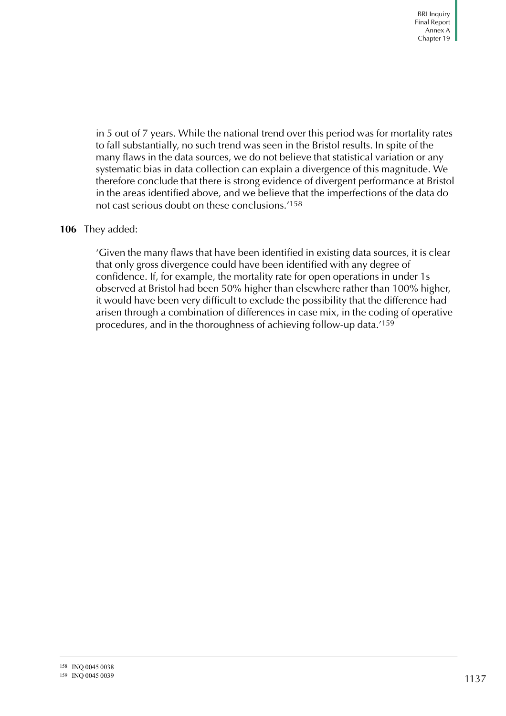in 5 out of 7 years. While the national trend over this period was for mortality rates to fall substantially, no such trend was seen in the Bristol results. In spite of the many flaws in the data sources, we do not believe that statistical variation or any systematic bias in data collection can explain a divergence of this magnitude. We therefore conclude that there is strong evidence of divergent performance at Bristol in the areas identified above, and we believe that the imperfections of the data do not cast serious doubt on these conclusions.'158

### **106** They added:

'Given the many flaws that have been identified in existing data sources, it is clear that only gross divergence could have been identified with any degree of confidence. If, for example, the mortality rate for open operations in under 1s observed at Bristol had been 50% higher than elsewhere rather than 100% higher, it would have been very difficult to exclude the possibility that the difference had arisen through a combination of differences in case mix, in the coding of operative procedures, and in the thoroughness of achieving follow-up data.'159

<sup>158</sup> INQ 0045 0038

<sup>159</sup> INQ 0045 0039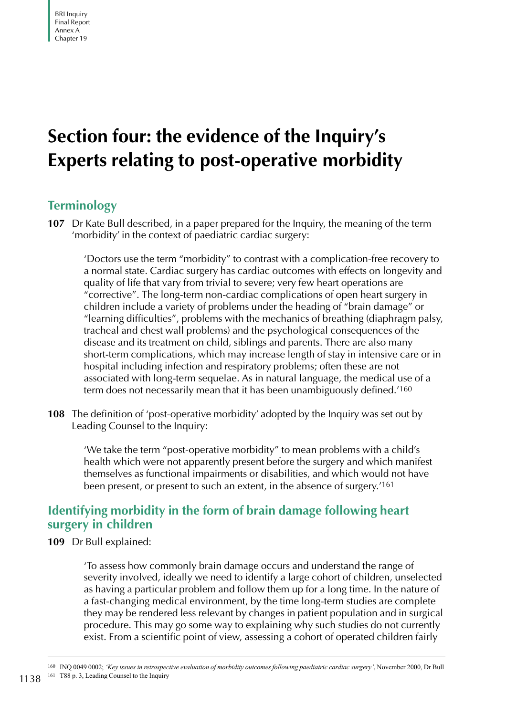# **Section four: the evidence of the Inquiry's Experts relating to post-operative morbidity**

# **Terminology**

**107** Dr Kate Bull described, in a paper prepared for the Inquiry, the meaning of the term 'morbidity' in the context of paediatric cardiac surgery:

'Doctors use the term "morbidity" to contrast with a complication-free recovery to a normal state. Cardiac surgery has cardiac outcomes with effects on longevity and quality of life that vary from trivial to severe; very few heart operations are "corrective". The long-term non-cardiac complications of open heart surgery in children include a variety of problems under the heading of "brain damage" or "learning difficulties", problems with the mechanics of breathing (diaphragm palsy, tracheal and chest wall problems) and the psychological consequences of the disease and its treatment on child, siblings and parents. There are also many short-term complications, which may increase length of stay in intensive care or in hospital including infection and respiratory problems; often these are not associated with long-term sequelae. As in natural language, the medical use of a term does not necessarily mean that it has been unambiguously defined.'160

**108** The definition of 'post-operative morbidity' adopted by the Inquiry was set out by Leading Counsel to the Inquiry:

'We take the term "post-operative morbidity" to mean problems with a child's health which were not apparently present before the surgery and which manifest themselves as functional impairments or disabilities, and which would not have been present, or present to such an extent, in the absence of surgery.'161

# **Identifying morbidity in the form of brain damage following heart surgery in children**

**109** Dr Bull explained:

'To assess how commonly brain damage occurs and understand the range of severity involved, ideally we need to identify a large cohort of children, unselected as having a particular problem and follow them up for a long time. In the nature of a fast-changing medical environment, by the time long-term studies are complete they may be rendered less relevant by changes in patient population and in surgical procedure. This may go some way to explaining why such studies do not currently exist. From a scientific point of view, assessing a cohort of operated children fairly

160 INQ 0049 0002; *'Key issues in retrospective evaluation of morbidity outcomes following paediatric cardiac surgery'*, November 2000, Dr Bull 161 T88 p. 3, Leading Counsel to the Inquiry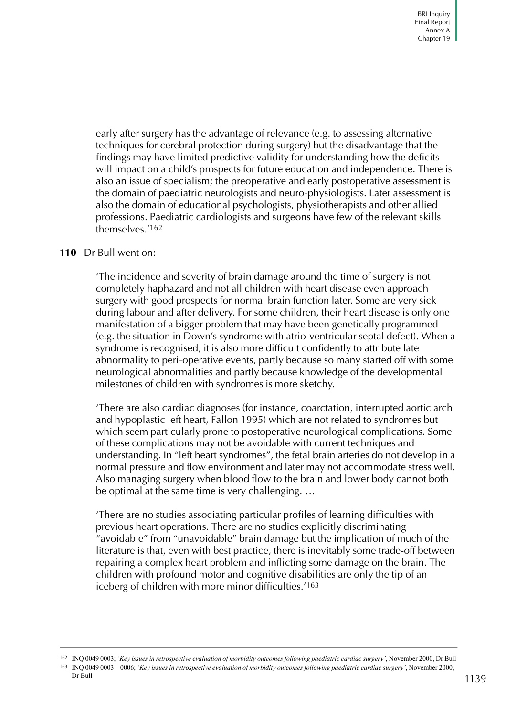early after surgery has the advantage of relevance (e.g. to assessing alternative techniques for cerebral protection during surgery) but the disadvantage that the findings may have limited predictive validity for understanding how the deficits will impact on a child's prospects for future education and independence. There is also an issue of specialism; the preoperative and early postoperative assessment is the domain of paediatric neurologists and neuro-physiologists. Later assessment is also the domain of educational psychologists, physiotherapists and other allied professions. Paediatric cardiologists and surgeons have few of the relevant skills themselves.'162

### **110** Dr Bull went on:

'The incidence and severity of brain damage around the time of surgery is not completely haphazard and not all children with heart disease even approach surgery with good prospects for normal brain function later. Some are very sick during labour and after delivery. For some children, their heart disease is only one manifestation of a bigger problem that may have been genetically programmed (e.g. the situation in Down's syndrome with atrio-ventricular septal defect). When a syndrome is recognised, it is also more difficult confidently to attribute late abnormality to peri-operative events, partly because so many started off with some neurological abnormalities and partly because knowledge of the developmental milestones of children with syndromes is more sketchy.

'There are also cardiac diagnoses (for instance, coarctation, interrupted aortic arch and hypoplastic left heart, Fallon 1995) which are not related to syndromes but which seem particularly prone to postoperative neurological complications. Some of these complications may not be avoidable with current techniques and understanding. In "left heart syndromes", the fetal brain arteries do not develop in a normal pressure and flow environment and later may not accommodate stress well. Also managing surgery when blood flow to the brain and lower body cannot both be optimal at the same time is very challenging. …

'There are no studies associating particular profiles of learning difficulties with previous heart operations. There are no studies explicitly discriminating "avoidable" from "unavoidable" brain damage but the implication of much of the literature is that, even with best practice, there is inevitably some trade-off between repairing a complex heart problem and inflicting some damage on the brain. The children with profound motor and cognitive disabilities are only the tip of an iceberg of children with more minor difficulties.'163

<sup>162</sup> INQ 0049 0003; *'Key issues in retrospective evaluation of morbidity outcomes following paediatric cardiac surgery'*, November 2000, Dr Bull 163 INQ 0049 0003 – 0006; *'Key issues in retrospective evaluation of morbidity outcomes following paediatric cardiac surgery'*, November 2000,

Dr Bull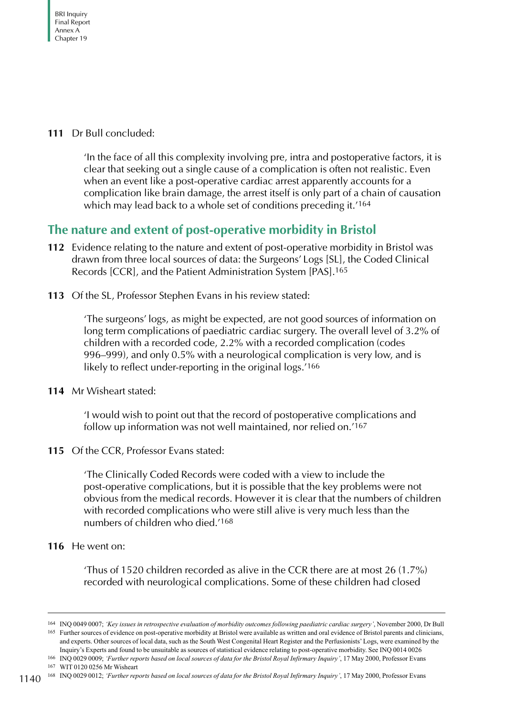### **111** Dr Bull concluded:

'In the face of all this complexity involving pre, intra and postoperative factors, it is clear that seeking out a single cause of a complication is often not realistic. Even when an event like a post-operative cardiac arrest apparently accounts for a complication like brain damage, the arrest itself is only part of a chain of causation which may lead back to a whole set of conditions preceding it.<sup>'164</sup>

### **The nature and extent of post-operative morbidity in Bristol**

- **112** Evidence relating to the nature and extent of post-operative morbidity in Bristol was drawn from three local sources of data: the Surgeons' Logs [SL], the Coded Clinical Records [CCR], and the Patient Administration System [PAS].165
- **113** Of the SL, Professor Stephen Evans in his review stated:

'The surgeons' logs, as might be expected, are not good sources of information on long term complications of paediatric cardiac surgery. The overall level of 3.2% of children with a recorded code, 2.2% with a recorded complication (codes 996–999), and only 0.5% with a neurological complication is very low, and is likely to reflect under-reporting in the original logs.<sup>'166</sup>

**114** Mr Wisheart stated:

'I would wish to point out that the record of postoperative complications and follow up information was not well maintained, nor relied on.'167

**115** Of the CCR, Professor Evans stated:

'The Clinically Coded Records were coded with a view to include the post-operative complications, but it is possible that the key problems were not obvious from the medical records. However it is clear that the numbers of children with recorded complications who were still alive is very much less than the numbers of children who died.'168

**116** He went on:

'Thus of 1520 children recorded as alive in the CCR there are at most 26 (1.7%) recorded with neurological complications. Some of these children had closed

<sup>164</sup> INQ 0049 0007; *'Key issues in retrospective evaluation of morbidity outcomes following paediatric cardiac surgery'*, November 2000, Dr Bull 165 Further sources of evidence on post-operative morbidity at Bristol were available as written and oral evidence of Bristol parents and clinicians,

and experts. Other sources of local data, such as the South West Congenital Heart Register and the Perfusionists' Logs, were examined by the Inquiry's Experts and found to be unsuitable as sources of statistical evidence relating to post-operative morbidity. See INQ 0014 0026

<sup>166</sup> INQ 0029 0009; *'Further reports based on local sources of data for the Bristol Royal Infirmary Inquiry'*, 17 May 2000, Professor Evans

<sup>167</sup> WIT 0120 0256 Mr Wisheart

<sup>168</sup> INQ 0029 0012; *'Further reports based on local sources of data for the Bristol Royal Infirmary Inquiry'*, 17 May 2000, Professor Evans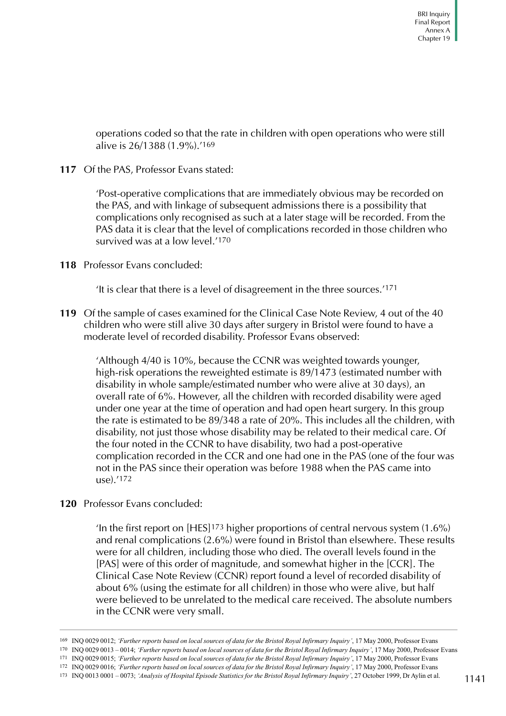operations coded so that the rate in children with open operations who were still alive is 26/1388 (1.9%).'169

**117** Of the PAS, Professor Evans stated:

'Post-operative complications that are immediately obvious may be recorded on the PAS, and with linkage of subsequent admissions there is a possibility that complications only recognised as such at a later stage will be recorded. From the PAS data it is clear that the level of complications recorded in those children who survived was at a low level.'170

**118** Professor Evans concluded:

'It is clear that there is a level of disagreement in the three sources.'171

**119** Of the sample of cases examined for the Clinical Case Note Review, 4 out of the 40 children who were still alive 30 days after surgery in Bristol were found to have a moderate level of recorded disability. Professor Evans observed:

'Although 4/40 is 10%, because the CCNR was weighted towards younger, high-risk operations the reweighted estimate is 89/1473 (estimated number with disability in whole sample/estimated number who were alive at 30 days), an overall rate of 6%. However, all the children with recorded disability were aged under one year at the time of operation and had open heart surgery. In this group the rate is estimated to be 89/348 a rate of 20%. This includes all the children, with disability, not just those whose disability may be related to their medical care. Of the four noted in the CCNR to have disability, two had a post-operative complication recorded in the CCR and one had one in the PAS (one of the four was not in the PAS since their operation was before 1988 when the PAS came into use).'172

**120** Professor Evans concluded:

'In the first report on  $[HES]$ <sup>173</sup> higher proportions of central nervous system  $(1.6\%)$ and renal complications (2.6%) were found in Bristol than elsewhere. These results were for all children, including those who died. The overall levels found in the [PAS] were of this order of magnitude, and somewhat higher in the [CCR]. The Clinical Case Note Review (CCNR) report found a level of recorded disability of about 6% (using the estimate for all children) in those who were alive, but half were believed to be unrelated to the medical care received. The absolute numbers in the CCNR were very small.

<sup>169</sup> INQ 0029 0012; *'Further reports based on local sources of data for the Bristol Royal Infirmary Inquiry'*, 17 May 2000, Professor Evans

<sup>170</sup> INQ 0029 0013 – 0014; *'Further reports based on local sources of data for the Bristol Royal Infirmary Inquiry'*, 17 May 2000, Professor Evans

<sup>171</sup> INQ 0029 0015; *'Further reports based on local sources of data for the Bristol Royal Infirmary Inquiry'*, 17 May 2000, Professor Evans

<sup>172</sup> INQ 0029 0016; *'Further reports based on local sources of data for the Bristol Royal Infirmary Inquiry'*, 17 May 2000, Professor Evans

<sup>173</sup> INQ 0013 0001 – 0073; *'Analysis of Hospital Episode Statistics for the Bristol Royal Infirmary Inquiry'*, 27 October 1999, Dr Aylin et al.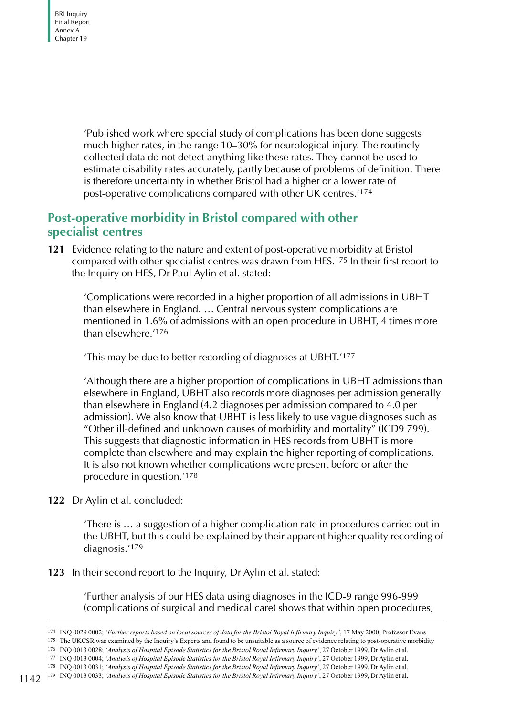'Published work where special study of complications has been done suggests much higher rates, in the range 10–30% for neurological injury. The routinely collected data do not detect anything like these rates. They cannot be used to estimate disability rates accurately, partly because of problems of definition. There is therefore uncertainty in whether Bristol had a higher or a lower rate of post-operative complications compared with other UK centres.'174

## **Post-operative morbidity in Bristol compared with other specialist centres**

**121** Evidence relating to the nature and extent of post-operative morbidity at Bristol compared with other specialist centres was drawn from HES.175 In their first report to the Inquiry on HES, Dr Paul Aylin et al. stated:

'Complications were recorded in a higher proportion of all admissions in UBHT than elsewhere in England. … Central nervous system complications are mentioned in 1.6% of admissions with an open procedure in UBHT, 4 times more than elsewhere.'176

'This may be due to better recording of diagnoses at UBHT.'177

'Although there are a higher proportion of complications in UBHT admissions than elsewhere in England, UBHT also records more diagnoses per admission generally than elsewhere in England (4.2 diagnoses per admission compared to 4.0 per admission). We also know that UBHT is less likely to use vague diagnoses such as "Other ill-defined and unknown causes of morbidity and mortality" (ICD9 799). This suggests that diagnostic information in HES records from UBHT is more complete than elsewhere and may explain the higher reporting of complications. It is also not known whether complications were present before or after the procedure in question.'178

**122** Dr Aylin et al. concluded:

'There is … a suggestion of a higher complication rate in procedures carried out in the UBHT, but this could be explained by their apparent higher quality recording of diagnosis.'179

**123** In their second report to the Inquiry, Dr Aylin et al. stated:

'Further analysis of our HES data using diagnoses in the ICD-9 range 996-999 (complications of surgical and medical care) shows that within open procedures,

<sup>174</sup> INQ 0029 0002; *'Further reports based on local sources of data for the Bristol Royal Infirmary Inquiry'*, 17 May 2000, Professor Evans

<sup>175</sup> The UKCSR was examined by the Inquiry's Experts and found to be unsuitable as a source of evidence relating to post-operative morbidity

<sup>176</sup> INQ 0013 0028; *'Analysis of Hospital Episode Statistics for the Bristol Royal Infirmary Inquiry'*, 27 October 1999, Dr Aylin et al.

<sup>177</sup> INQ 0013 0004; *'Analysis of Hospital Episode Statistics for the Bristol Royal Infirmary Inquiry'*, 27 October 1999, Dr Aylin et al. 178 INQ 0013 0031; *'Analysis of Hospital Episode Statistics for the Bristol Royal Infirmary Inquiry'*, 27 October 1999, Dr Aylin et al.

<sup>1142</sup> 179 INQ 0013 0033; *'Analysis of Hospital Episode Statistics for the Bristol Royal Infirmary Inquiry'*, 27 October 1999, Dr Aylin et al.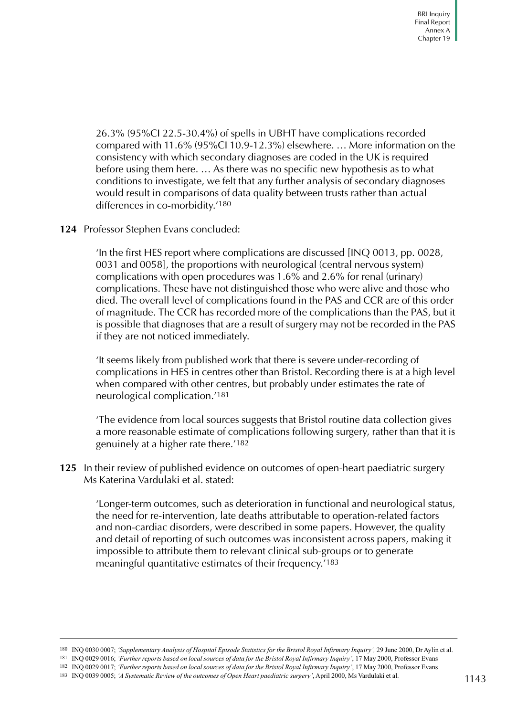26.3% (95%CI 22.5-30.4%) of spells in UBHT have complications recorded compared with 11.6% (95%CI 10.9-12.3%) elsewhere. … More information on the consistency with which secondary diagnoses are coded in the UK is required before using them here. … As there was no specific new hypothesis as to what conditions to investigate, we felt that any further analysis of secondary diagnoses would result in comparisons of data quality between trusts rather than actual differences in co-morbidity.'180

### **124** Professor Stephen Evans concluded:

'In the first HES report where complications are discussed [INQ 0013, pp. 0028, 0031 and 0058], the proportions with neurological (central nervous system) complications with open procedures was 1.6% and 2.6% for renal (urinary) complications. These have not distinguished those who were alive and those who died. The overall level of complications found in the PAS and CCR are of this order of magnitude. The CCR has recorded more of the complications than the PAS, but it is possible that diagnoses that are a result of surgery may not be recorded in the PAS if they are not noticed immediately.

'It seems likely from published work that there is severe under-recording of complications in HES in centres other than Bristol. Recording there is at a high level when compared with other centres, but probably under estimates the rate of neurological complication.'181

'The evidence from local sources suggests that Bristol routine data collection gives a more reasonable estimate of complications following surgery, rather than that it is genuinely at a higher rate there.'182

**125** In their review of published evidence on outcomes of open-heart paediatric surgery Ms Katerina Vardulaki et al. stated:

'Longer-term outcomes, such as deterioration in functional and neurological status, the need for re-intervention, late deaths attributable to operation-related factors and non-cardiac disorders, were described in some papers. However, the quality and detail of reporting of such outcomes was inconsistent across papers, making it impossible to attribute them to relevant clinical sub-groups or to generate meaningful quantitative estimates of their frequency.'183

<sup>180</sup> INQ 0030 0007; *'Supplementary Analysis of Hospital Episode Statistics for the Bristol Royal Infirmary Inquiry',* 29 June 2000, Dr Aylin et al.

<sup>181</sup> INQ 0029 0016; *'Further reports based on local sources of data for the Bristol Royal Infirmary Inquiry'*, 17 May 2000, Professor Evans

<sup>182</sup> INQ 0029 0017; *'Further reports based on local sources of data for the Bristol Royal Infirmary Inquiry'*, 17 May 2000, Professor Evans

<sup>183</sup> INQ 0039 0005; *'A Systematic Review of the outcomes of Open Heart paediatric surgery'*, April 2000, Ms Vardulaki et al.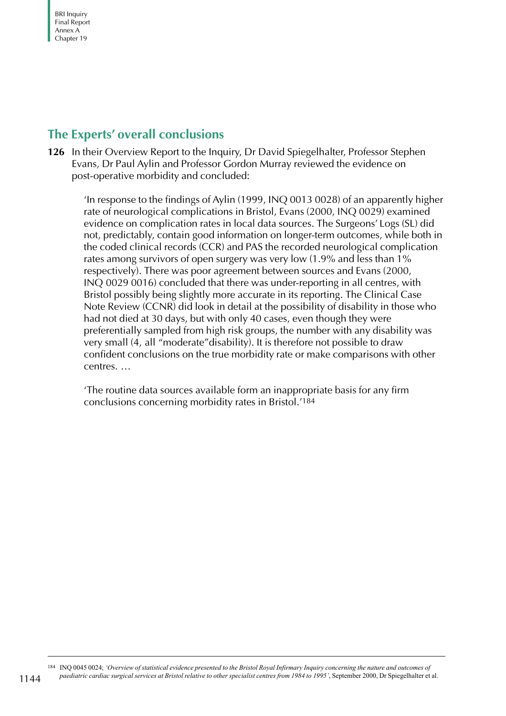# **The Experts' overall conclusions**

**126** In their Overview Report to the Inquiry, Dr David Spiegelhalter, Professor Stephen Evans, Dr Paul Aylin and Professor Gordon Murray reviewed the evidence on post-operative morbidity and concluded:

'In response to the findings of Aylin (1999, INQ 0013 0028) of an apparently higher rate of neurological complications in Bristol, Evans (2000, INQ 0029) examined evidence on complication rates in local data sources. The Surgeons' Logs (SL) did not, predictably, contain good information on longer-term outcomes, while both in the coded clinical records (CCR) and PAS the recorded neurological complication rates among survivors of open surgery was very low (1.9% and less than 1% respectively). There was poor agreement between sources and Evans (2000, INQ 0029 0016) concluded that there was under-reporting in all centres, with Bristol possibly being slightly more accurate in its reporting. The Clinical Case Note Review (CCNR) did look in detail at the possibility of disability in those who had not died at 30 days, but with only 40 cases, even though they were preferentially sampled from high risk groups, the number with any disability was very small (4, all "moderate"disability). It is therefore not possible to draw confident conclusions on the true morbidity rate or make comparisons with other centres. …

'The routine data sources available form an inappropriate basis for any firm conclusions concerning morbidity rates in Bristol.'184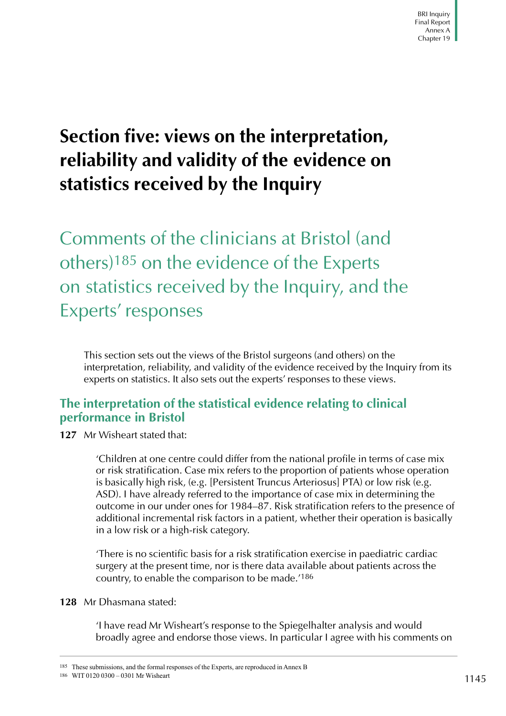# **Section five: views on the interpretation, reliability and validity of the evidence on statistics received by the Inquiry**

Comments of the clinicians at Bristol (and others)185 on the evidence of the Experts on statistics received by the Inquiry, and the Experts' responses

This section sets out the views of the Bristol surgeons (and others) on the interpretation, reliability, and validity of the evidence received by the Inquiry from its experts on statistics. It also sets out the experts' responses to these views.

## **The interpretation of the statistical evidence relating to clinical performance in Bristol**

**127** Mr Wisheart stated that:

'Children at one centre could differ from the national profile in terms of case mix or risk stratification. Case mix refers to the proportion of patients whose operation is basically high risk, (e.g. [Persistent Truncus Arteriosus] PTA) or low risk (e.g. ASD). I have already referred to the importance of case mix in determining the outcome in our under ones for 1984–87. Risk stratification refers to the presence of additional incremental risk factors in a patient, whether their operation is basically in a low risk or a high-risk category.

'There is no scientific basis for a risk stratification exercise in paediatric cardiac surgery at the present time, nor is there data available about patients across the country, to enable the comparison to be made.'186

**128** Mr Dhasmana stated:

'I have read Mr Wisheart's response to the Spiegelhalter analysis and would broadly agree and endorse those views. In particular I agree with his comments on

<sup>185</sup> These submissions, and the formal responses of the Experts, are reproduced in Annex B

<sup>186</sup> WIT 0120 0300 – 0301 Mr Wisheart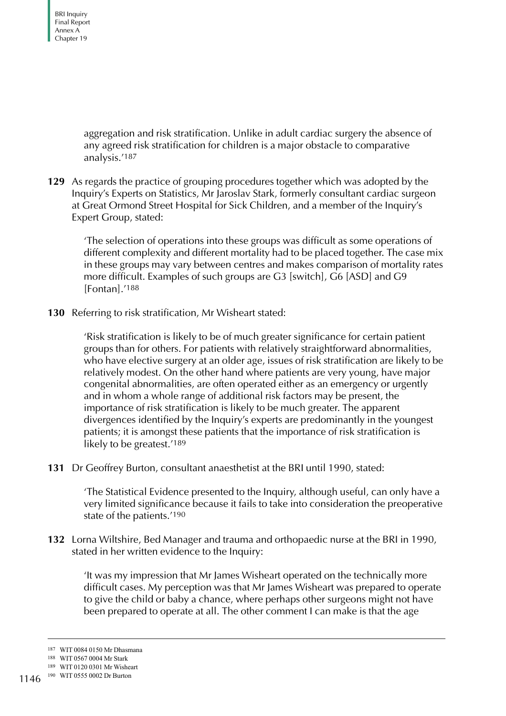aggregation and risk stratification. Unlike in adult cardiac surgery the absence of any agreed risk stratification for children is a major obstacle to comparative analysis.'187

**129** As regards the practice of grouping procedures together which was adopted by the Inquiry's Experts on Statistics, Mr Jaroslav Stark, formerly consultant cardiac surgeon at Great Ormond Street Hospital for Sick Children, and a member of the Inquiry's Expert Group, stated:

'The selection of operations into these groups was difficult as some operations of different complexity and different mortality had to be placed together. The case mix in these groups may vary between centres and makes comparison of mortality rates more difficult. Examples of such groups are G3 [switch], G6 [ASD] and G9 [Fontan].'188

**130** Referring to risk stratification, Mr Wisheart stated:

'Risk stratification is likely to be of much greater significance for certain patient groups than for others. For patients with relatively straightforward abnormalities, who have elective surgery at an older age, issues of risk stratification are likely to be relatively modest. On the other hand where patients are very young, have major congenital abnormalities, are often operated either as an emergency or urgently and in whom a whole range of additional risk factors may be present, the importance of risk stratification is likely to be much greater. The apparent divergences identified by the Inquiry's experts are predominantly in the youngest patients; it is amongst these patients that the importance of risk stratification is likely to be greatest.<sup>'189</sup>

**131** Dr Geoffrey Burton, consultant anaesthetist at the BRI until 1990, stated:

'The Statistical Evidence presented to the Inquiry, although useful, can only have a very limited significance because it fails to take into consideration the preoperative state of the patients.'190

**132** Lorna Wiltshire, Bed Manager and trauma and orthopaedic nurse at the BRI in 1990, stated in her written evidence to the Inquiry:

'It was my impression that Mr James Wisheart operated on the technically more difficult cases. My perception was that Mr James Wisheart was prepared to operate to give the child or baby a chance, where perhaps other surgeons might not have been prepared to operate at all. The other comment I can make is that the age

<sup>187</sup> WIT 0084 0150 Mr Dhasmana

<sup>188</sup> WIT 0567 0004 Mr Stark

<sup>189</sup> WIT 0120 0301 Mr Wisheart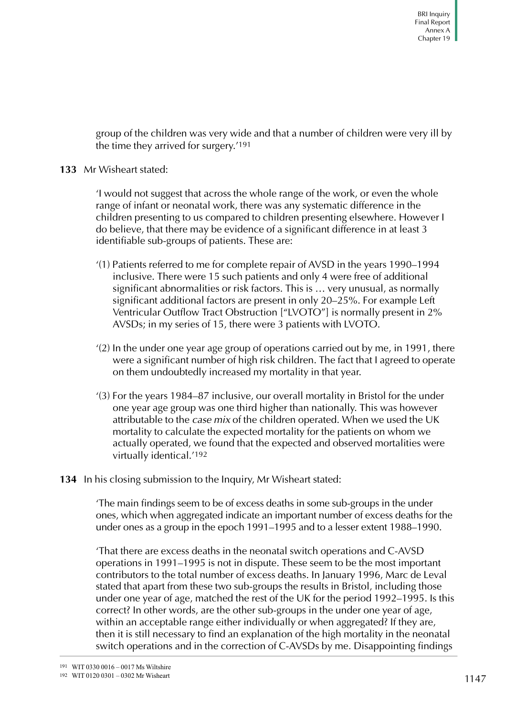group of the children was very wide and that a number of children were very ill by the time they arrived for surgery.'191

### **133** Mr Wisheart stated:

'I would not suggest that across the whole range of the work, or even the whole range of infant or neonatal work, there was any systematic difference in the children presenting to us compared to children presenting elsewhere. However I do believe, that there may be evidence of a significant difference in at least 3 identifiable sub-groups of patients. These are:

- '(1) Patients referred to me for complete repair of AVSD in the years 1990–1994 inclusive. There were 15 such patients and only 4 were free of additional significant abnormalities or risk factors. This is … very unusual, as normally significant additional factors are present in only 20–25%. For example Left Ventricular Outflow Tract Obstruction ["LVOTO"] is normally present in 2% AVSDs; in my series of 15, there were 3 patients with LVOTO.
- '(2) In the under one year age group of operations carried out by me, in 1991, there were a significant number of high risk children. The fact that I agreed to operate on them undoubtedly increased my mortality in that year.
- '(3) For the years 1984–87 inclusive, our overall mortality in Bristol for the under one year age group was one third higher than nationally. This was however attributable to the *case mix* of the children operated. When we used the UK mortality to calculate the expected mortality for the patients on whom we actually operated, we found that the expected and observed mortalities were virtually identical.'192
- **134** In his closing submission to the Inquiry, Mr Wisheart stated:

'The main findings seem to be of excess deaths in some sub-groups in the under ones, which when aggregated indicate an important number of excess deaths for the under ones as a group in the epoch 1991–1995 and to a lesser extent 1988–1990.

'That there are excess deaths in the neonatal switch operations and C-AVSD operations in 1991–1995 is not in dispute. These seem to be the most important contributors to the total number of excess deaths. In January 1996, Marc de Leval stated that apart from these two sub-groups the results in Bristol, including those under one year of age, matched the rest of the UK for the period 1992–1995. Is this correct? In other words, are the other sub-groups in the under one year of age, within an acceptable range either individually or when aggregated? If they are, then it is still necessary to find an explanation of the high mortality in the neonatal switch operations and in the correction of C-AVSDs by me. Disappointing findings

<sup>191</sup> WIT 0330 0016 – 0017 Ms Wiltshire

<sup>192</sup> WIT 0120 0301 – 0302 Mr Wisheart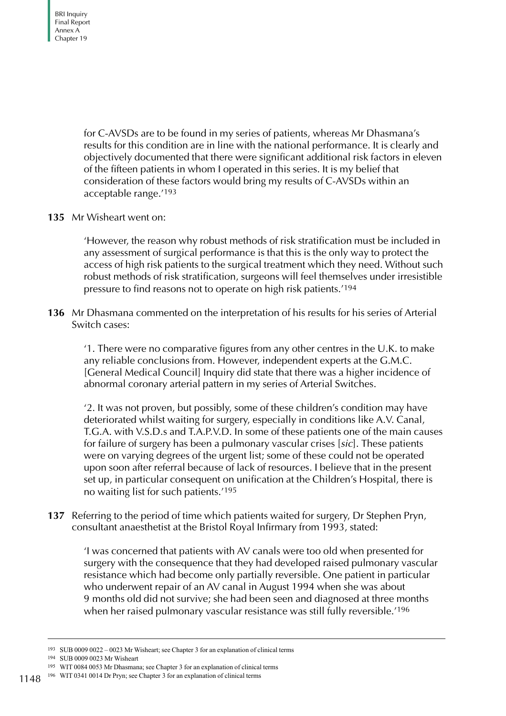for C-AVSDs are to be found in my series of patients, whereas Mr Dhasmana's results for this condition are in line with the national performance. It is clearly and objectively documented that there were significant additional risk factors in eleven of the fifteen patients in whom I operated in this series. It is my belief that consideration of these factors would bring my results of C-AVSDs within an acceptable range.'193

### **135** Mr Wisheart went on:

'However, the reason why robust methods of risk stratification must be included in any assessment of surgical performance is that this is the only way to protect the access of high risk patients to the surgical treatment which they need. Without such robust methods of risk stratification, surgeons will feel themselves under irresistible pressure to find reasons not to operate on high risk patients.'194

**136** Mr Dhasmana commented on the interpretation of his results for his series of Arterial Switch cases:

'1. There were no comparative figures from any other centres in the U.K. to make any reliable conclusions from. However, independent experts at the G.M.C. [General Medical Council] Inquiry did state that there was a higher incidence of abnormal coronary arterial pattern in my series of Arterial Switches.

'2. It was not proven, but possibly, some of these children's condition may have deteriorated whilst waiting for surgery, especially in conditions like A.V. Canal, T.G.A. with V.S.D.s and T.A.P.V.D. In some of these patients one of the main causes for failure of surgery has been a pulmonary vascular crises [sic]. These patients were on varying degrees of the urgent list; some of these could not be operated upon soon after referral because of lack of resources. I believe that in the present set up, in particular consequent on unification at the Children's Hospital, there is no waiting list for such patients.'195

**137** Referring to the period of time which patients waited for surgery, Dr Stephen Pryn, consultant anaesthetist at the Bristol Royal Infirmary from 1993, stated:

'I was concerned that patients with AV canals were too old when presented for surgery with the consequence that they had developed raised pulmonary vascular resistance which had become only partially reversible. One patient in particular who underwent repair of an AV canal in August 1994 when she was about 9 months old did not survive; she had been seen and diagnosed at three months when her raised pulmonary vascular resistance was still fully reversible.'196

<sup>193</sup> SUB 0009 0022 – 0023 Mr Wisheart; see Chapter 3 for an explanation of clinical terms

<sup>194</sup> SUB 0009 0023 Mr Wisheart

<sup>195</sup> WIT 0084 0053 Mr Dhasmana; see Chapter 3 for an explanation of clinical terms

<sup>196</sup> WIT 0341 0014 Dr Pryn; see Chapter 3 for an explanation of clinical terms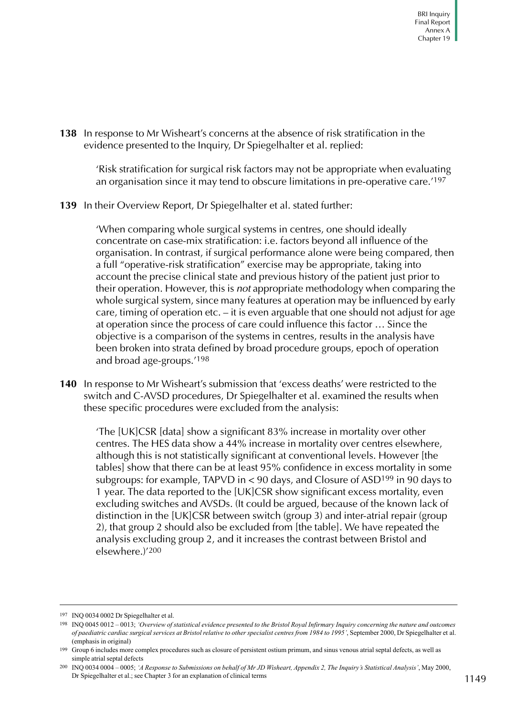**138** In response to Mr Wisheart's concerns at the absence of risk stratification in the evidence presented to the Inquiry, Dr Spiegelhalter et al. replied:

'Risk stratification for surgical risk factors may not be appropriate when evaluating an organisation since it may tend to obscure limitations in pre-operative care.'197

**139** In their Overview Report, Dr Spiegelhalter et al. stated further:

'When comparing whole surgical systems in centres, one should ideally concentrate on case-mix stratification: i.e. factors beyond all influence of the organisation. In contrast, if surgical performance alone were being compared, then a full "operative-risk stratification" exercise may be appropriate, taking into account the precise clinical state and previous history of the patient just prior to their operation. However, this is not appropriate methodology when comparing the whole surgical system, since many features at operation may be influenced by early care, timing of operation etc. – it is even arguable that one should not adjust for age at operation since the process of care could influence this factor … Since the objective is a comparison of the systems in centres, results in the analysis have been broken into strata defined by broad procedure groups, epoch of operation and broad age-groups.'198

**140** In response to Mr Wisheart's submission that 'excess deaths' were restricted to the switch and C-AVSD procedures, Dr Spiegelhalter et al. examined the results when these specific procedures were excluded from the analysis:

'The [UK]CSR [data] show a significant 83% increase in mortality over other centres. The HES data show a 44% increase in mortality over centres elsewhere, although this is not statistically significant at conventional levels. However [the tables] show that there can be at least 95% confidence in excess mortality in some subgroups: for example, TAPVD in  $\lt 90$  days, and Closure of ASD<sup>199</sup> in 90 days to 1 year. The data reported to the [UK]CSR show significant excess mortality, even excluding switches and AVSDs. (It could be argued, because of the known lack of distinction in the [UK]CSR between switch (group 3) and inter-atrial repair (group 2), that group 2 should also be excluded from [the table]. We have repeated the analysis excluding group 2, and it increases the contrast between Bristol and elsewhere.)'200

<sup>197</sup> INQ 0034 0002 Dr Spiegelhalter et al.

<sup>198</sup> INQ 0045 0012 – 0013; *'Overview of statistical evidence presented to the Bristol Royal Infirmary Inquiry concerning the nature and outcomes of paediatric cardiac surgical services at Bristol relative to other specialist centres from 1984 to 1995'*, September 2000, Dr Spiegelhalter et al. (emphasis in original)

<sup>199</sup> Group 6 includes more complex procedures such as closure of persistent ostium primum, and sinus venous atrial septal defects, as well as simple atrial septal defects

<sup>200</sup> INQ 0034 0004 – 0005; *'A Response to Submissions on behalf of Mr JD Wisheart, Appendix 2, The Inquiry's Statistical Analysis'*, May 2000, Dr Spiegelhalter et al.; see Chapter 3 for an explanation of clinical terms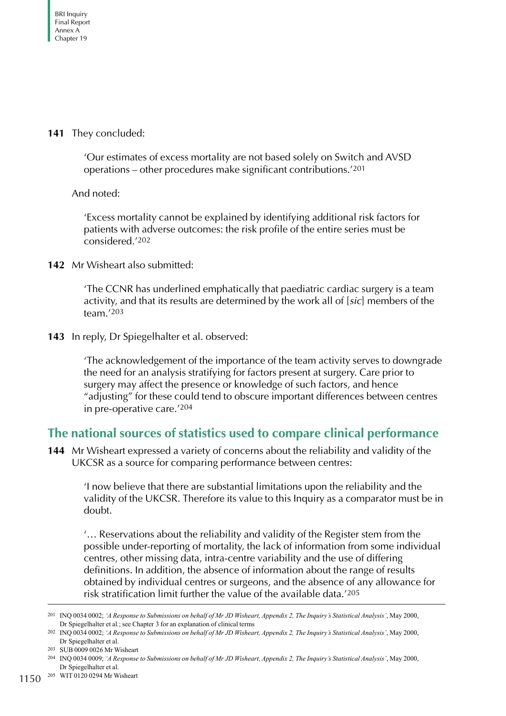### **141** They concluded:

'Our estimates of excess mortality are not based solely on Switch and AVSD operations – other procedures make significant contributions.'201

### And noted:

'Excess mortality cannot be explained by identifying additional risk factors for patients with adverse outcomes: the risk profile of the entire series must be considered.'202

**142** Mr Wisheart also submitted:

'The CCNR has underlined emphatically that paediatric cardiac surgery is a team activity, and that its results are determined by the work all of [sic] members of the team $\overline{203}$ 

**143** In reply, Dr Spiegelhalter et al. observed:

'The acknowledgement of the importance of the team activity serves to downgrade the need for an analysis stratifying for factors present at surgery. Care prior to surgery may affect the presence or knowledge of such factors, and hence "adjusting" for these could tend to obscure important differences between centres in pre-operative care.'204

# **The national sources of statistics used to compare clinical performance**

**144** Mr Wisheart expressed a variety of concerns about the reliability and validity of the UKCSR as a source for comparing performance between centres:

'I now believe that there are substantial limitations upon the reliability and the validity of the UKCSR. Therefore its value to this Inquiry as a comparator must be in doubt.

'… Reservations about the reliability and validity of the Register stem from the possible under-reporting of mortality, the lack of information from some individual centres, other missing data, intra-centre variability and the use of differing definitions. In addition, the absence of information about the range of results obtained by individual centres or surgeons, and the absence of any allowance for risk stratification limit further the value of the available data.'205

<sup>201</sup> INQ 0034 0002; *'A Response to Submissions on behalf of Mr JD Wisheart, Appendix 2, The Inquiry's Statistical Analysis'*, May 2000, Dr Spiegelhalter et al*.*; see Chapter 3 for an explanation of clinical terms

<sup>202</sup> INQ 0034 0002; *'A Response to Submissions on behalf of Mr JD Wisheart, Appendix 2, The Inquiry's Statistical Analysis'*, May 2000, Dr Spiegelhalter et al.

<sup>203</sup> SUB 0009 0026 Mr Wisheart

<sup>204</sup> INQ 0034 0009; *'A Response to Submissions on behalf of Mr JD Wisheart, Appendix 2, The Inquiry's Statistical Analysis'*, May 2000, Dr Spiegelhalter et al.

<sup>1150 &</sup>lt;sup>205</sup> WIT 0120 0294 Mr Wisheart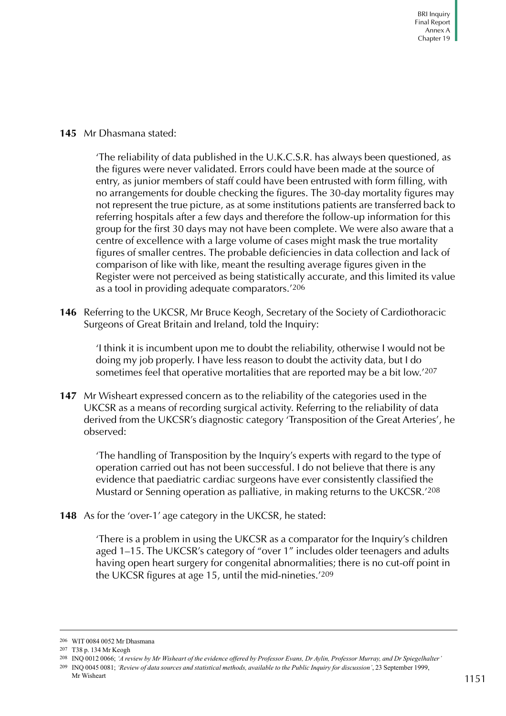### **145** Mr Dhasmana stated:

'The reliability of data published in the U.K.C.S.R. has always been questioned, as the figures were never validated. Errors could have been made at the source of entry, as junior members of staff could have been entrusted with form filling, with no arrangements for double checking the figures. The 30-day mortality figures may not represent the true picture, as at some institutions patients are transferred back to referring hospitals after a few days and therefore the follow-up information for this group for the first 30 days may not have been complete. We were also aware that a centre of excellence with a large volume of cases might mask the true mortality figures of smaller centres. The probable deficiencies in data collection and lack of comparison of like with like, meant the resulting average figures given in the Register were not perceived as being statistically accurate, and this limited its value as a tool in providing adequate comparators.'206

**146** Referring to the UKCSR, Mr Bruce Keogh, Secretary of the Society of Cardiothoracic Surgeons of Great Britain and Ireland, told the Inquiry:

'I think it is incumbent upon me to doubt the reliability, otherwise I would not be doing my job properly. I have less reason to doubt the activity data, but I do sometimes feel that operative mortalities that are reported may be a bit low.'207

**147** Mr Wisheart expressed concern as to the reliability of the categories used in the UKCSR as a means of recording surgical activity. Referring to the reliability of data derived from the UKCSR's diagnostic category 'Transposition of the Great Arteries', he observed:

'The handling of Transposition by the Inquiry's experts with regard to the type of operation carried out has not been successful. I do not believe that there is any evidence that paediatric cardiac surgeons have ever consistently classified the Mustard or Senning operation as palliative, in making returns to the UKCSR.'208

**148** As for the 'over-1' age category in the UKCSR, he stated:

'There is a problem in using the UKCSR as a comparator for the Inquiry's children aged 1–15. The UKCSR's category of "over 1" includes older teenagers and adults having open heart surgery for congenital abnormalities; there is no cut-off point in the UKCSR figures at age 15, until the mid-nineties.'209

209 INQ 0045 0081; *'Review of data sources and statistical methods, available to the Public Inquiry for discussion'*, 23 September 1999,

<sup>206</sup> WIT 0084 0052 Mr Dhasmana

<sup>207</sup> T38 p. 134 Mr Keogh

<sup>208</sup> INQ 0012 0066; *'A review by Mr Wisheart of the evidence offered by Professor Evans, Dr Aylin, Professor Murray, and Dr Spiegelhalter'*

Mr Wisheart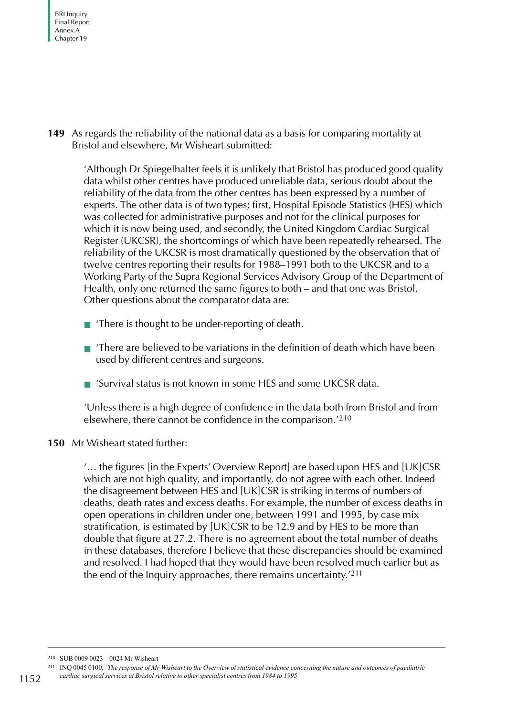

**149** As regards the reliability of the national data as a basis for comparing mortality at Bristol and elsewhere, Mr Wisheart submitted:

'Although Dr Spiegelhalter feels it is unlikely that Bristol has produced good quality data whilst other centres have produced unreliable data, serious doubt about the reliability of the data from the other centres has been expressed by a number of experts. The other data is of two types; first, Hospital Episode Statistics (HES) which was collected for administrative purposes and not for the clinical purposes for which it is now being used, and secondly, the United Kingdom Cardiac Surgical Register (UKCSR), the shortcomings of which have been repeatedly rehearsed. The reliability of the UKCSR is most dramatically questioned by the observation that of twelve centres reporting their results for 1988–1991 both to the UKCSR and to a Working Party of the Supra Regional Services Advisory Group of the Department of Health, only one returned the same figures to both – and that one was Bristol. Other questions about the comparator data are:

- There is thought to be under-reporting of death.
- **T** 'There are believed to be variations in the definition of death which have been used by different centres and surgeons.
- 'Survival status is not known in some HES and some UKCSR data.

'Unless there is a high degree of confidence in the data both from Bristol and from elsewhere, there cannot be confidence in the comparison.'210

### **150** Mr Wisheart stated further:

'… the figures [in the Experts' Overview Report] are based upon HES and [UK]CSR which are not high quality, and importantly, do not agree with each other. Indeed the disagreement between HES and [UK]CSR is striking in terms of numbers of deaths, death rates and excess deaths. For example, the number of excess deaths in open operations in children under one, between 1991 and 1995, by case mix stratification, is estimated by [UK]CSR to be 12.9 and by HES to be more than double that figure at 27.2. There is no agreement about the total number of deaths in these databases, therefore I believe that these discrepancies should be examined and resolved. I had hoped that they would have been resolved much earlier but as the end of the Inquiry approaches, there remains uncertainty.'211

- 211 INQ 0045 0100; *'The response of Mr Wisheart to the Overview of statistical evidence concerning the nature and outcomes of paediatric*
- *cardiac surgical services at Bristol relative to other specialist centres from 1984 to 1995'*

<sup>210</sup> SUB 0009 0023 – 0024 Mr Wisheart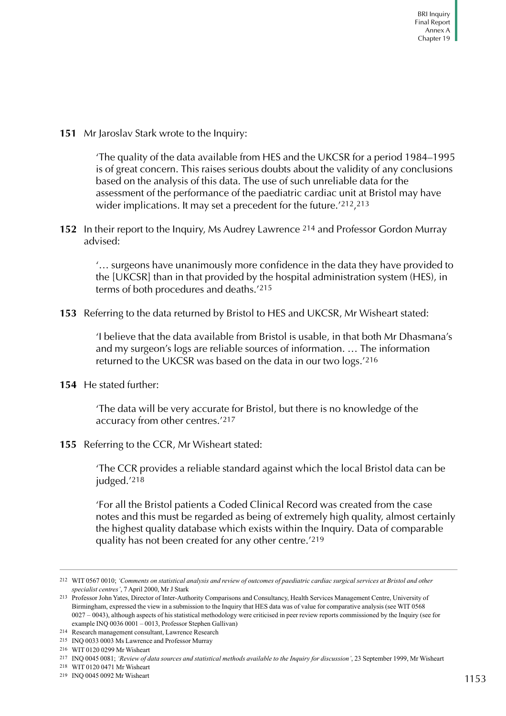**151** Mr Jaroslav Stark wrote to the Inquiry:

'The quality of the data available from HES and the UKCSR for a period 1984–1995 is of great concern. This raises serious doubts about the validity of any conclusions based on the analysis of this data. The use of such unreliable data for the assessment of the performance of the paediatric cardiac unit at Bristol may have wider implications. It may set a precedent for the future.'212,213

**152** In their report to the Inquiry, Ms Audrey Lawrence 214 and Professor Gordon Murray advised:

'… surgeons have unanimously more confidence in the data they have provided to the [UKCSR] than in that provided by the hospital administration system (HES), in terms of both procedures and deaths.'215

### **153** Referring to the data returned by Bristol to HES and UKCSR, Mr Wisheart stated:

'I believe that the data available from Bristol is usable, in that both Mr Dhasmana's and my surgeon's logs are reliable sources of information. … The information returned to the UKCSR was based on the data in our two logs.'216

### **154** He stated further:

'The data will be very accurate for Bristol, but there is no knowledge of the accuracy from other centres.'217

**155** Referring to the CCR, Mr Wisheart stated:

'The CCR provides a reliable standard against which the local Bristol data can be judged.'218

'For all the Bristol patients a Coded Clinical Record was created from the case notes and this must be regarded as being of extremely high quality, almost certainly the highest quality database which exists within the Inquiry. Data of comparable quality has not been created for any other centre.'219

<sup>212</sup> WIT 0567 0010; *'Comments on statistical analysis and review of outcomes of paediatric cardiac surgical services at Bristol and other specialist centres'*, 7 April 2000, Mr J Stark

<sup>213</sup> Professor John Yates, Director of Inter-Authority Comparisons and Consultancy, Health Services Management Centre, University of Birmingham, expressed the view in a submission to the Inquiry that HES data was of value for comparative analysis (see WIT 0568  $0027 - 0043$ ), although aspects of his statistical methodology were criticised in peer review reports commissioned by the Inquiry (see for example INQ 0036 0001 – 0013, Professor Stephen Gallivan)

<sup>214</sup> Research management consultant, Lawrence Research

<sup>215</sup> INQ 0033 0003 Ms Lawrence and Professor Murray

<sup>216</sup> WIT 0120 0299 Mr Wisheart

<sup>217</sup> INQ 0045 0081; *'Review of data sources and statistical methods available to the Inquiry for discussion'*, 23 September 1999, Mr Wisheart

<sup>218</sup> WIT 0120 0471 Mr Wisheart

<sup>219</sup> INQ 0045 0092 Mr Wisheart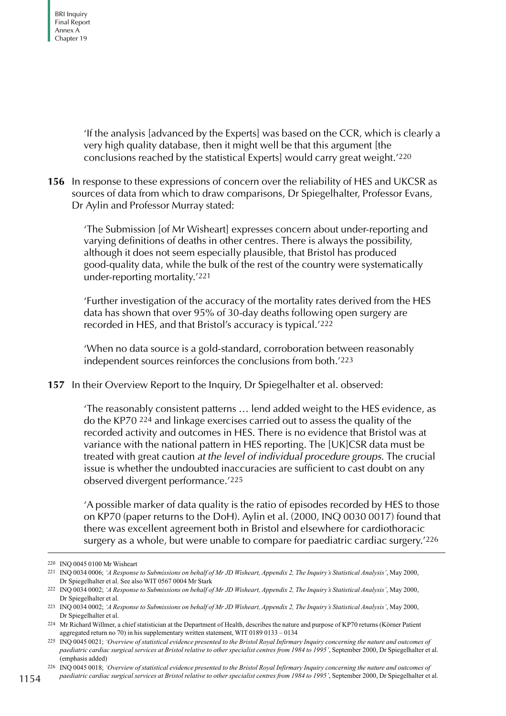'If the analysis [advanced by the Experts] was based on the CCR, which is clearly a very high quality database, then it might well be that this argument [the conclusions reached by the statistical Experts] would carry great weight.'220

**156** In response to these expressions of concern over the reliability of HES and UKCSR as sources of data from which to draw comparisons, Dr Spiegelhalter, Professor Evans, Dr Aylin and Professor Murray stated:

'The Submission [of Mr Wisheart] expresses concern about under-reporting and varying definitions of deaths in other centres. There is always the possibility, although it does not seem especially plausible, that Bristol has produced good-quality data, while the bulk of the rest of the country were systematically under-reporting mortality.'221

'Further investigation of the accuracy of the mortality rates derived from the HES data has shown that over 95% of 30-day deaths following open surgery are recorded in HES, and that Bristol's accuracy is typical.'222

'When no data source is a gold-standard, corroboration between reasonably independent sources reinforces the conclusions from both.'223

**157** In their Overview Report to the Inquiry, Dr Spiegelhalter et al. observed:

'The reasonably consistent patterns … lend added weight to the HES evidence, as do the KP70 224 and linkage exercises carried out to assess the quality of the recorded activity and outcomes in HES. There is no evidence that Bristol was at variance with the national pattern in HES reporting. The [UK]CSR data must be treated with great caution at the level of individual procedure groups. The crucial issue is whether the undoubted inaccuracies are sufficient to cast doubt on any observed divergent performance.'225

'A possible marker of data quality is the ratio of episodes recorded by HES to those on KP70 (paper returns to the DoH). Aylin et al. (2000, INQ 0030 0017) found that there was excellent agreement both in Bristol and elsewhere for cardiothoracic surgery as a whole, but were unable to compare for paediatric cardiac surgery.<sup>'226</sup>

<sup>220</sup> INQ 0045 0100 Mr Wisheart

<sup>221</sup> INQ 0034 0006; *'A Response to Submissions on behalf of Mr JD Wisheart, Appendix 2, The Inquiry's Statistical Analysis'*, May 2000, Dr Spiegelhalter et al. See also WIT 0567 0004 Mr Stark

<sup>222</sup> INQ 0034 0002; *'A Response to Submissions on behalf of Mr JD Wisheart, Appendix 2, The Inquiry's Statistical Analysis'*, May 2000, Dr Spiegelhalter et al.

<sup>223</sup> INQ 0034 0002; *'A Response to Submissions on behalf of Mr JD Wisheart, Appendix 2, The Inquiry's Statistical Analysis'*, May 2000, Dr Spiegelhalter et al.

<sup>224</sup> Mr Richard Willmer, a chief statistician at the Department of Health, describes the nature and purpose of KP70 returns (Körner Patient aggregated return no 70) in his supplementary written statement, WIT 0189 0133 – 0134

<sup>225</sup> INQ 0045 0021; *'Overview of statistical evidence presented to the Bristol Royal Infirmary Inquiry concerning the nature and outcomes of paediatric cardiac surgical services at Bristol relative to other specialist centres from 1984 to 1995'*, September 2000, Dr Spiegelhalter et al. (emphasis added)

<sup>226</sup> INQ 0045 0018; *'Overview of statistical evidence presented to the Bristol Royal Infirmary Inquiry concerning the nature and outcomes of*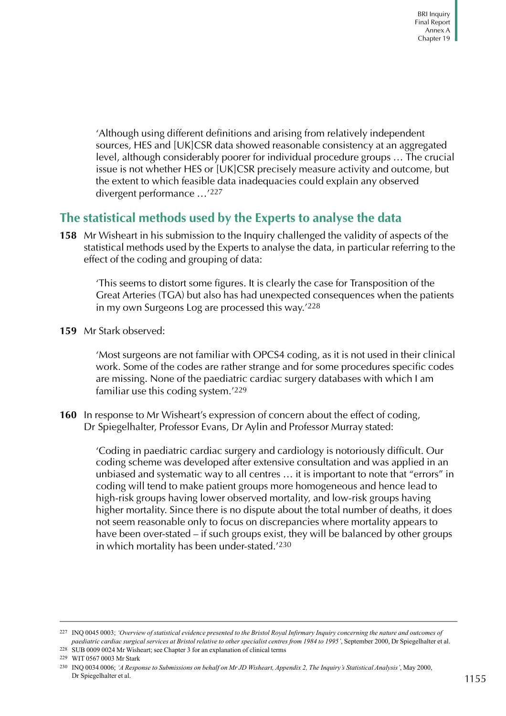'Although using different definitions and arising from relatively independent sources, HES and [UK]CSR data showed reasonable consistency at an aggregated level, although considerably poorer for individual procedure groups … The crucial issue is not whether HES or [UK]CSR precisely measure activity and outcome, but the extent to which feasible data inadequacies could explain any observed divergent performance …'227

# **The statistical methods used by the Experts to analyse the data**

**158** Mr Wisheart in his submission to the Inquiry challenged the validity of aspects of the statistical methods used by the Experts to analyse the data, in particular referring to the effect of the coding and grouping of data:

'This seems to distort some figures. It is clearly the case for Transposition of the Great Arteries (TGA) but also has had unexpected consequences when the patients in my own Surgeons Log are processed this way.'228

**159** Mr Stark observed:

'Most surgeons are not familiar with OPCS4 coding, as it is not used in their clinical work. Some of the codes are rather strange and for some procedures specific codes are missing. None of the paediatric cardiac surgery databases with which I am familiar use this coding system.'229

**160** In response to Mr Wisheart's expression of concern about the effect of coding, Dr Spiegelhalter, Professor Evans, Dr Aylin and Professor Murray stated:

> 'Coding in paediatric cardiac surgery and cardiology is notoriously difficult. Our coding scheme was developed after extensive consultation and was applied in an unbiased and systematic way to all centres … it is important to note that "errors" in coding will tend to make patient groups more homogeneous and hence lead to high-risk groups having lower observed mortality, and low-risk groups having higher mortality. Since there is no dispute about the total number of deaths, it does not seem reasonable only to focus on discrepancies where mortality appears to have been over-stated – if such groups exist, they will be balanced by other groups in which mortality has been under-stated.'230

<sup>227</sup> INQ 0045 0003; *'Overview of statistical evidence presented to the Bristol Royal Infirmary Inquiry concerning the nature and outcomes of paediatric cardiac surgical services at Bristol relative to other specialist centres from 1984 to 1995'*, September 2000, Dr Spiegelhalter et al.

<sup>228</sup> SUB 0009 0024 Mr Wisheart; see Chapter 3 for an explanation of clinical terms

<sup>229</sup> WIT 0567 0003 Mr Stark

<sup>230</sup> INQ 0034 0006; *'A Response to Submissions on behalf on Mr JD Wisheart, Appendix 2, The Inquiry's Statistical Analysis'*, May 2000, Dr Spiegelhalter et al.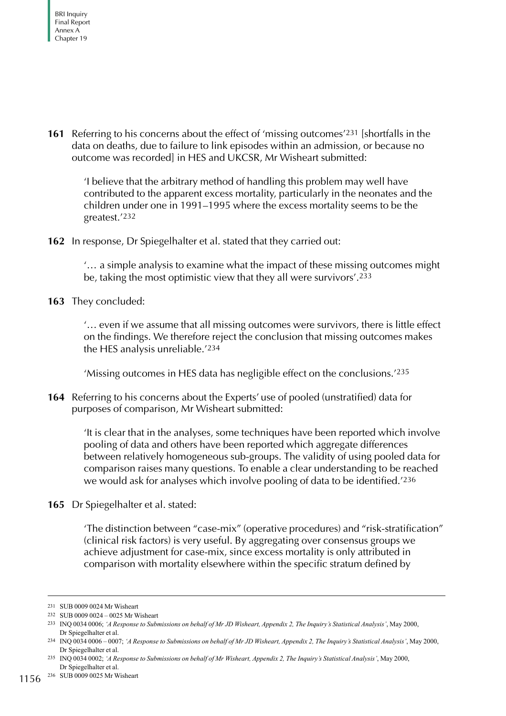**161** Referring to his concerns about the effect of 'missing outcomes'231 [shortfalls in the data on deaths, due to failure to link episodes within an admission, or because no outcome was recorded] in HES and UKCSR, Mr Wisheart submitted:

'I believe that the arbitrary method of handling this problem may well have contributed to the apparent excess mortality, particularly in the neonates and the children under one in 1991–1995 where the excess mortality seems to be the greatest.'232

**162** In response, Dr Spiegelhalter et al. stated that they carried out:

'… a simple analysis to examine what the impact of these missing outcomes might be, taking the most optimistic view that they all were survivors'.233

**163** They concluded:

'… even if we assume that all missing outcomes were survivors, there is little effect on the findings. We therefore reject the conclusion that missing outcomes makes the HES analysis unreliable.'234

'Missing outcomes in HES data has negligible effect on the conclusions.'235

**164** Referring to his concerns about the Experts' use of pooled (unstratified) data for purposes of comparison, Mr Wisheart submitted:

'It is clear that in the analyses, some techniques have been reported which involve pooling of data and others have been reported which aggregate differences between relatively homogeneous sub-groups. The validity of using pooled data for comparison raises many questions. To enable a clear understanding to be reached we would ask for analyses which involve pooling of data to be identified.'236

**165** Dr Spiegelhalter et al. stated:

'The distinction between "case-mix" (operative procedures) and "risk-stratification" (clinical risk factors) is very useful. By aggregating over consensus groups we achieve adjustment for case-mix, since excess mortality is only attributed in comparison with mortality elsewhere within the specific stratum defined by

<sup>231</sup> SUB 0009 0024 Mr Wisheart

<sup>232</sup> SUB 0009 0024 – 0025 Mr Wisheart

<sup>233</sup> INQ 0034 0006; *'A Response to Submissions on behalf of Mr JD Wisheart, Appendix 2, The Inquiry's Statistical Analysis'*, May 2000, Dr Spiegelhalter et al.

<sup>234</sup> INQ 0034 0006 – 0007; *'A Response to Submissions on behalf of Mr JD Wisheart, Appendix 2, The Inquiry's Statistical Analysis'*, May 2000, Dr Spiegelhalter et al.

<sup>235</sup> INQ 0034 0002; *'A Response to Submissions on behalf of Mr Wisheart, Appendix 2, The Inquiry's Statistical Analysis'*, May 2000, Dr Spiegelhalter et al.

<sup>236</sup> SUB 0009 0025 Mr Wisheart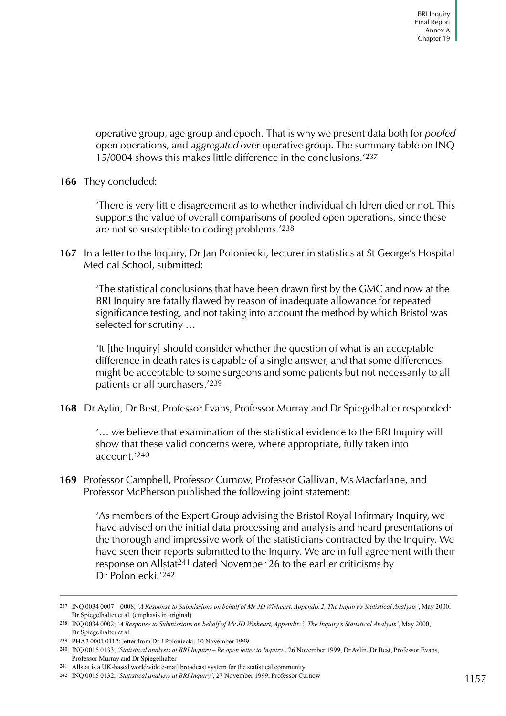operative group, age group and epoch. That is why we present data both for pooled open operations, and aggregated over operative group. The summary table on INQ 15/0004 shows this makes little difference in the conclusions.'237

### **166** They concluded:

'There is very little disagreement as to whether individual children died or not. This supports the value of overall comparisons of pooled open operations, since these are not so susceptible to coding problems.'238

**167** In a letter to the Inquiry, Dr Jan Poloniecki, lecturer in statistics at St George's Hospital Medical School, submitted:

'The statistical conclusions that have been drawn first by the GMC and now at the BRI Inquiry are fatally flawed by reason of inadequate allowance for repeated significance testing, and not taking into account the method by which Bristol was selected for scrutiny …

'It [the Inquiry] should consider whether the question of what is an acceptable difference in death rates is capable of a single answer, and that some differences might be acceptable to some surgeons and some patients but not necessarily to all patients or all purchasers.'239

**168** Dr Aylin, Dr Best, Professor Evans, Professor Murray and Dr Spiegelhalter responded:

'… we believe that examination of the statistical evidence to the BRI Inquiry will show that these valid concerns were, where appropriate, fully taken into account.'240

**169** Professor Campbell, Professor Curnow, Professor Gallivan, Ms Macfarlane, and Professor McPherson published the following joint statement:

'As members of the Expert Group advising the Bristol Royal Infirmary Inquiry, we have advised on the initial data processing and analysis and heard presentations of the thorough and impressive work of the statisticians contracted by the Inquiry. We have seen their reports submitted to the Inquiry. We are in full agreement with their response on Allstat241 dated November 26 to the earlier criticisms by Dr Poloniecki.'242

<sup>237</sup> INQ 0034 0007 – 0008; *'A Response to Submissions on behalf of Mr JD Wisheart, Appendix 2, The Inquiry's Statistical Analysis'*, May 2000, Dr Spiegelhalter et al. (emphasis in original)

<sup>238</sup> INQ 0034 0002; *'A Response to Submissions on behalf of Mr JD Wisheart, Appendix 2, The Inquiry's Statistical Analysis'*, May 2000, Dr Spiegelhalter et al.

<sup>239</sup> PHA2 0001 0112; letter from Dr J Poloniecki, 10 November 1999

<sup>240</sup> INQ 0015 0133; *'Statistical analysis at BRI Inquiry – Re open letter to Inquiry'*, 26 November 1999, Dr Aylin, Dr Best, Professor Evans, Professor Murray and Dr Spiegelhalter

<sup>241</sup> Allstat is a UK-based worldwide e-mail broadcast system for the statistical community

<sup>242</sup> INQ 0015 0132; *'Statistical analysis at BRI Inquiry'*, 27 November 1999, Professor Curnow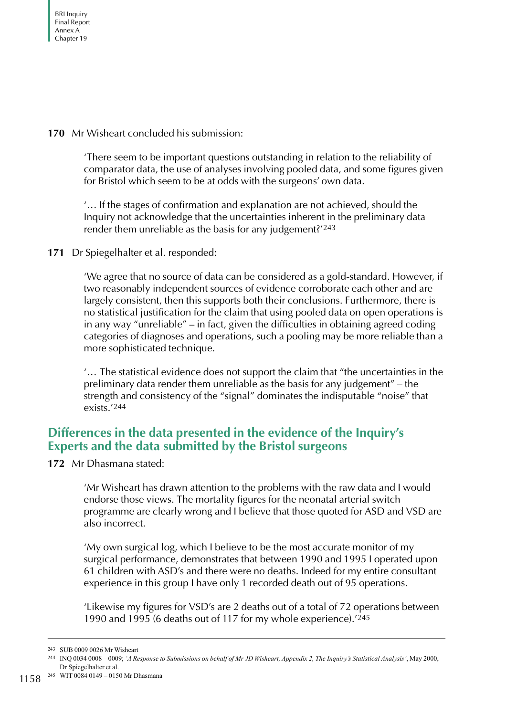### **170** Mr Wisheart concluded his submission:

'There seem to be important questions outstanding in relation to the reliability of comparator data, the use of analyses involving pooled data, and some figures given for Bristol which seem to be at odds with the surgeons' own data.

'… If the stages of confirmation and explanation are not achieved, should the Inquiry not acknowledge that the uncertainties inherent in the preliminary data render them unreliable as the basis for any judgement?'243

**171** Dr Spiegelhalter et al. responded:

'We agree that no source of data can be considered as a gold-standard. However, if two reasonably independent sources of evidence corroborate each other and are largely consistent, then this supports both their conclusions. Furthermore, there is no statistical justification for the claim that using pooled data on open operations is in any way "unreliable" – in fact, given the difficulties in obtaining agreed coding categories of diagnoses and operations, such a pooling may be more reliable than a more sophisticated technique.

'… The statistical evidence does not support the claim that "the uncertainties in the preliminary data render them unreliable as the basis for any judgement" – the strength and consistency of the "signal" dominates the indisputable "noise" that exists.'244

# **Differences in the data presented in the evidence of the Inquiry's Experts and the data submitted by the Bristol surgeons**

**172** Mr Dhasmana stated:

'Mr Wisheart has drawn attention to the problems with the raw data and I would endorse those views. The mortality figures for the neonatal arterial switch programme are clearly wrong and I believe that those quoted for ASD and VSD are also incorrect.

'My own surgical log, which I believe to be the most accurate monitor of my surgical performance, demonstrates that between 1990 and 1995 I operated upon 61 children with ASD's and there were no deaths. Indeed for my entire consultant experience in this group I have only 1 recorded death out of 95 operations.

'Likewise my figures for VSD's are 2 deaths out of a total of 72 operations between 1990 and 1995 (6 deaths out of 117 for my whole experience).'245

<sup>243</sup> SUB 0009 0026 Mr Wisheart

<sup>244</sup> INQ 0034 0008 – 0009; *'A Response to Submissions on behalf of Mr JD Wisheart, Appendix 2, The Inquiry's Statistical Analysis'*, May 2000, Dr Spiegelhalter et al.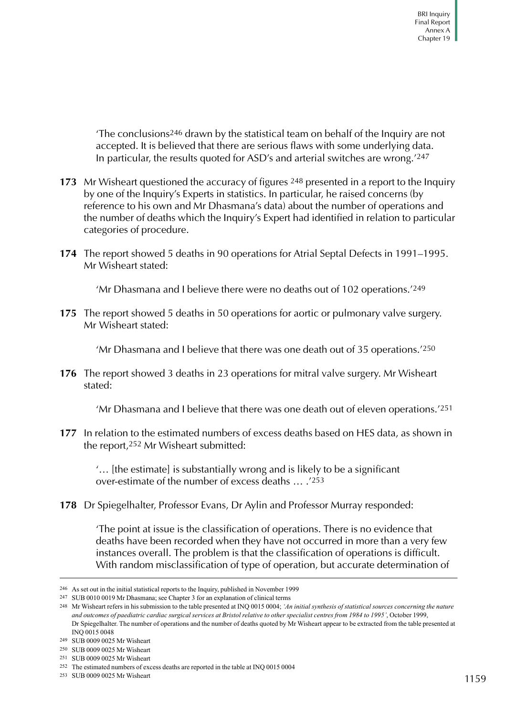'The conclusions246 drawn by the statistical team on behalf of the Inquiry are not accepted. It is believed that there are serious flaws with some underlying data. In particular, the results quoted for ASD's and arterial switches are wrong.'247

- **173** Mr Wisheart questioned the accuracy of figures 248 presented in a report to the Inquiry by one of the Inquiry's Experts in statistics. In particular, he raised concerns (by reference to his own and Mr Dhasmana's data) about the number of operations and the number of deaths which the Inquiry's Expert had identified in relation to particular categories of procedure.
- **174** The report showed 5 deaths in 90 operations for Atrial Septal Defects in 1991–1995. Mr Wisheart stated:

'Mr Dhasmana and I believe there were no deaths out of 102 operations.'249

**175** The report showed 5 deaths in 50 operations for aortic or pulmonary valve surgery. Mr Wisheart stated:

'Mr Dhasmana and I believe that there was one death out of 35 operations.'250

**176** The report showed 3 deaths in 23 operations for mitral valve surgery. Mr Wisheart stated:

'Mr Dhasmana and I believe that there was one death out of eleven operations.'251

**177** In relation to the estimated numbers of excess deaths based on HES data, as shown in the report,252 Mr Wisheart submitted:

'… [the estimate] is substantially wrong and is likely to be a significant over-estimate of the number of excess deaths … .'253

**178** Dr Spiegelhalter, Professor Evans, Dr Aylin and Professor Murray responded:

'The point at issue is the classification of operations. There is no evidence that deaths have been recorded when they have not occurred in more than a very few instances overall. The problem is that the classification of operations is difficult. With random misclassification of type of operation, but accurate determination of

<sup>246</sup> As set out in the initial statistical reports to the Inquiry, published in November 1999

<sup>247</sup> SUB 0010 0019 Mr Dhasmana; see Chapter 3 for an explanation of clinical terms

<sup>248</sup> Mr Wisheart refers in his submission to the table presented at INQ 0015 0004; *'An initial synthesis of statistical sources concerning the nature and outcomes of paediatric cardiac surgical services at Bristol relative to other specialist centres from 1984 to 1995'*, October 1999, Dr Spiegelhalter. The number of operations and the number of deaths quoted by Mr Wisheart appear to be extracted from the table presented at INQ 0015 0048

<sup>249</sup> SUB 0009 0025 Mr Wisheart

<sup>250</sup> SUB 0009 0025 Mr Wisheart

<sup>251</sup> SUB 0009 0025 Mr Wisheart

<sup>252</sup> The estimated numbers of excess deaths are reported in the table at INQ 0015 0004

<sup>253</sup> SUB 0009 0025 Mr Wisheart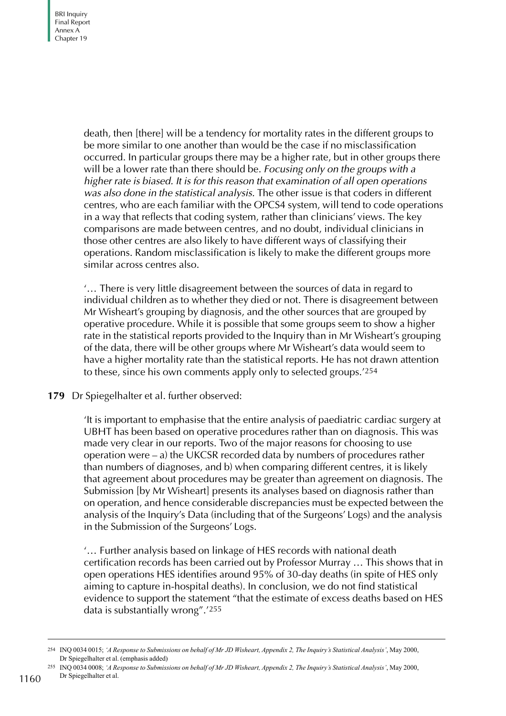death, then [there] will be a tendency for mortality rates in the different groups to be more similar to one another than would be the case if no misclassification occurred. In particular groups there may be a higher rate, but in other groups there will be a lower rate than there should be. Focusing only on the groups with a higher rate is biased. It is for this reason that examination of all open operations was also done in the statistical analysis. The other issue is that coders in different centres, who are each familiar with the OPCS4 system, will tend to code operations in a way that reflects that coding system, rather than clinicians' views. The key comparisons are made between centres, and no doubt, individual clinicians in those other centres are also likely to have different ways of classifying their operations. Random misclassification is likely to make the different groups more similar across centres also.

'… There is very little disagreement between the sources of data in regard to individual children as to whether they died or not. There is disagreement between Mr Wisheart's grouping by diagnosis, and the other sources that are grouped by operative procedure. While it is possible that some groups seem to show a higher rate in the statistical reports provided to the Inquiry than in Mr Wisheart's grouping of the data, there will be other groups where Mr Wisheart's data would seem to have a higher mortality rate than the statistical reports. He has not drawn attention to these, since his own comments apply only to selected groups.'254

**179** Dr Spiegelhalter et al. further observed:

'It is important to emphasise that the entire analysis of paediatric cardiac surgery at UBHT has been based on operative procedures rather than on diagnosis. This was made very clear in our reports. Two of the major reasons for choosing to use operation were – a) the UKCSR recorded data by numbers of procedures rather than numbers of diagnoses, and b) when comparing different centres, it is likely that agreement about procedures may be greater than agreement on diagnosis. The Submission [by Mr Wisheart] presents its analyses based on diagnosis rather than on operation, and hence considerable discrepancies must be expected between the analysis of the Inquiry's Data (including that of the Surgeons' Logs) and the analysis in the Submission of the Surgeons' Logs.

'… Further analysis based on linkage of HES records with national death certification records has been carried out by Professor Murray … This shows that in open operations HES identifies around 95% of 30-day deaths (in spite of HES only aiming to capture in-hospital deaths). In conclusion, we do not find statistical evidence to support the statement "that the estimate of excess deaths based on HES data is substantially wrong".'255

255 INQ 0034 0008; *'A Response to Submissions on behalf of Mr JD Wisheart, Appendix 2, The Inquiry's Statistical Analysis'*, May 2000, Dr Spiegelhalter et al.

<sup>254</sup> INQ 0034 0015; *'A Response to Submissions on behalf of Mr JD Wisheart, Appendix 2, The Inquiry's Statistical Analysis'*, May 2000, Dr Spiegelhalter et al. (emphasis added)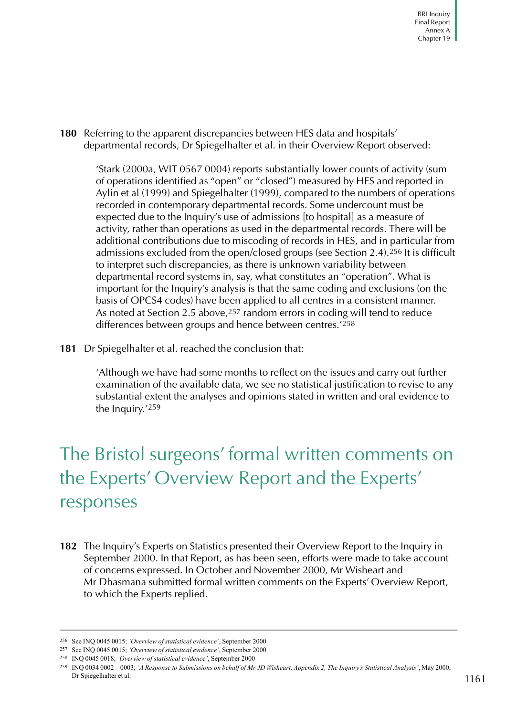**180** Referring to the apparent discrepancies between HES data and hospitals' departmental records, Dr Spiegelhalter et al. in their Overview Report observed:

'Stark (2000a, WIT 0567 0004) reports substantially lower counts of activity (sum of operations identified as "open" or "closed") measured by HES and reported in Aylin et al (1999) and Spiegelhalter (1999), compared to the numbers of operations recorded in contemporary departmental records. Some undercount must be expected due to the Inquiry's use of admissions [to hospital] as a measure of activity, rather than operations as used in the departmental records. There will be additional contributions due to miscoding of records in HES, and in particular from admissions excluded from the open/closed groups (see Section 2.4).256 It is difficult to interpret such discrepancies, as there is unknown variability between departmental record systems in, say, what constitutes an "operation". What is important for the Inquiry's analysis is that the same coding and exclusions (on the basis of OPCS4 codes) have been applied to all centres in a consistent manner. As noted at Section 2.5 above, <sup>257</sup> random errors in coding will tend to reduce differences between groups and hence between centres.'258

**181** Dr Spiegelhalter et al. reached the conclusion that:

'Although we have had some months to reflect on the issues and carry out further examination of the available data, we see no statistical justification to revise to any substantial extent the analyses and opinions stated in written and oral evidence to the Inquiry.'259

# The Bristol surgeons' formal written comments on the Experts' Overview Report and the Experts' responses

**182** The Inquiry's Experts on Statistics presented their Overview Report to the Inquiry in September 2000. In that Report, as has been seen, efforts were made to take account of concerns expressed. In October and November 2000, Mr Wisheart and Mr Dhasmana submitted formal written comments on the Experts' Overview Report, to which the Experts replied.

<sup>256</sup> See INQ 0045 0015; *'Overview of statistical evidence'*, September 2000

<sup>257</sup> See INQ 0045 0015; *'Overview of statistical evidence'*, September 2000

<sup>258</sup> INQ 0045 0018; *'Overview of statistical evidence'*, September 2000

<sup>259</sup> INQ 0034 0002 – 0003; *'A Response to Submissions on behalf of Mr JD Wisheart, Appendix 2, The Inquiry's Statistical Analysis'*, May 2000, Dr Spiegelhalter et al.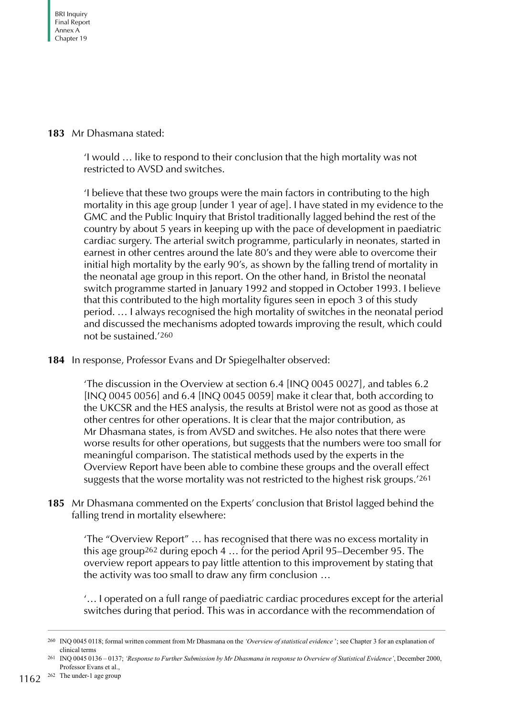#### **183** Mr Dhasmana stated:

'I would … like to respond to their conclusion that the high mortality was not restricted to AVSD and switches.

'I believe that these two groups were the main factors in contributing to the high mortality in this age group [under 1 year of age]. I have stated in my evidence to the GMC and the Public Inquiry that Bristol traditionally lagged behind the rest of the country by about 5 years in keeping up with the pace of development in paediatric cardiac surgery. The arterial switch programme, particularly in neonates, started in earnest in other centres around the late 80's and they were able to overcome their initial high mortality by the early 90's, as shown by the falling trend of mortality in the neonatal age group in this report. On the other hand, in Bristol the neonatal switch programme started in January 1992 and stopped in October 1993. I believe that this contributed to the high mortality figures seen in epoch 3 of this study period. … I always recognised the high mortality of switches in the neonatal period and discussed the mechanisms adopted towards improving the result, which could not be sustained.'260

**184** In response, Professor Evans and Dr Spiegelhalter observed:

'The discussion in the Overview at section 6.4 [INQ 0045 0027], and tables 6.2 [INQ 0045 0056] and 6.4 [INQ 0045 0059] make it clear that, both according to the UKCSR and the HES analysis, the results at Bristol were not as good as those at other centres for other operations. It is clear that the major contribution, as Mr Dhasmana states, is from AVSD and switches. He also notes that there were worse results for other operations, but suggests that the numbers were too small for meaningful comparison. The statistical methods used by the experts in the Overview Report have been able to combine these groups and the overall effect suggests that the worse mortality was not restricted to the highest risk groups.'261

**185** Mr Dhasmana commented on the Experts' conclusion that Bristol lagged behind the falling trend in mortality elsewhere:

'The "Overview Report" … has recognised that there was no excess mortality in this age group262 during epoch 4 … for the period April 95–December 95. The overview report appears to pay little attention to this improvement by stating that the activity was too small to draw any firm conclusion …

'… I operated on a full range of paediatric cardiac procedures except for the arterial switches during that period. This was in accordance with the recommendation of

<sup>260</sup> INQ 0045 0118; formal written comment from Mr Dhasmana on the *'Overview of statistical evidence* '; see Chapter 3 for an explanation of clinical terms

<sup>261</sup> INQ 0045 0136 – 0137; *'Response to Further Submission by Mr Dhasmana in response to Overview of Statistical Evidence'*, December 2000, Professor Evans et al.,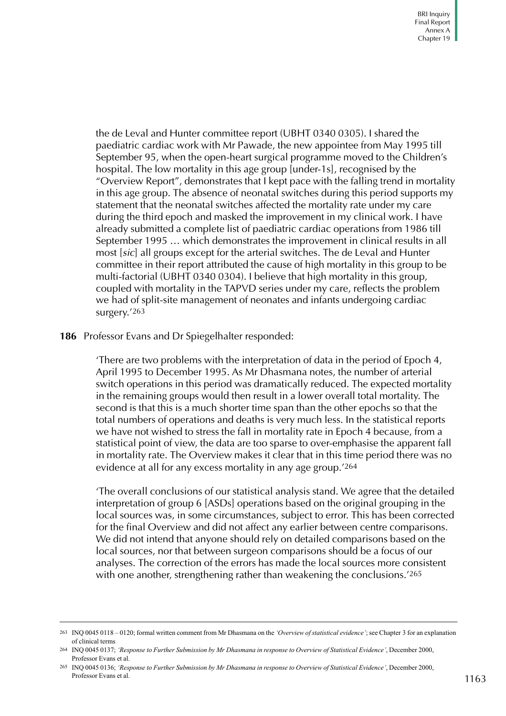the de Leval and Hunter committee report (UBHT 0340 0305). I shared the paediatric cardiac work with Mr Pawade, the new appointee from May 1995 till September 95, when the open-heart surgical programme moved to the Children's hospital. The low mortality in this age group [under-1s], recognised by the "Overview Report", demonstrates that I kept pace with the falling trend in mortality in this age group. The absence of neonatal switches during this period supports my statement that the neonatal switches affected the mortality rate under my care during the third epoch and masked the improvement in my clinical work. I have already submitted a complete list of paediatric cardiac operations from 1986 till September 1995 … which demonstrates the improvement in clinical results in all most [sic] all groups except for the arterial switches. The de Leval and Hunter committee in their report attributed the cause of high mortality in this group to be multi-factorial (UBHT 0340 0304). I believe that high mortality in this group, coupled with mortality in the TAPVD series under my care, reflects the problem we had of split-site management of neonates and infants undergoing cardiac surgery.'263

#### **186** Professor Evans and Dr Spiegelhalter responded:

'There are two problems with the interpretation of data in the period of Epoch 4, April 1995 to December 1995. As Mr Dhasmana notes, the number of arterial switch operations in this period was dramatically reduced. The expected mortality in the remaining groups would then result in a lower overall total mortality. The second is that this is a much shorter time span than the other epochs so that the total numbers of operations and deaths is very much less. In the statistical reports we have not wished to stress the fall in mortality rate in Epoch 4 because, from a statistical point of view, the data are too sparse to over-emphasise the apparent fall in mortality rate. The Overview makes it clear that in this time period there was no evidence at all for any excess mortality in any age group.'264

'The overall conclusions of our statistical analysis stand. We agree that the detailed interpretation of group 6 [ASDs] operations based on the original grouping in the local sources was, in some circumstances, subject to error. This has been corrected for the final Overview and did not affect any earlier between centre comparisons. We did not intend that anyone should rely on detailed comparisons based on the local sources, nor that between surgeon comparisons should be a focus of our analyses. The correction of the errors has made the local sources more consistent with one another, strengthening rather than weakening the conclusions.'265

<sup>263</sup> INQ 0045 0118 – 0120; formal written comment from Mr Dhasmana on the *'Overview of statistical evidence'*; see Chapter 3 for an explanation of clinical terms

<sup>264</sup> INQ 0045 0137; *'Response to Further Submission by Mr Dhasmana in response to Overview of Statistical Evidence'*, December 2000, Professor Evans et al.

<sup>265</sup> INQ 0045 0136; *'Response to Further Submission by Mr Dhasmana in response to Overview of Statistical Evidence'*, December 2000, Professor Evans et al.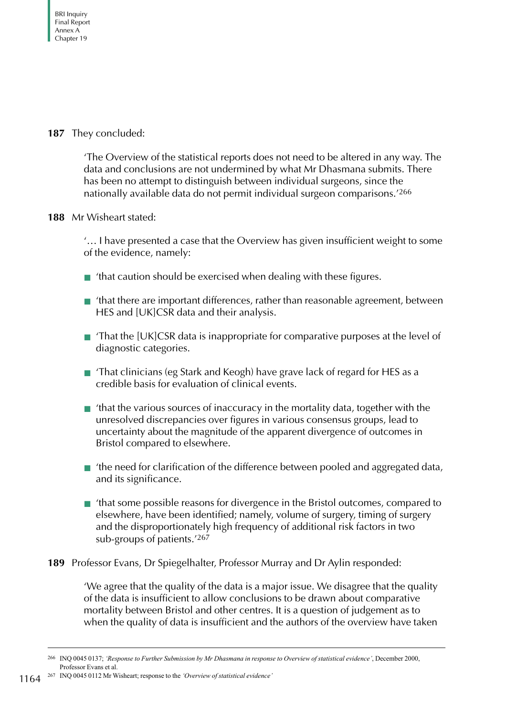#### **187** They concluded:

'The Overview of the statistical reports does not need to be altered in any way. The data and conclusions are not undermined by what Mr Dhasmana submits. There has been no attempt to distinguish between individual surgeons, since the nationally available data do not permit individual surgeon comparisons.'266

#### **188** Mr Wisheart stated:

'… I have presented a case that the Overview has given insufficient weight to some of the evidence, namely:

- 'that caution should be exercised when dealing with these figures.
- 'that there are important differences, rather than reasonable agreement, between HES and [UK]CSR data and their analysis.
- That the [UK]CSR data is inappropriate for comparative purposes at the level of diagnostic categories.
- That clinicians (eg Stark and Keogh) have grave lack of regard for HES as a credible basis for evaluation of clinical events.
- $\blacksquare$  'that the various sources of inaccuracy in the mortality data, together with the unresolved discrepancies over figures in various consensus groups, lead to uncertainty about the magnitude of the apparent divergence of outcomes in Bristol compared to elsewhere.
- 'the need for clarification of the difference between pooled and aggregated data, and its significance.
- 'that some possible reasons for divergence in the Bristol outcomes, compared to elsewhere, have been identified; namely, volume of surgery, timing of surgery and the disproportionately high frequency of additional risk factors in two sub-groups of patients.'267
- **189** Professor Evans, Dr Spiegelhalter, Professor Murray and Dr Aylin responded:

'We agree that the quality of the data is a major issue. We disagree that the quality of the data is insufficient to allow conclusions to be drawn about comparative mortality between Bristol and other centres. It is a question of judgement as to when the quality of data is insufficient and the authors of the overview have taken

<sup>266</sup> INQ 0045 0137; *'Response to Further Submission by Mr Dhasmana in response to Overview of statistical evidence'*, December 2000, Professor Evans et al.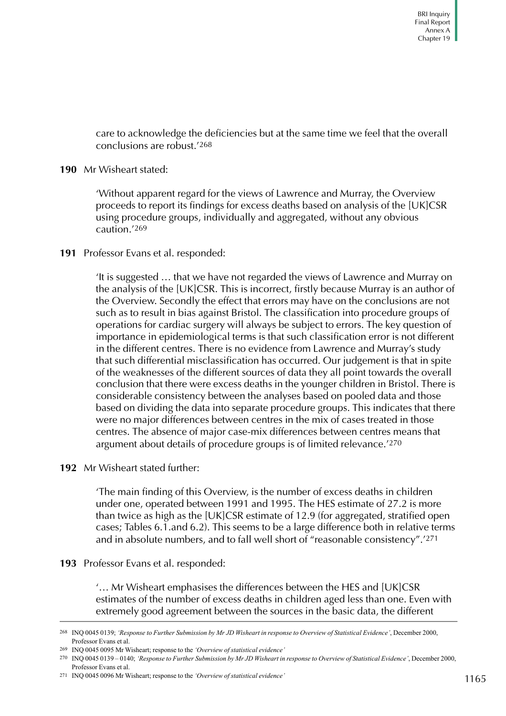care to acknowledge the deficiencies but at the same time we feel that the overall conclusions are robust.'268

#### **190** Mr Wisheart stated:

'Without apparent regard for the views of Lawrence and Murray, the Overview proceeds to report its findings for excess deaths based on analysis of the [UK]CSR using procedure groups, individually and aggregated, without any obvious caution.'269

#### **191** Professor Evans et al. responded:

'It is suggested … that we have not regarded the views of Lawrence and Murray on the analysis of the [UK]CSR. This is incorrect, firstly because Murray is an author of the Overview. Secondly the effect that errors may have on the conclusions are not such as to result in bias against Bristol. The classification into procedure groups of operations for cardiac surgery will always be subject to errors. The key question of importance in epidemiological terms is that such classification error is not different in the different centres. There is no evidence from Lawrence and Murray's study that such differential misclassification has occurred. Our judgement is that in spite of the weaknesses of the different sources of data they all point towards the overall conclusion that there were excess deaths in the younger children in Bristol. There is considerable consistency between the analyses based on pooled data and those based on dividing the data into separate procedure groups. This indicates that there were no major differences between centres in the mix of cases treated in those centres. The absence of major case-mix differences between centres means that argument about details of procedure groups is of limited relevance.'270

#### **192** Mr Wisheart stated further:

'The main finding of this Overview, is the number of excess deaths in children under one, operated between 1991 and 1995. The HES estimate of 27.2 is more than twice as high as the [UK]CSR estimate of 12.9 (for aggregated, stratified open cases; Tables 6.1.and 6.2). This seems to be a large difference both in relative terms and in absolute numbers, and to fall well short of "reasonable consistency".'271

#### **193** Professor Evans et al. responded:

'… Mr Wisheart emphasises the differences between the HES and [UK]CSR estimates of the number of excess deaths in children aged less than one. Even with extremely good agreement between the sources in the basic data, the different

271 INQ 0045 0096 Mr Wisheart; response to the *'Overview of statistical evidence'*

<sup>268</sup> INQ 0045 0139; *'Response to Further Submission by Mr JD Wisheart in response to Overview of Statistical Evidence'*, December 2000, Professor Evans et al.

<sup>269</sup> INQ 0045 0095 Mr Wisheart; response to the *'Overview of statistical evidence'*

<sup>270</sup> INQ 0045 0139 – 0140; *'Response to Further Submission by Mr JD Wisheart in response to Overview of Statistical Evidence'*, December 2000, Professor Evans et al.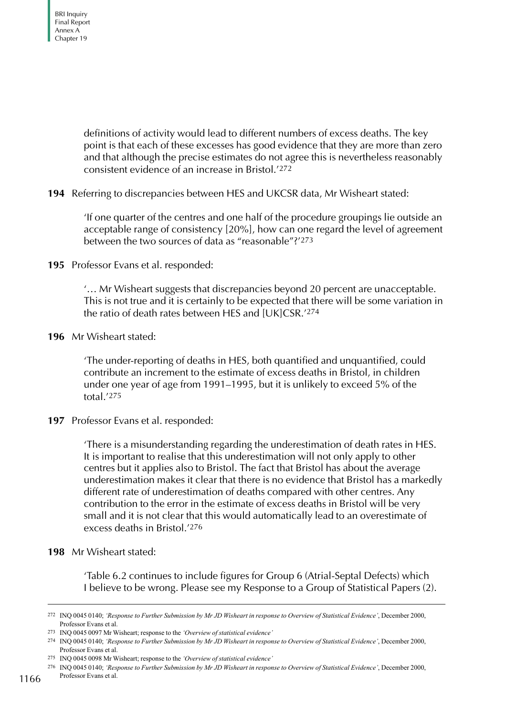definitions of activity would lead to different numbers of excess deaths. The key point is that each of these excesses has good evidence that they are more than zero and that although the precise estimates do not agree this is nevertheless reasonably consistent evidence of an increase in Bristol.'272

#### **194** Referring to discrepancies between HES and UKCSR data, Mr Wisheart stated:

'If one quarter of the centres and one half of the procedure groupings lie outside an acceptable range of consistency [20%], how can one regard the level of agreement between the two sources of data as "reasonable"?'273

#### **195** Professor Evans et al. responded:

'… Mr Wisheart suggests that discrepancies beyond 20 percent are unacceptable. This is not true and it is certainly to be expected that there will be some variation in the ratio of death rates between HES and [UK]CSR.'274

#### **196** Mr Wisheart stated:

'The under-reporting of deaths in HES, both quantified and unquantified, could contribute an increment to the estimate of excess deaths in Bristol, in children under one year of age from 1991–1995, but it is unlikely to exceed 5% of the total.'275

**197** Professor Evans et al. responded:

'There is a misunderstanding regarding the underestimation of death rates in HES. It is important to realise that this underestimation will not only apply to other centres but it applies also to Bristol. The fact that Bristol has about the average underestimation makes it clear that there is no evidence that Bristol has a markedly different rate of underestimation of deaths compared with other centres. Any contribution to the error in the estimate of excess deaths in Bristol will be very small and it is not clear that this would automatically lead to an overestimate of excess deaths in Bristol.'276

**198** Mr Wisheart stated:

'Table 6.2 continues to include figures for Group 6 (Atrial-Septal Defects) which I believe to be wrong. Please see my Response to a Group of Statistical Papers (2).

<sup>272</sup> INQ 0045 0140; *'Response to Further Submission by Mr JD Wisheart in response to Overview of Statistical Evidence'*, December 2000, Professor Evans et al.

<sup>273</sup> INQ 0045 0097 Mr Wisheart; response to the *'Overview of statistical evidence'*

<sup>274</sup> INQ 0045 0140; *'Response to Further Submission by Mr JD Wisheart in response to Overview of Statistical Evidence'*, December 2000, Professor Evans et al.

<sup>275</sup> INQ 0045 0098 Mr Wisheart; response to the *'Overview of statistical evidence'*

<sup>276</sup> INQ 0045 0140; *'Response to Further Submission by Mr JD Wisheart in response to Overview of Statistical Evidence'*, December 2000, Professor Evans et al.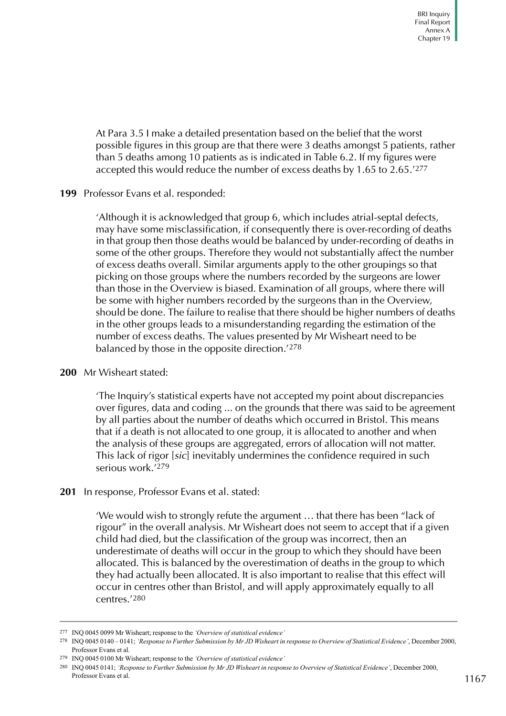At Para 3.5 I make a detailed presentation based on the belief that the worst possible figures in this group are that there were 3 deaths amongst 5 patients, rather than 5 deaths among 10 patients as is indicated in Table 6.2. If my figures were accepted this would reduce the number of excess deaths by 1.65 to 2.65.<sup>'277</sup>

#### **199** Professor Evans et al. responded:

'Although it is acknowledged that group 6, which includes atrial-septal defects, may have some misclassification, if consequently there is over-recording of deaths in that group then those deaths would be balanced by under-recording of deaths in some of the other groups. Therefore they would not substantially affect the number of excess deaths overall. Similar arguments apply to the other groupings so that picking on those groups where the numbers recorded by the surgeons are lower than those in the Overview is biased. Examination of all groups, where there will be some with higher numbers recorded by the surgeons than in the Overview, should be done. The failure to realise that there should be higher numbers of deaths in the other groups leads to a misunderstanding regarding the estimation of the number of excess deaths. The values presented by Mr Wisheart need to be balanced by those in the opposite direction.'278

#### **200** Mr Wisheart stated:

'The Inquiry's statistical experts have not accepted my point about discrepancies over figures, data and coding ... on the grounds that there was said to be agreement by all parties about the number of deaths which occurred in Bristol. This means that if a death is not allocated to one group, it is allocated to another and when the analysis of these groups are aggregated, errors of allocation will not matter. This lack of rigor [sic] inevitably undermines the confidence required in such serious work.'279

#### **201** In response, Professor Evans et al. stated:

'We would wish to strongly refute the argument … that there has been "lack of rigour" in the overall analysis. Mr Wisheart does not seem to accept that if a given child had died, but the classification of the group was incorrect, then an underestimate of deaths will occur in the group to which they should have been allocated. This is balanced by the overestimation of deaths in the group to which they had actually been allocated. It is also important to realise that this effect will occur in centres other than Bristol, and will apply approximately equally to all centres.'280

<sup>277</sup> INQ 0045 0099 Mr Wisheart; response to the *'Overview of statistical evidence'*

<sup>278</sup> INQ 0045 0140 – 0141; *'Response to Further Submission by Mr JD Wisheart in response to Overview of Statistical Evidence'*, December 2000, Professor Evans et al.

<sup>279</sup> INQ 0045 0100 Mr Wisheart; response to the *'Overview of statistical evidence'*

<sup>280</sup> INQ 0045 0141; *'Response to Further Submission by Mr JD Wisheart in response to Overview of Statistical Evidence'*, December 2000, Professor Evans et al.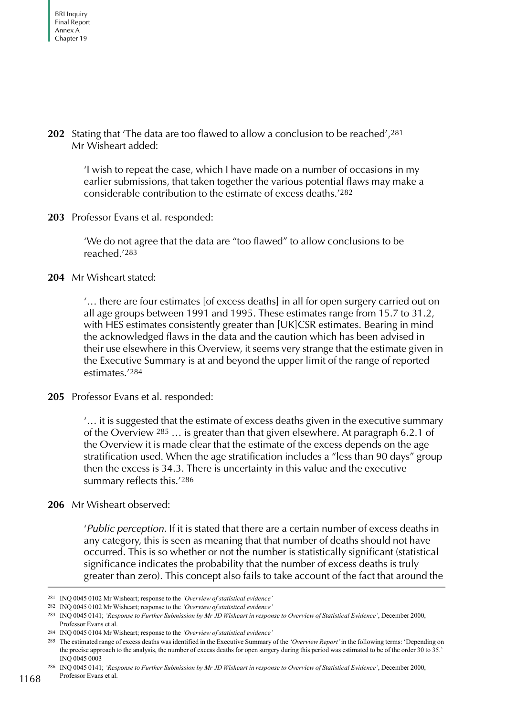**202** Stating that 'The data are too flawed to allow a conclusion to be reached',281 Mr Wisheart added:

> 'I wish to repeat the case, which I have made on a number of occasions in my earlier submissions, that taken together the various potential flaws may make a considerable contribution to the estimate of excess deaths.'282

**203** Professor Evans et al. responded:

'We do not agree that the data are "too flawed" to allow conclusions to be reached.'283

#### **204** Mr Wisheart stated:

'… there are four estimates [of excess deaths] in all for open surgery carried out on all age groups between 1991 and 1995. These estimates range from 15.7 to 31.2, with HES estimates consistently greater than [UK]CSR estimates. Bearing in mind the acknowledged flaws in the data and the caution which has been advised in their use elsewhere in this Overview, it seems very strange that the estimate given in the Executive Summary is at and beyond the upper limit of the range of reported estimates.'284

**205** Professor Evans et al. responded:

'… it is suggested that the estimate of excess deaths given in the executive summary of the Overview 285 … is greater than that given elsewhere. At paragraph 6.2.1 of the Overview it is made clear that the estimate of the excess depends on the age stratification used. When the age stratification includes a "less than 90 days" group then the excess is 34.3. There is uncertainty in this value and the executive summary reflects this.'286

#### **206** Mr Wisheart observed:

'Public perception. If it is stated that there are a certain number of excess deaths in any category, this is seen as meaning that that number of deaths should not have occurred. This is so whether or not the number is statistically significant (statistical significance indicates the probability that the number of excess deaths is truly greater than zero). This concept also fails to take account of the fact that around the

<sup>281</sup> INQ 0045 0102 Mr Wisheart; response to the *'Overview of statistical evidence'*

<sup>282</sup> INQ 0045 0102 Mr Wisheart; response to the *'Overview of statistical evidence'*

<sup>283</sup> INQ 0045 0141; *'Response to Further Submission by Mr JD Wisheart in response to Overview of Statistical Evidence'*, December 2000, Professor Evans et al.

<sup>284</sup> INQ 0045 0104 Mr Wisheart; response to the *'Overview of statistical evidence'*

<sup>285</sup> The estimated range of excess deaths was identified in the Executive Summary of the *'Overview Report'* in the following terms: 'Depending on the precise approach to the analysis, the number of excess deaths for open surgery during this period was estimated to be of the order 30 to 35.' INQ 0045 0003

<sup>286</sup> INQ 0045 0141; *'Response to Further Submission by Mr JD Wisheart in response to Overview of Statistical Evidence'*, December 2000, Professor Evans et al.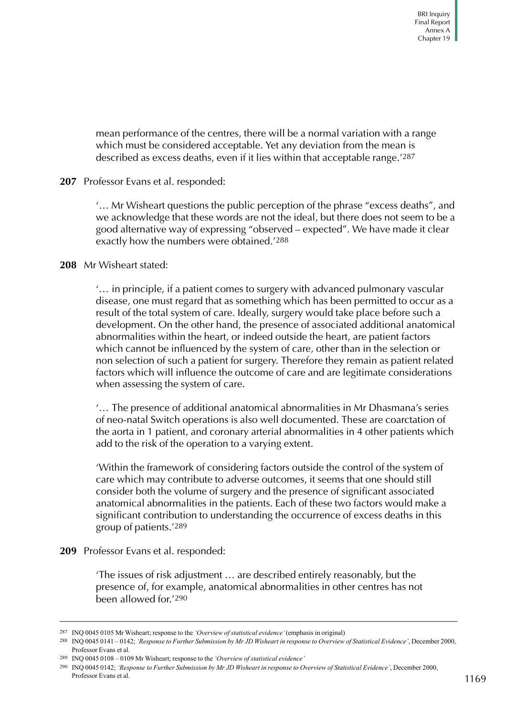mean performance of the centres, there will be a normal variation with a range which must be considered acceptable. Yet any deviation from the mean is described as excess deaths, even if it lies within that acceptable range.'287

#### **207** Professor Evans et al. responded:

'… Mr Wisheart questions the public perception of the phrase "excess deaths", and we acknowledge that these words are not the ideal, but there does not seem to be a good alternative way of expressing "observed – expected". We have made it clear exactly how the numbers were obtained.'288

#### **208** Mr Wisheart stated:

'… in principle, if a patient comes to surgery with advanced pulmonary vascular disease, one must regard that as something which has been permitted to occur as a result of the total system of care. Ideally, surgery would take place before such a development. On the other hand, the presence of associated additional anatomical abnormalities within the heart, or indeed outside the heart, are patient factors which cannot be influenced by the system of care, other than in the selection or non selection of such a patient for surgery. Therefore they remain as patient related factors which will influence the outcome of care and are legitimate considerations when assessing the system of care.

'… The presence of additional anatomical abnormalities in Mr Dhasmana's series of neo-natal Switch operations is also well documented. These are coarctation of the aorta in 1 patient, and coronary arterial abnormalities in 4 other patients which add to the risk of the operation to a varying extent.

'Within the framework of considering factors outside the control of the system of care which may contribute to adverse outcomes, it seems that one should still consider both the volume of surgery and the presence of significant associated anatomical abnormalities in the patients. Each of these two factors would make a significant contribution to understanding the occurrence of excess deaths in this group of patients.'289

#### **209** Professor Evans et al. responded:

'The issues of risk adjustment … are described entirely reasonably, but the presence of, for example, anatomical abnormalities in other centres has not been allowed for.'290

<sup>287</sup> INQ 0045 0105 Mr Wisheart; response to the *'Overview of statistical evidence'* (emphasis in original)

<sup>288</sup> INQ 0045 0141 – 0142; *'Response to Further Submission by Mr JD Wisheart in response to Overview of Statistical Evidence'*, December 2000, Professor Evans et al.

<sup>289</sup> INQ 0045 0108 – 0109 Mr Wisheart; response to the *'Overview of statistical evidence'*

<sup>290</sup> INQ 0045 0142; *'Response to Further Submission by Mr JD Wisheart in response to Overview of Statistical Evidence'*, December 2000, Professor Evans et al.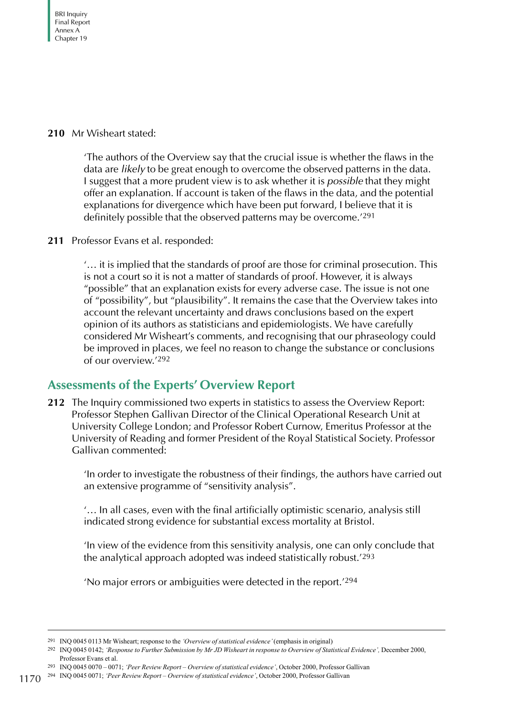#### **210** Mr Wisheart stated:

'The authors of the Overview say that the crucial issue is whether the flaws in the data are likely to be great enough to overcome the observed patterns in the data. I suggest that a more prudent view is to ask whether it is *possible* that they might offer an explanation. If account is taken of the flaws in the data, and the potential explanations for divergence which have been put forward, I believe that it is definitely possible that the observed patterns may be overcome.'291

#### **211** Professor Evans et al. responded:

'… it is implied that the standards of proof are those for criminal prosecution. This is not a court so it is not a matter of standards of proof. However, it is always "possible" that an explanation exists for every adverse case. The issue is not one of "possibility", but "plausibility". It remains the case that the Overview takes into account the relevant uncertainty and draws conclusions based on the expert opinion of its authors as statisticians and epidemiologists. We have carefully considered Mr Wisheart's comments, and recognising that our phraseology could be improved in places, we feel no reason to change the substance or conclusions of our overview.'292

#### **Assessments of the Experts' Overview Report**

**212** The Inquiry commissioned two experts in statistics to assess the Overview Report: Professor Stephen Gallivan Director of the Clinical Operational Research Unit at University College London; and Professor Robert Curnow, Emeritus Professor at the University of Reading and former President of the Royal Statistical Society. Professor Gallivan commented:

'In order to investigate the robustness of their findings, the authors have carried out an extensive programme of "sensitivity analysis".

'… In all cases, even with the final artificially optimistic scenario, analysis still indicated strong evidence for substantial excess mortality at Bristol.

'In view of the evidence from this sensitivity analysis, one can only conclude that the analytical approach adopted was indeed statistically robust.'293

'No major errors or ambiguities were detected in the report.'294

<sup>291</sup> INQ 0045 0113 Mr Wisheart; response to the *'Overview of statistical evidence'* (emphasis in original)

<sup>292</sup> INQ 0045 0142; *'Response to Further Submission by Mr JD Wisheart in response to Overview of Statistical Evidence',* December 2000, Professor Evans et al.

<sup>293</sup> INQ 0045 0070 – 0071; *'Peer Review Report – Overview of statistical evidence'*, October 2000, Professor Gallivan

<sup>1170</sup> 294 INQ 0045 0071; *'Peer Review Report – Overview of statistical evidence'*, October 2000, Professor Gallivan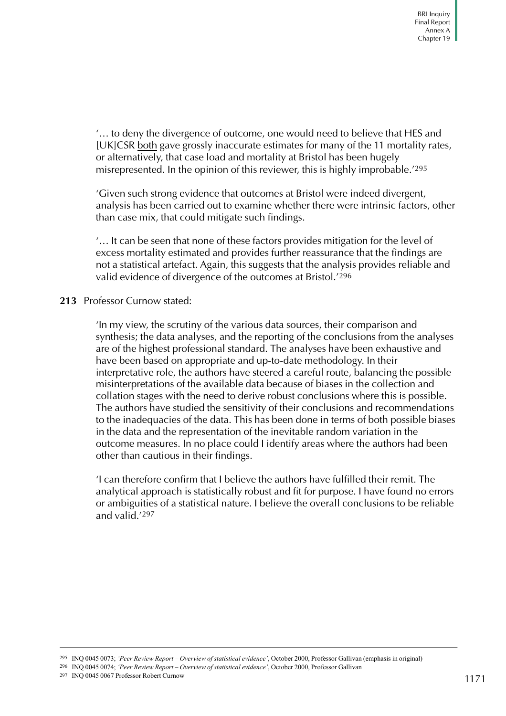'… to deny the divergence of outcome, one would need to believe that HES and [UK]CSR both gave grossly inaccurate estimates for many of the 11 mortality rates, or alternatively, that case load and mortality at Bristol has been hugely misrepresented. In the opinion of this reviewer, this is highly improbable.'295

'Given such strong evidence that outcomes at Bristol were indeed divergent, analysis has been carried out to examine whether there were intrinsic factors, other than case mix, that could mitigate such findings.

'… It can be seen that none of these factors provides mitigation for the level of excess mortality estimated and provides further reassurance that the findings are not a statistical artefact. Again, this suggests that the analysis provides reliable and valid evidence of divergence of the outcomes at Bristol.'296

#### **213** Professor Curnow stated:

'In my view, the scrutiny of the various data sources, their comparison and synthesis; the data analyses, and the reporting of the conclusions from the analyses are of the highest professional standard. The analyses have been exhaustive and have been based on appropriate and up-to-date methodology. In their interpretative role, the authors have steered a careful route, balancing the possible misinterpretations of the available data because of biases in the collection and collation stages with the need to derive robust conclusions where this is possible. The authors have studied the sensitivity of their conclusions and recommendations to the inadequacies of the data. This has been done in terms of both possible biases in the data and the representation of the inevitable random variation in the outcome measures. In no place could I identify areas where the authors had been other than cautious in their findings.

'I can therefore confirm that I believe the authors have fulfilled their remit. The analytical approach is statistically robust and fit for purpose. I have found no errors or ambiguities of a statistical nature. I believe the overall conclusions to be reliable and valid.'297

<sup>295</sup> INQ 0045 0073; *'Peer Review Report – Overview of statistical evidence'*, October 2000, Professor Gallivan (emphasis in original)

<sup>296</sup> INQ 0045 0074; *'Peer Review Report – Overview of statistical evidence'*, October 2000, Professor Gallivan

<sup>297</sup> INQ 0045 0067 Professor Robert Curnow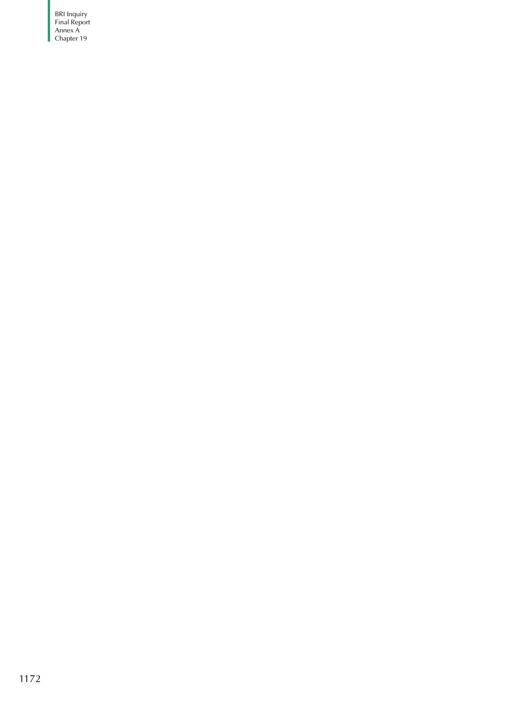BRI Inquiry Final Report Annex A Chapter 19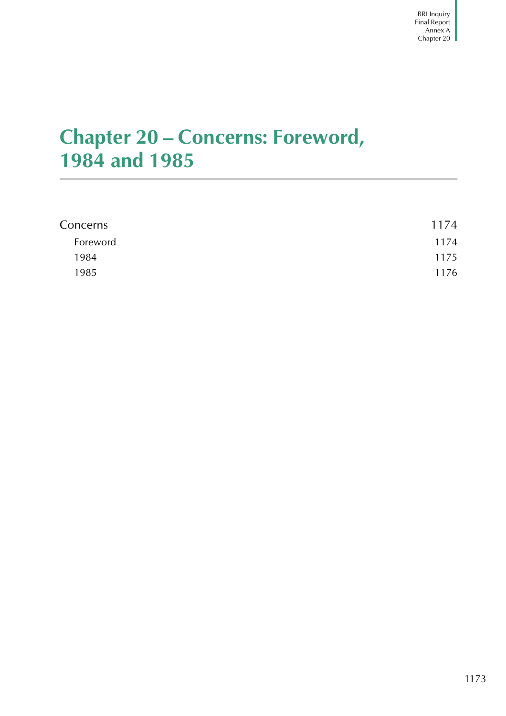# **Chapter 20 – [C](#page-85-0)oncerns: Foreword, 1984 and 1985**

| Concerns | 1174 |
|----------|------|
| Foreword | 1174 |
| 1984     | 1175 |
| 1985     | 1176 |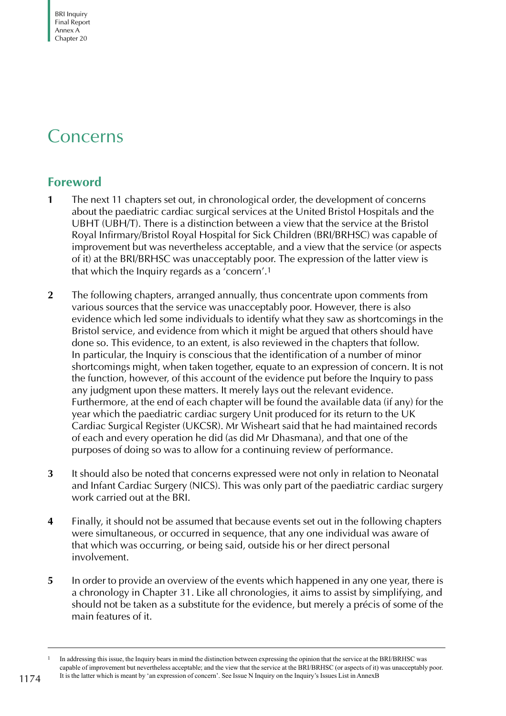## <span id="page-85-0"></span>Concerns

#### <span id="page-85-1"></span>**Foreword**

- **1** The next 11 chapters set out, in chronological order, the development of concerns about the paediatric cardiac surgical services at the United Bristol Hospitals and the UBHT (UBH/T). There is a distinction between a view that the service at the Bristol Royal Infirmary/Bristol Royal Hospital for Sick Children (BRI/BRHSC) was capable of improvement but was nevertheless acceptable, and a view that the service (or aspects of it) at the BRI/BRHSC was unacceptably poor. The expression of the latter view is that which the Inquiry regards as a 'concern'.1
- **2** The following chapters, arranged annually, thus concentrate upon comments from various sources that the service was unacceptably poor. However, there is also evidence which led some individuals to identify what they saw as shortcomings in the Bristol service, and evidence from which it might be argued that others should have done so. This evidence, to an extent, is also reviewed in the chapters that follow. In particular, the Inquiry is conscious that the identification of a number of minor shortcomings might, when taken together, equate to an expression of concern. It is not the function, however, of this account of the evidence put before the Inquiry to pass any judgment upon these matters. It merely lays out the relevant evidence. Furthermore, at the end of each chapter will be found the available data (if any) for the year which the paediatric cardiac surgery Unit produced for its return to the UK Cardiac Surgical Register (UKCSR). Mr Wisheart said that he had maintained records of each and every operation he did (as did Mr Dhasmana), and that one of the purposes of doing so was to allow for a continuing review of performance.
- **3** It should also be noted that concerns expressed were not only in relation to Neonatal and Infant Cardiac Surgery (NICS). This was only part of the paediatric cardiac surgery work carried out at the BRI.
- **4** Finally, it should not be assumed that because events set out in the following chapters were simultaneous, or occurred in sequence, that any one individual was aware of that which was occurring, or being said, outside his or her direct personal involvement.
- **5** In order to provide an overview of the events which happened in any one year, there is a chronology in Chapter 31. Like all chronologies, it aims to assist by simplifying, and should not be taken as a substitute for the evidence, but merely a précis of some of the main features of it.

<sup>1</sup> In addressing this issue, the Inquiry bears in mind the distinction between expressing the opinion that the service at the BRI/BRHSC was capable of improvement but nevertheless acceptable; and the view that the service at the BRI/BRHSC (or aspects of it) was unacceptably poor. It is the latter which is meant by 'an expression of concern'. See Issue N Inquiry on the Inquiry's Issues List in AnnexB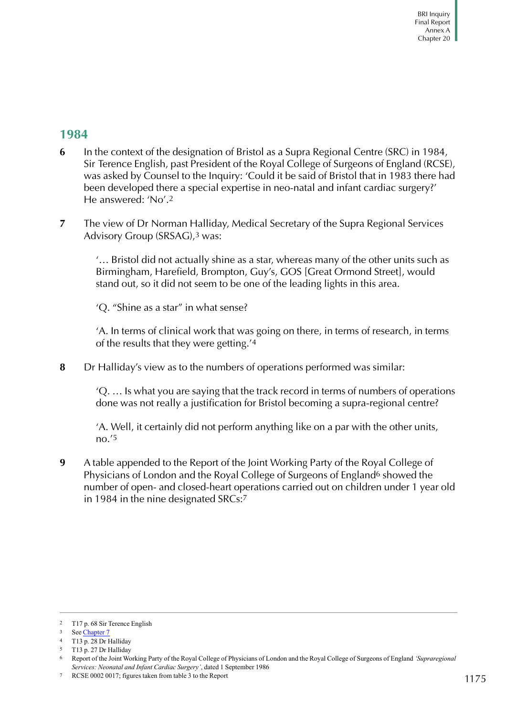#### <span id="page-86-0"></span>**1984**

- **6** In the context of the designation of Bristol as a Supra Regional Centre (SRC) in 1984, Sir Terence English, past President of the Royal College of Surgeons of England (RCSE), was asked by Counsel to the Inquiry: 'Could it be said of Bristol that in 1983 there had been developed there a special expertise in neo-natal and infant cardiac surgery?' He answered: 'No'.2
- **7** The view of Dr Norman Halliday, Medical Secretary of the Supra Regional Services Advisory Group (SRSAG),3 was:

'… Bristol did not actually shine as a star, whereas many of the other units such as Birmingham, Harefield, Brompton, Guy's, GOS [Great Ormond Street], would stand out, so it did not seem to be one of the leading lights in this area.

'Q. "Shine as a star" in what sense?

'A. In terms of clinical work that was going on there, in terms of research, in terms of the results that they were getting.'4

**8** Dr Halliday's view as to the numbers of operations performed was similar:

'Q. … Is what you are saying that the track record in terms of numbers of operations done was not really a justification for Bristol becoming a supra-regional centre?

'A. Well, it certainly did not perform anything like on a par with the other units, no.'5

<span id="page-86-1"></span>**9** A table appended to the Report of the Joint Working Party of the Royal College of Physicians of London and the Royal College of Surgeons of England<sup>6</sup> showed the number of open- and closed-heart operations carried out on children under 1 year old in 1984 in the nine designated SRCs:7

<sup>2</sup> T17 p. 68 Sir Terence English

<sup>3</sup> See Chapter 7

<sup>4</sup> T13 p. 28 Dr Halliday

<sup>5</sup> T13 p. 27 Dr Halliday

<sup>6</sup> Report of the Joint Working Party of the Royal College of Physicians of London and the Royal College of Surgeons of England *'Supraregional Services: Neonatal and Infant Cardiac Surgery'*, dated 1 September 1986

<sup>7</sup> RCSE 0002 0017; figures taken from table 3 to the Report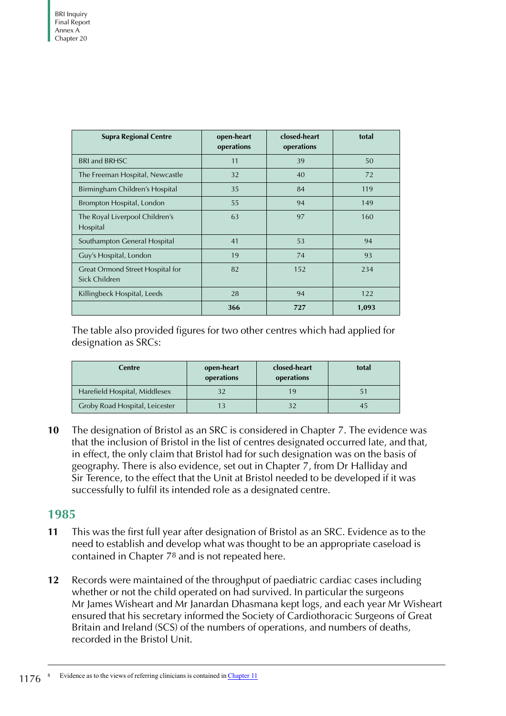| <b>Supra Regional Centre</b>                      | open-heart<br>operations | closed-heart<br>operations | total |
|---------------------------------------------------|--------------------------|----------------------------|-------|
| <b>BRI and BRHSC</b>                              | 11                       | 39                         | 50    |
| The Freeman Hospital, Newcastle                   | 32                       | 40                         | 72    |
| Birmingham Children's Hospital                    | 35                       | 84                         | 119   |
| Brompton Hospital, London                         | 55                       | 94                         | 149   |
| The Royal Liverpool Children's<br>Hospital        | 63                       | 97                         | 160   |
| Southampton General Hospital                      | 41                       | 53                         | 94    |
| Guy's Hospital, London                            | 19                       | 74                         | 93    |
| Great Ormond Street Hospital for<br>Sick Children | 82                       | 152                        | 234   |
| Killingbeck Hospital, Leeds                       | 28                       | 94                         | 122   |
|                                                   | 366                      | 727                        | 1,093 |

The table also provided figures for two other centres which had applied for designation as SRCs:

| <b>Centre</b>                  | open-heart<br>operations | closed-heart<br>operations | total |
|--------------------------------|--------------------------|----------------------------|-------|
| Harefield Hospital, Middlesex  |                          | 19                         | 51    |
| Groby Road Hospital, Leicester |                          |                            | 45    |

**10** The designation of Bristol as an SRC is considered in Chapter 7. The evidence was that the inclusion of Bristol in the list of centres designated occurred late, and that, in effect, the only claim that Bristol had for such designation was on the basis of geography. There is also evidence, set out in Chapter 7, from Dr Halliday and Sir Terence, to the effect that the Unit at Bristol needed to be developed if it was successfully to fulfil its intended role as a designated centre.

#### <span id="page-87-0"></span>**1985**

- **11** This was the first full year after designation of Bristol as an SRC. Evidence as to the need to establish and develop what was thought to be an appropriate caseload is contained in Chapter 78 and is not repeated here.
- **12** Records were maintained of the throughput of paediatric cardiac cases including whether or not the child operated on had survived. In particular the surgeons Mr James Wisheart and Mr Janardan Dhasmana kept logs, and each year Mr Wisheart ensured that his secretary informed the Society of Cardiothoracic Surgeons of Great Britain and Ireland (SCS) of the numbers of operations, and numbers of deaths, recorded in the Bristol Unit.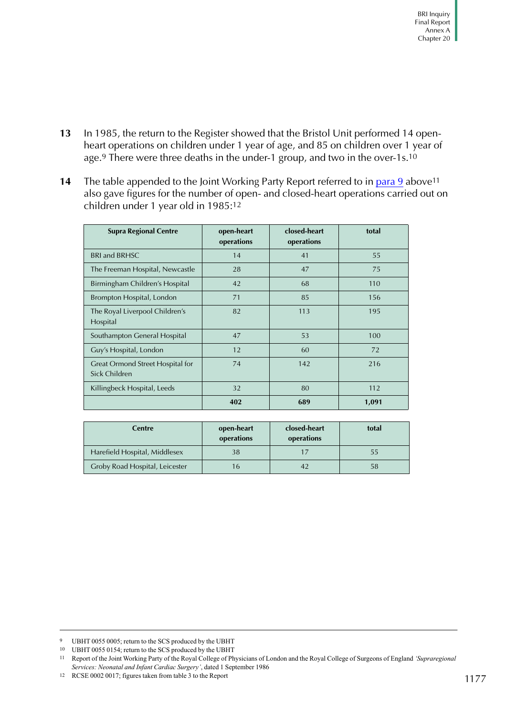- **13** In 1985, the return to the Register showed that the Bristol Unit performed 14 openheart operations on children under 1 year of age, and 85 on children over 1 year of age.<sup>9</sup> There were three deaths in the under-1 group, and two in the over-1s.<sup>10</sup>
- **14** The table appended to the Joint Working Party Report referred to in [para 9](#page-86-1) above11 also gave figures for the number of open- and closed-heart operations carried out on children under 1 year old in 1985:12

| <b>Supra Regional Centre</b>                      | open-heart<br>operations | closed-heart<br>operations | total |
|---------------------------------------------------|--------------------------|----------------------------|-------|
| <b>BRI and BRHSC</b>                              | 14                       | 41                         | 55    |
| The Freeman Hospital, Newcastle                   | 28                       | 47                         | 75    |
| Birmingham Children's Hospital                    | 42                       | 68                         | 110   |
| Brompton Hospital, London                         | 71                       | 85                         | 156   |
| The Royal Liverpool Children's<br>Hospital        | 82                       | 113                        | 195   |
| Southampton General Hospital                      | 47                       | 53                         | 100   |
| Guy's Hospital, London                            | 12                       | 60                         | 72    |
| Great Ormond Street Hospital for<br>Sick Children | 74                       | 142                        | 216   |
| Killingbeck Hospital, Leeds                       | 32                       | 80                         | 112   |
|                                                   | 402                      | 689                        | 1,091 |

| <b>Centre</b>                  | open-heart<br>operations | closed-heart<br>operations | total |
|--------------------------------|--------------------------|----------------------------|-------|
| Harefield Hospital, Middlesex  | 38                       |                            | 55    |
| Groby Road Hospital, Leicester |                          | 42                         | 58    |

<sup>9</sup> UBHT 0055 0005; return to the SCS produced by the UBHT

<sup>10</sup> UBHT 0055 0154; return to the SCS produced by the UBHT

<sup>11</sup> Report of the Joint Working Party of the Royal College of Physicians of London and the Royal College of Surgeons of England *'Supraregional Services: Neonatal and Infant Cardiac Surgery'*, dated 1 September 1986

<sup>12</sup> RCSE 0002 0017; figures taken from table 3 to the Report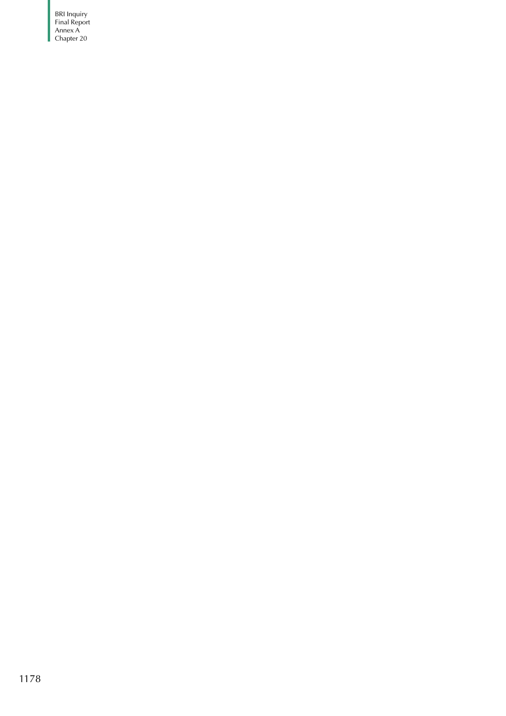BRI Inquiry Final Report Annex A Chapter 20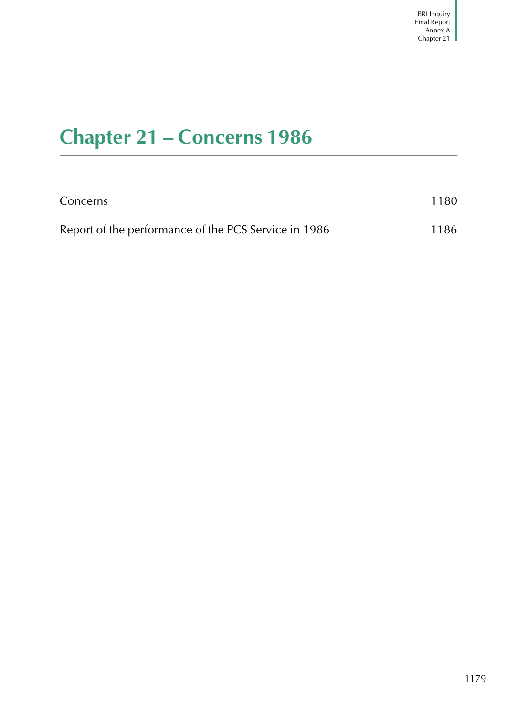# **Chapter 21 – Concerns 1986**

| Concerns                                             | 1180 |
|------------------------------------------------------|------|
| Report of the performance of the PCS Service in 1986 | 1186 |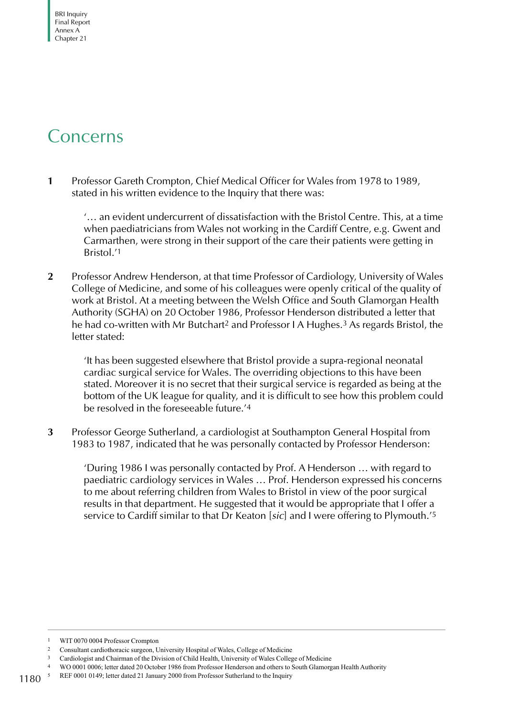### <span id="page-91-0"></span>Concerns

**1** Professor Gareth Crompton, Chief Medical Officer for Wales from 1978 to 1989, stated in his written evidence to the Inquiry that there was:

'… an evident undercurrent of dissatisfaction with the Bristol Centre. This, at a time when paediatricians from Wales not working in the Cardiff Centre, e.g. Gwent and Carmarthen, were strong in their support of the care their patients were getting in Bristol.'1

**2** Professor Andrew Henderson, at that time Professor of Cardiology, University of Wales College of Medicine, and some of his colleagues were openly critical of the quality of work at Bristol. At a meeting between the Welsh Office and South Glamorgan Health Authority (SGHA) on 20 October 1986, Professor Henderson distributed a letter that he had co-written with Mr Butchart<sup>2</sup> and Professor I A Hughes.<sup>3</sup> As regards Bristol, the letter stated:

'It has been suggested elsewhere that Bristol provide a supra-regional neonatal cardiac surgical service for Wales. The overriding objections to this have been stated. Moreover it is no secret that their surgical service is regarded as being at the bottom of the UK league for quality, and it is difficult to see how this problem could be resolved in the foreseeable future.'4

**3** Professor George Sutherland, a cardiologist at Southampton General Hospital from 1983 to 1987, indicated that he was personally contacted by Professor Henderson:

'During 1986 I was personally contacted by Prof. A Henderson … with regard to paediatric cardiology services in Wales … Prof. Henderson expressed his concerns to me about referring children from Wales to Bristol in view of the poor surgical results in that department. He suggested that it would be appropriate that I offer a service to Cardiff similar to that Dr Keaton [sic] and I were offering to Plymouth.'5

<sup>1</sup> WIT 0070 0004 Professor Crompton

<sup>2</sup> Consultant cardiothoracic surgeon, University Hospital of Wales, College of Medicine

<sup>3</sup> Cardiologist and Chairman of the Division of Child Health, University of Wales College of Medicine

<sup>4</sup> WO 0001 0006; letter dated 20 October 1986 from Professor Henderson and others to South Glamorgan Health Authority

<sup>5</sup> REF 0001 0149; letter dated 21 January 2000 from Professor Sutherland to the Inquiry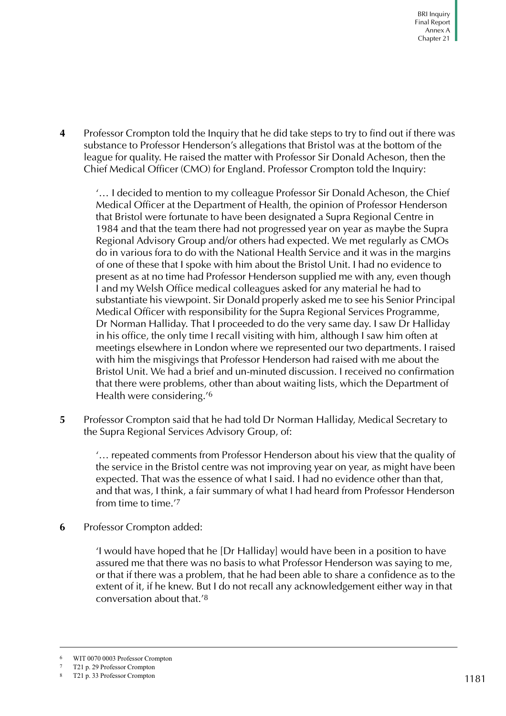**4** Professor Crompton told the Inquiry that he did take steps to try to find out if there was substance to Professor Henderson's allegations that Bristol was at the bottom of the league for quality. He raised the matter with Professor Sir Donald Acheson, then the Chief Medical Officer (CMO) for England. Professor Crompton told the Inquiry:

'… I decided to mention to my colleague Professor Sir Donald Acheson, the Chief Medical Officer at the Department of Health, the opinion of Professor Henderson that Bristol were fortunate to have been designated a Supra Regional Centre in 1984 and that the team there had not progressed year on year as maybe the Supra Regional Advisory Group and/or others had expected. We met regularly as CMOs do in various fora to do with the National Health Service and it was in the margins of one of these that I spoke with him about the Bristol Unit. I had no evidence to present as at no time had Professor Henderson supplied me with any, even though I and my Welsh Office medical colleagues asked for any material he had to substantiate his viewpoint. Sir Donald properly asked me to see his Senior Principal Medical Officer with responsibility for the Supra Regional Services Programme, Dr Norman Halliday. That I proceeded to do the very same day. I saw Dr Halliday in his office, the only time I recall visiting with him, although I saw him often at meetings elsewhere in London where we represented our two departments. I raised with him the misgivings that Professor Henderson had raised with me about the Bristol Unit. We had a brief and un-minuted discussion. I received no confirmation that there were problems, other than about waiting lists, which the Department of Health were considering.'6

**5** Professor Crompton said that he had told Dr Norman Halliday, Medical Secretary to the Supra Regional Services Advisory Group, of:

'… repeated comments from Professor Henderson about his view that the quality of the service in the Bristol centre was not improving year on year, as might have been expected. That was the essence of what I said. I had no evidence other than that, and that was, I think, a fair summary of what I had heard from Professor Henderson from time to time.'7

**6** Professor Crompton added:

'I would have hoped that he [Dr Halliday] would have been in a position to have assured me that there was no basis to what Professor Henderson was saying to me, or that if there was a problem, that he had been able to share a confidence as to the extent of it, if he knew. But I do not recall any acknowledgement either way in that conversation about that.'8

WIT 0070 0003 Professor Crompton

<sup>7</sup> T21 p. 29 Professor Crompton

<sup>8</sup> T21 p. 33 Professor Crompton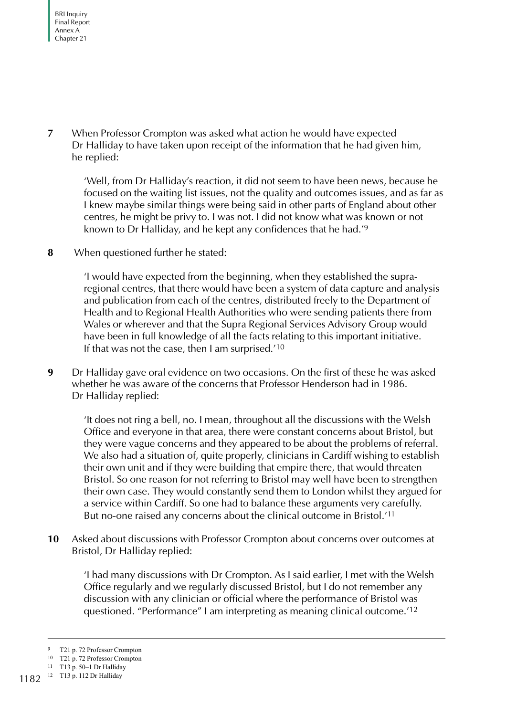**7** When Professor Crompton was asked what action he would have expected Dr Halliday to have taken upon receipt of the information that he had given him, he replied:

'Well, from Dr Halliday's reaction, it did not seem to have been news, because he focused on the waiting list issues, not the quality and outcomes issues, and as far as I knew maybe similar things were being said in other parts of England about other centres, he might be privy to. I was not. I did not know what was known or not known to Dr Halliday, and he kept any confidences that he had.'9

**8** When questioned further he stated:

'I would have expected from the beginning, when they established the supraregional centres, that there would have been a system of data capture and analysis and publication from each of the centres, distributed freely to the Department of Health and to Regional Health Authorities who were sending patients there from Wales or wherever and that the Supra Regional Services Advisory Group would have been in full knowledge of all the facts relating to this important initiative. If that was not the case, then I am surprised.'10

**9** Dr Halliday gave oral evidence on two occasions. On the first of these he was asked whether he was aware of the concerns that Professor Henderson had in 1986. Dr Halliday replied:

'It does not ring a bell, no. I mean, throughout all the discussions with the Welsh Office and everyone in that area, there were constant concerns about Bristol, but they were vague concerns and they appeared to be about the problems of referral. We also had a situation of, quite properly, clinicians in Cardiff wishing to establish their own unit and if they were building that empire there, that would threaten Bristol. So one reason for not referring to Bristol may well have been to strengthen their own case. They would constantly send them to London whilst they argued for a service within Cardiff. So one had to balance these arguments very carefully. But no-one raised any concerns about the clinical outcome in Bristol.'11

**10** Asked about discussions with Professor Crompton about concerns over outcomes at Bristol, Dr Halliday replied:

'I had many discussions with Dr Crompton. As I said earlier, I met with the Welsh Office regularly and we regularly discussed Bristol, but I do not remember any discussion with any clinician or official where the performance of Bristol was questioned. "Performance" I am interpreting as meaning clinical outcome.'12

<sup>9</sup> T21 p. 72 Professor Crompton

<sup>10</sup> T21 p. 72 Professor Crompton

<sup>11</sup> T13 p. 50–1 Dr Halliday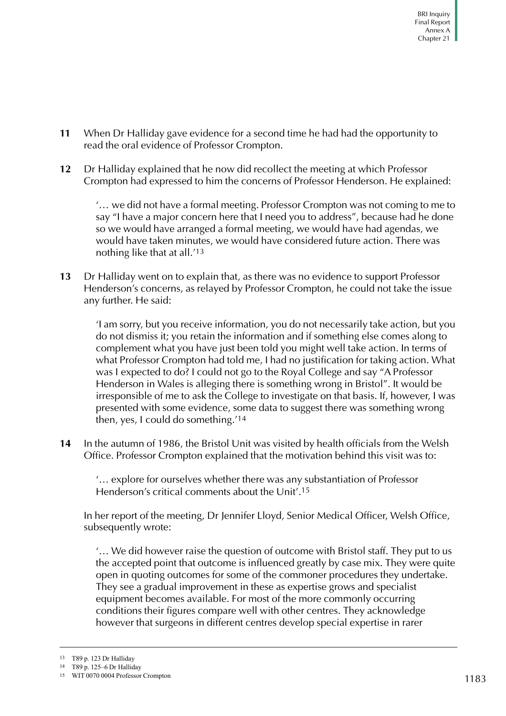- **11** When Dr Halliday gave evidence for a second time he had had the opportunity to read the oral evidence of Professor Crompton.
- **12** Dr Halliday explained that he now did recollect the meeting at which Professor Crompton had expressed to him the concerns of Professor Henderson. He explained:

'… we did not have a formal meeting. Professor Crompton was not coming to me to say "I have a major concern here that I need you to address", because had he done so we would have arranged a formal meeting, we would have had agendas, we would have taken minutes, we would have considered future action. There was nothing like that at all.'13

**13** Dr Halliday went on to explain that, as there was no evidence to support Professor Henderson's concerns, as relayed by Professor Crompton, he could not take the issue any further. He said:

'I am sorry, but you receive information, you do not necessarily take action, but you do not dismiss it; you retain the information and if something else comes along to complement what you have just been told you might well take action. In terms of what Professor Crompton had told me, I had no justification for taking action. What was I expected to do? I could not go to the Royal College and say "A Professor Henderson in Wales is alleging there is something wrong in Bristol". It would be irresponsible of me to ask the College to investigate on that basis. If, however, I was presented with some evidence, some data to suggest there was something wrong then, yes, I could do something.'14

**14** In the autumn of 1986, the Bristol Unit was visited by health officials from the Welsh Office. Professor Crompton explained that the motivation behind this visit was to:

'… explore for ourselves whether there was any substantiation of Professor Henderson's critical comments about the Unit'.15

In her report of the meeting, Dr Jennifer Lloyd, Senior Medical Officer, Welsh Office, subsequently wrote:

'… We did however raise the question of outcome with Bristol staff. They put to us the accepted point that outcome is influenced greatly by case mix. They were quite open in quoting outcomes for some of the commoner procedures they undertake. They see a gradual improvement in these as expertise grows and specialist equipment becomes available. For most of the more commonly occurring conditions their figures compare well with other centres. They acknowledge however that surgeons in different centres develop special expertise in rarer

<sup>13</sup> T89 p. 123 Dr Halliday

<sup>14</sup> T89 p. 125–6 Dr Halliday

<sup>15</sup> WIT 0070 0004 Professor Crompton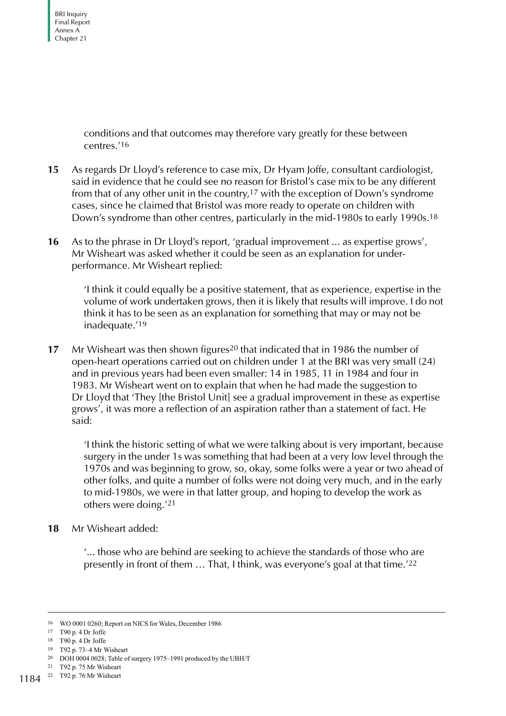conditions and that outcomes may therefore vary greatly for these between centres.'16

- **15** As regards Dr Lloyd's reference to case mix, Dr Hyam Joffe, consultant cardiologist, said in evidence that he could see no reason for Bristol's case mix to be any different from that of any other unit in the country,17 with the exception of Down's syndrome cases, since he claimed that Bristol was more ready to operate on children with Down's syndrome than other centres, particularly in the mid-1980s to early 1990s.18
- **16** As to the phrase in Dr Lloyd's report, 'gradual improvement ... as expertise grows', Mr Wisheart was asked whether it could be seen as an explanation for underperformance. Mr Wisheart replied:

'I think it could equally be a positive statement, that as experience, expertise in the volume of work undertaken grows, then it is likely that results will improve. I do not think it has to be seen as an explanation for something that may or may not be inadequate.'19

**17** Mr Wisheart was then shown figures20 that indicated that in 1986 the number of open-heart operations carried out on children under 1 at the BRI was very small (24) and in previous years had been even smaller: 14 in 1985, 11 in 1984 and four in 1983. Mr Wisheart went on to explain that when he had made the suggestion to Dr Lloyd that 'They [the Bristol Unit] see a gradual improvement in these as expertise grows', it was more a reflection of an aspiration rather than a statement of fact. He said:

'I think the historic setting of what we were talking about is very important, because surgery in the under 1s was something that had been at a very low level through the 1970s and was beginning to grow, so, okay, some folks were a year or two ahead of other folks, and quite a number of folks were not doing very much, and in the early to mid-1980s, we were in that latter group, and hoping to develop the work as others were doing.'21

**18** Mr Wisheart added:

'... those who are behind are seeking to achieve the standards of those who are presently in front of them … That, I think, was everyone's goal at that time.'22

<sup>16</sup> WO 0001 0260; Report on NICS for Wales, December 1986

<sup>17</sup> T90 p. 4 Dr Joffe

<sup>18</sup> T90 p. 4 Dr Joffe

<sup>19</sup> T92 p. 73–4 Mr Wisheart

<sup>20</sup> DOH 0004 0028; Table of surgery 1975–1991 produced by the UBH/T

<sup>21</sup> T92 p. 75 Mr Wisheart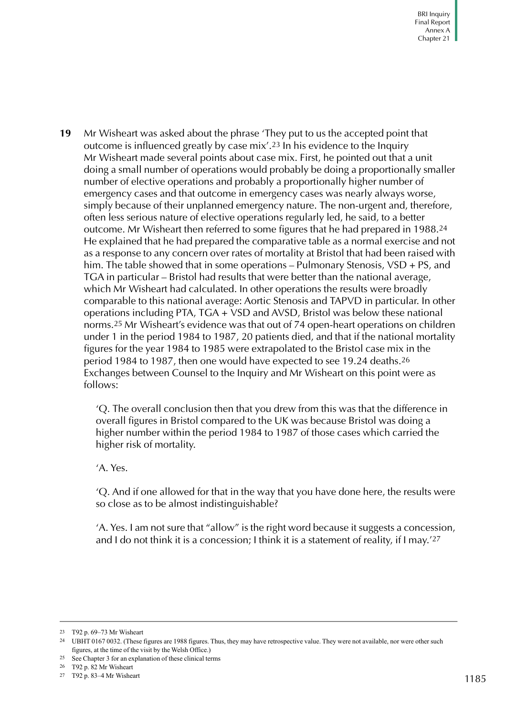**19** Mr Wisheart was asked about the phrase 'They put to us the accepted point that outcome is influenced greatly by case mix'.23 In his evidence to the Inquiry Mr Wisheart made several points about case mix. First, he pointed out that a unit doing a small number of operations would probably be doing a proportionally smaller number of elective operations and probably a proportionally higher number of emergency cases and that outcome in emergency cases was nearly always worse, simply because of their unplanned emergency nature. The non-urgent and, therefore, often less serious nature of elective operations regularly led, he said, to a better outcome. Mr Wisheart then referred to some figures that he had prepared in 1988.24 He explained that he had prepared the comparative table as a normal exercise and not as a response to any concern over rates of mortality at Bristol that had been raised with him. The table showed that in some operations – Pulmonary Stenosis, VSD + PS, and TGA in particular – Bristol had results that were better than the national average, which Mr Wisheart had calculated. In other operations the results were broadly comparable to this national average: Aortic Stenosis and TAPVD in particular. In other operations including PTA, TGA + VSD and AVSD, Bristol was below these national norms.25 Mr Wisheart's evidence was that out of 74 open-heart operations on children under 1 in the period 1984 to 1987, 20 patients died, and that if the national mortality figures for the year 1984 to 1985 were extrapolated to the Bristol case mix in the period 1984 to 1987, then one would have expected to see 19.24 deaths.26 Exchanges between Counsel to the Inquiry and Mr Wisheart on this point were as follows:

'Q. The overall conclusion then that you drew from this was that the difference in overall figures in Bristol compared to the UK was because Bristol was doing a higher number within the period 1984 to 1987 of those cases which carried the higher risk of mortality.

'A. Yes.

'Q. And if one allowed for that in the way that you have done here, the results were so close as to be almost indistinguishable?

'A. Yes. I am not sure that "allow" is the right word because it suggests a concession, and I do not think it is a concession; I think it is a statement of reality, if I may.'27

<sup>23</sup> T92 p. 69–73 Mr Wisheart

<sup>&</sup>lt;sup>24</sup> UBHT 0167 0032. (These figures are 1988 figures. Thus, they may have retrospective value. They were not available, nor were other such figures, at the time of the visit by the Welsh Office.)

<sup>25</sup> See Chapter 3 for an explanation of these clinical terms

<sup>26</sup> T92 p. 82 Mr Wisheart

<sup>27</sup> T92 p. 83–4 Mr Wisheart